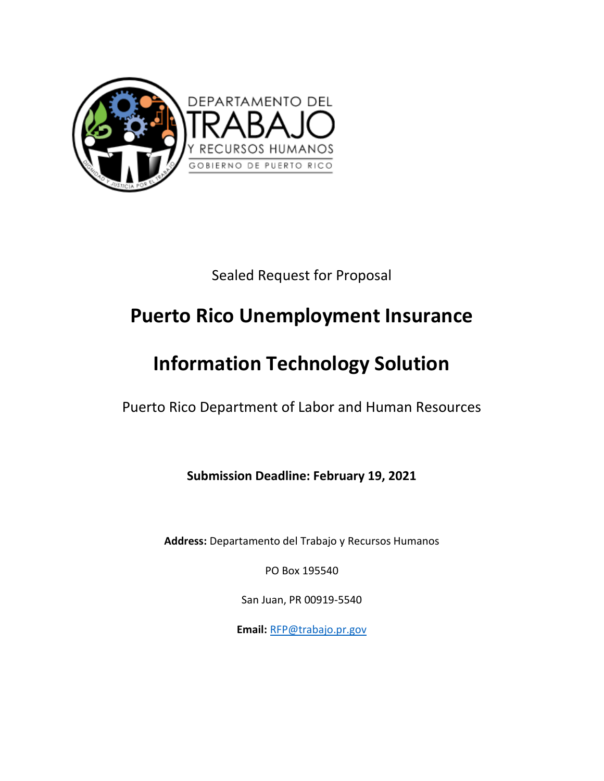

Sealed Request for Proposal

# **Puerto Rico Unemployment Insurance**

# **Information Technology Solution**

Puerto Rico Department of Labor and Human Resources

**Submission Deadline: February 19, 2021**

**Address:** Departamento del Trabajo y Recursos Humanos

PO Box 195540

San Juan, PR 00919-5540

**Email:** [RFP@trabajo.pr.gov](mailto:RFP@trabajo.pr.gov)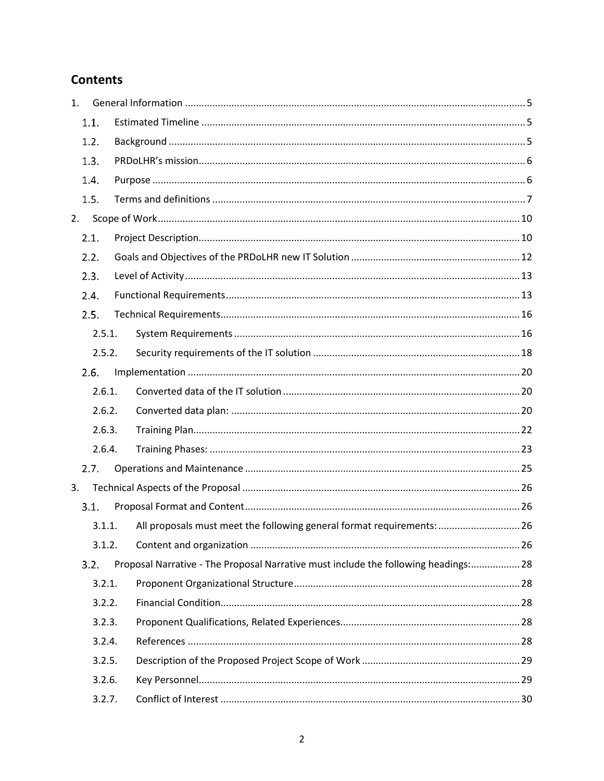# **Contents**

| 1. |        |                                                                                     |  |
|----|--------|-------------------------------------------------------------------------------------|--|
|    | 1.1.   |                                                                                     |  |
|    | 1.2.   |                                                                                     |  |
|    | 1.3.   |                                                                                     |  |
|    | 1.4.   |                                                                                     |  |
|    | 1.5.   |                                                                                     |  |
| 2. |        |                                                                                     |  |
|    | 2.1.   |                                                                                     |  |
|    | 2.2.   |                                                                                     |  |
|    | 2.3.   |                                                                                     |  |
|    | 2.4.   |                                                                                     |  |
|    | 2.5.   |                                                                                     |  |
|    | 2.5.1. |                                                                                     |  |
|    | 2.5.2. |                                                                                     |  |
|    | 2.6.   |                                                                                     |  |
|    | 2.6.1. |                                                                                     |  |
|    | 2.6.2. |                                                                                     |  |
|    | 2.6.3. |                                                                                     |  |
|    | 2.6.4. |                                                                                     |  |
|    | 2.7.   |                                                                                     |  |
| 3. |        |                                                                                     |  |
|    | 3.1    |                                                                                     |  |
|    | 3.1.1. | All proposals must meet the following general format requirements:  26              |  |
|    | 3.1.2. |                                                                                     |  |
|    | 3.2.   | Proposal Narrative - The Proposal Narrative must include the following headings: 28 |  |
|    | 3.2.1. |                                                                                     |  |
|    | 3.2.2. |                                                                                     |  |
|    | 3.2.3. |                                                                                     |  |
|    | 3.2.4. |                                                                                     |  |
|    | 3.2.5. |                                                                                     |  |
|    | 3.2.6. |                                                                                     |  |
|    | 3.2.7. |                                                                                     |  |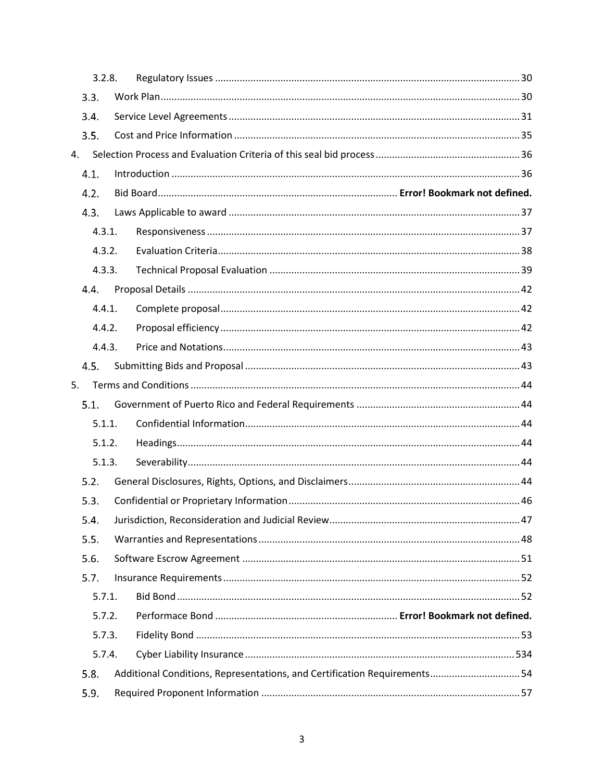|    | 3.2.8. |                                                                           |  |
|----|--------|---------------------------------------------------------------------------|--|
|    | 3.3.   |                                                                           |  |
|    | 3.4.   |                                                                           |  |
|    | 3.5.   |                                                                           |  |
| 4. |        |                                                                           |  |
|    | 4.1.   |                                                                           |  |
|    | 4.2.   |                                                                           |  |
|    | 4.3.   |                                                                           |  |
|    | 4.3.1. |                                                                           |  |
|    | 4.3.2. |                                                                           |  |
|    | 4.3.3. |                                                                           |  |
|    | 4.4.   |                                                                           |  |
|    | 4.4.1. |                                                                           |  |
|    | 4.4.2. |                                                                           |  |
|    | 4.4.3. |                                                                           |  |
|    | 4.5.   |                                                                           |  |
| 5. |        |                                                                           |  |
|    | 5.1.   |                                                                           |  |
|    | 5.1.1. |                                                                           |  |
|    | 5.1.2. |                                                                           |  |
|    | 5.1.3. |                                                                           |  |
|    | 5.2.   |                                                                           |  |
|    | 5.3.   |                                                                           |  |
|    | 5.4.   |                                                                           |  |
|    | 5.5.   |                                                                           |  |
|    | 5.6.   |                                                                           |  |
|    | 5.7.   |                                                                           |  |
|    | 5.7.1. |                                                                           |  |
|    | 5.7.2. |                                                                           |  |
|    | 5.7.3. |                                                                           |  |
|    | 5.7.4. |                                                                           |  |
|    | 5.8.   | Additional Conditions, Representations, and Certification Requirements 54 |  |
|    | 5.9.   |                                                                           |  |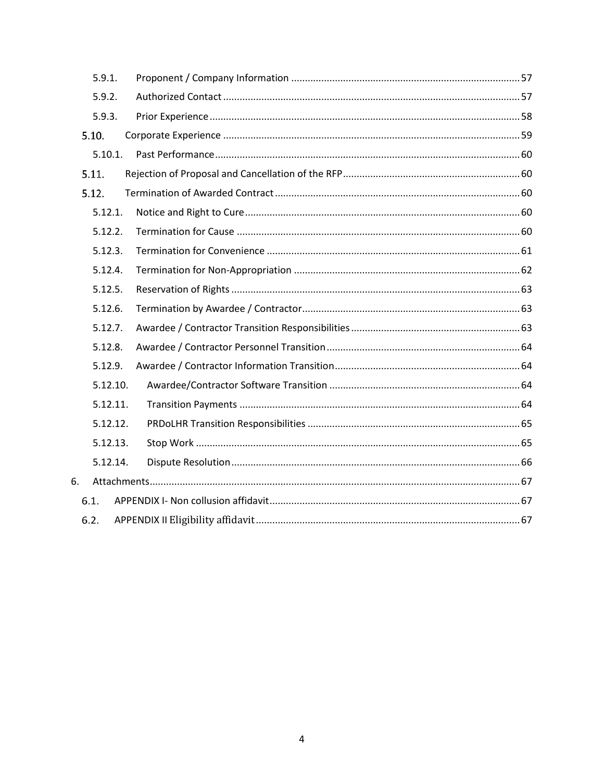|    | 5.9.1.   |  |
|----|----------|--|
|    | 5.9.2.   |  |
|    | 5.9.3.   |  |
|    | 5.10.    |  |
|    | 5.10.1.  |  |
|    | 5.11.    |  |
|    | 5.12.    |  |
|    | 5.12.1.  |  |
|    | 5.12.2.  |  |
|    | 5.12.3.  |  |
|    | 5.12.4.  |  |
|    | 5.12.5.  |  |
|    | 5.12.6.  |  |
|    | 5.12.7.  |  |
|    | 5.12.8.  |  |
|    | 5.12.9.  |  |
|    | 5.12.10. |  |
|    | 5.12.11. |  |
|    | 5.12.12. |  |
|    | 5.12.13. |  |
|    | 5.12.14. |  |
| 6. |          |  |
|    | 6.1.     |  |
|    | 6.2.     |  |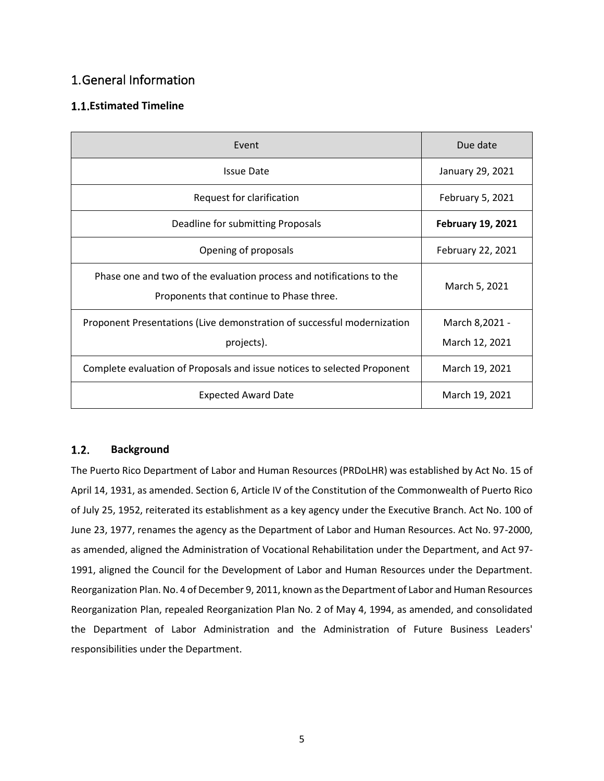# <span id="page-4-0"></span>1.General Information

# <span id="page-4-1"></span>**Estimated Timeline**

| Event                                                                                                            | Due date                         |
|------------------------------------------------------------------------------------------------------------------|----------------------------------|
| <b>Issue Date</b>                                                                                                | January 29, 2021                 |
| Request for clarification                                                                                        | February 5, 2021                 |
| Deadline for submitting Proposals                                                                                | <b>February 19, 2021</b>         |
| Opening of proposals                                                                                             | February 22, 2021                |
| Phase one and two of the evaluation process and notifications to the<br>Proponents that continue to Phase three. | March 5, 2021                    |
| Proponent Presentations (Live demonstration of successful modernization<br>projects).                            | March 8,2021 -<br>March 12, 2021 |
| Complete evaluation of Proposals and issue notices to selected Proponent                                         | March 19, 2021                   |
| <b>Expected Award Date</b>                                                                                       | March 19, 2021                   |

#### <span id="page-4-2"></span> $1.2.$ **Background**

The Puerto Rico Department of Labor and Human Resources (PRDoLHR) was established by Act No. 15 of April 14, 1931, as amended. Section 6, Article IV of the Constitution of the Commonwealth of Puerto Rico of July 25, 1952, reiterated its establishment as a key agency under the Executive Branch. Act No. 100 of June 23, 1977, renames the agency as the Department of Labor and Human Resources. Act No. 97-2000, as amended, aligned the Administration of Vocational Rehabilitation under the Department, and Act 97- 1991, aligned the Council for the Development of Labor and Human Resources under the Department. Reorganization Plan. No. 4 of December 9, 2011, known as the Department of Labor and Human Resources Reorganization Plan, repealed Reorganization Plan No. 2 of May 4, 1994, as amended, and consolidated the Department of Labor Administration and the Administration of Future Business Leaders' responsibilities under the Department.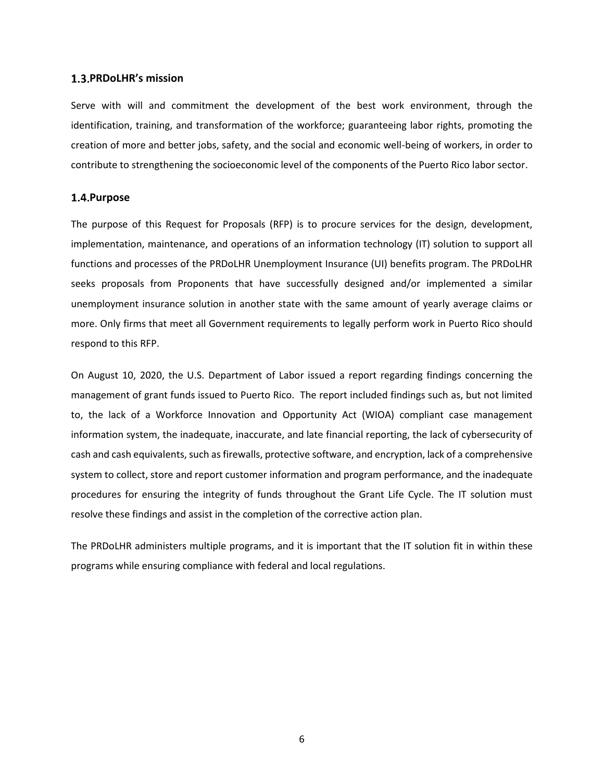#### <span id="page-5-0"></span>**PRDoLHR's mission**

Serve with will and commitment the development of the best work environment, through the identification, training, and transformation of the workforce; guaranteeing labor rights, promoting the creation of more and better jobs, safety, and the social and economic well-being of workers, in order to contribute to strengthening the socioeconomic level of the components of the Puerto Rico labor sector.

## <span id="page-5-1"></span>**Purpose**

The purpose of this Request for Proposals (RFP) is to procure services for the design, development, implementation, maintenance, and operations of an information technology (IT) solution to support all functions and processes of the PRDoLHR Unemployment Insurance (UI) benefits program. The PRDoLHR seeks proposals from Proponents that have successfully designed and/or implemented a similar unemployment insurance solution in another state with the same amount of yearly average claims or more. Only firms that meet all Government requirements to legally perform work in Puerto Rico should respond to this RFP.

On August 10, 2020, the U.S. Department of Labor issued a report regarding findings concerning the management of grant funds issued to Puerto Rico. The report included findings such as, but not limited to, the lack of a Workforce Innovation and Opportunity Act (WIOA) compliant case management information system, the inadequate, inaccurate, and late financial reporting, the lack of cybersecurity of cash and cash equivalents, such as firewalls, protective software, and encryption, lack of a comprehensive system to collect, store and report customer information and program performance, and the inadequate procedures for ensuring the integrity of funds throughout the Grant Life Cycle. The IT solution must resolve these findings and assist in the completion of the corrective action plan.

The PRDoLHR administers multiple programs, and it is important that the IT solution fit in within these programs while ensuring compliance with federal and local regulations.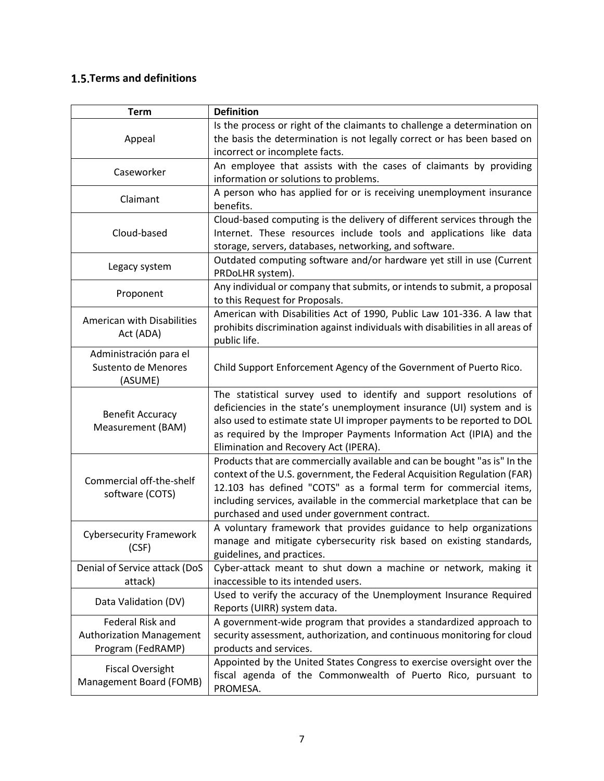# <span id="page-6-0"></span>**1.5. Terms and definitions**

| <b>Term</b>                                              | <b>Definition</b>                                                                                                                                                                                                                                                                                                                                     |
|----------------------------------------------------------|-------------------------------------------------------------------------------------------------------------------------------------------------------------------------------------------------------------------------------------------------------------------------------------------------------------------------------------------------------|
| Appeal                                                   | Is the process or right of the claimants to challenge a determination on<br>the basis the determination is not legally correct or has been based on<br>incorrect or incomplete facts.                                                                                                                                                                 |
| Caseworker                                               | An employee that assists with the cases of claimants by providing<br>information or solutions to problems.                                                                                                                                                                                                                                            |
| Claimant                                                 | A person who has applied for or is receiving unemployment insurance<br>benefits.                                                                                                                                                                                                                                                                      |
| Cloud-based                                              | Cloud-based computing is the delivery of different services through the<br>Internet. These resources include tools and applications like data<br>storage, servers, databases, networking, and software.                                                                                                                                               |
| Legacy system                                            | Outdated computing software and/or hardware yet still in use (Current<br>PRDoLHR system).                                                                                                                                                                                                                                                             |
| Proponent                                                | Any individual or company that submits, or intends to submit, a proposal<br>to this Request for Proposals.                                                                                                                                                                                                                                            |
| American with Disabilities<br>Act (ADA)                  | American with Disabilities Act of 1990, Public Law 101-336. A law that<br>prohibits discrimination against individuals with disabilities in all areas of<br>public life.                                                                                                                                                                              |
| Administración para el<br>Sustento de Menores<br>(ASUME) | Child Support Enforcement Agency of the Government of Puerto Rico.                                                                                                                                                                                                                                                                                    |
| <b>Benefit Accuracy</b><br>Measurement (BAM)             | The statistical survey used to identify and support resolutions of<br>deficiencies in the state's unemployment insurance (UI) system and is<br>also used to estimate state UI improper payments to be reported to DOL<br>as required by the Improper Payments Information Act (IPIA) and the<br>Elimination and Recovery Act (IPERA).                 |
| Commercial off-the-shelf<br>software (COTS)              | Products that are commercially available and can be bought "as is" In the<br>context of the U.S. government, the Federal Acquisition Regulation (FAR)<br>12.103 has defined "COTS" as a formal term for commercial items,<br>including services, available in the commercial marketplace that can be<br>purchased and used under government contract. |
| <b>Cybersecurity Framework</b><br>(CSF)                  | A voluntary framework that provides guidance to help organizations<br>manage and mitigate cybersecurity risk based on existing standards,<br>guidelines, and practices.                                                                                                                                                                               |
| Denial of Service attack (DoS                            | Cyber-attack meant to shut down a machine or network, making it                                                                                                                                                                                                                                                                                       |
| attack)                                                  | inaccessible to its intended users.                                                                                                                                                                                                                                                                                                                   |
| Data Validation (DV)                                     | Used to verify the accuracy of the Unemployment Insurance Required<br>Reports (UIRR) system data.                                                                                                                                                                                                                                                     |
| Federal Risk and                                         | A government-wide program that provides a standardized approach to                                                                                                                                                                                                                                                                                    |
| <b>Authorization Management</b><br>Program (FedRAMP)     | security assessment, authorization, and continuous monitoring for cloud<br>products and services.                                                                                                                                                                                                                                                     |
| <b>Fiscal Oversight</b><br>Management Board (FOMB)       | Appointed by the United States Congress to exercise oversight over the<br>fiscal agenda of the Commonwealth of Puerto Rico, pursuant to<br>PROMESA.                                                                                                                                                                                                   |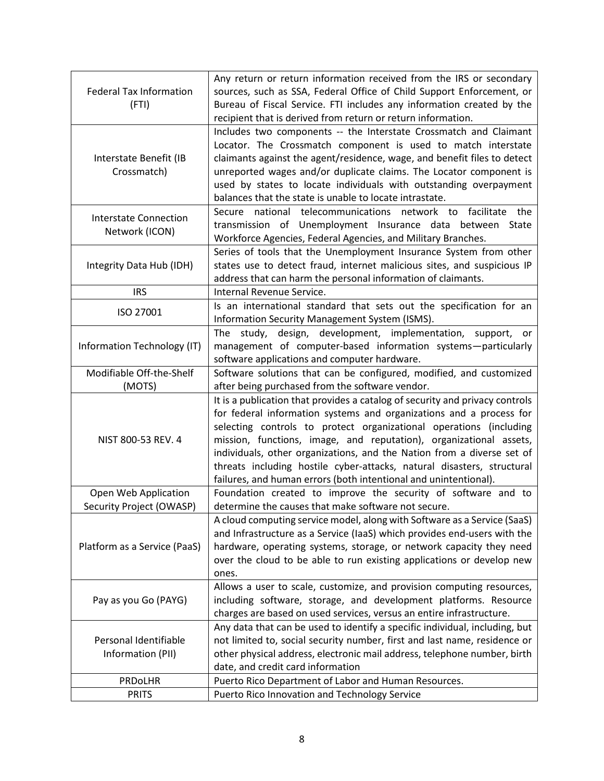| <b>Federal Tax Information</b><br>(FTI)          | Any return or return information received from the IRS or secondary<br>sources, such as SSA, Federal Office of Child Support Enforcement, or<br>Bureau of Fiscal Service. FTI includes any information created by the<br>recipient that is derived from return or return information.                                                                                                                                                                                                                                   |
|--------------------------------------------------|-------------------------------------------------------------------------------------------------------------------------------------------------------------------------------------------------------------------------------------------------------------------------------------------------------------------------------------------------------------------------------------------------------------------------------------------------------------------------------------------------------------------------|
| Interstate Benefit (IB<br>Crossmatch)            | Includes two components -- the Interstate Crossmatch and Claimant<br>Locator. The Crossmatch component is used to match interstate<br>claimants against the agent/residence, wage, and benefit files to detect<br>unreported wages and/or duplicate claims. The Locator component is<br>used by states to locate individuals with outstanding overpayment<br>balances that the state is unable to locate intrastate.                                                                                                    |
| <b>Interstate Connection</b><br>Network (ICON)   | Secure national telecommunications network to<br>facilitate the<br>transmission of Unemployment Insurance data<br>between State<br>Workforce Agencies, Federal Agencies, and Military Branches.                                                                                                                                                                                                                                                                                                                         |
| Integrity Data Hub (IDH)                         | Series of tools that the Unemployment Insurance System from other<br>states use to detect fraud, internet malicious sites, and suspicious IP<br>address that can harm the personal information of claimants.                                                                                                                                                                                                                                                                                                            |
| <b>IRS</b>                                       | Internal Revenue Service.                                                                                                                                                                                                                                                                                                                                                                                                                                                                                               |
| ISO 27001                                        | Is an international standard that sets out the specification for an<br>Information Security Management System (ISMS).                                                                                                                                                                                                                                                                                                                                                                                                   |
| Information Technology (IT)                      | study, design, development, implementation,<br>support,<br>The<br>or<br>management of computer-based information systems-particularly<br>software applications and computer hardware.                                                                                                                                                                                                                                                                                                                                   |
| Modifiable Off-the-Shelf<br>(MOTS)               | Software solutions that can be configured, modified, and customized<br>after being purchased from the software vendor.                                                                                                                                                                                                                                                                                                                                                                                                  |
| NIST 800-53 REV. 4                               | It is a publication that provides a catalog of security and privacy controls<br>for federal information systems and organizations and a process for<br>selecting controls to protect organizational operations (including<br>mission, functions, image, and reputation), organizational assets,<br>individuals, other organizations, and the Nation from a diverse set of<br>threats including hostile cyber-attacks, natural disasters, structural<br>failures, and human errors (both intentional and unintentional). |
| Open Web Application<br>Security Project (OWASP) | Foundation created to improve the security of software and to<br>determine the causes that make software not secure.                                                                                                                                                                                                                                                                                                                                                                                                    |
| Platform as a Service (PaaS)                     | A cloud computing service model, along with Software as a Service (SaaS)<br>and Infrastructure as a Service (IaaS) which provides end-users with the<br>hardware, operating systems, storage, or network capacity they need<br>over the cloud to be able to run existing applications or develop new<br>ones.                                                                                                                                                                                                           |
| Pay as you Go (PAYG)                             | Allows a user to scale, customize, and provision computing resources,<br>including software, storage, and development platforms. Resource<br>charges are based on used services, versus an entire infrastructure.                                                                                                                                                                                                                                                                                                       |
| Personal Identifiable<br>Information (PII)       | Any data that can be used to identify a specific individual, including, but<br>not limited to, social security number, first and last name, residence or<br>other physical address, electronic mail address, telephone number, birth<br>date, and credit card information                                                                                                                                                                                                                                               |
| PRDoLHR                                          | Puerto Rico Department of Labor and Human Resources.                                                                                                                                                                                                                                                                                                                                                                                                                                                                    |
| <b>PRITS</b>                                     | Puerto Rico Innovation and Technology Service                                                                                                                                                                                                                                                                                                                                                                                                                                                                           |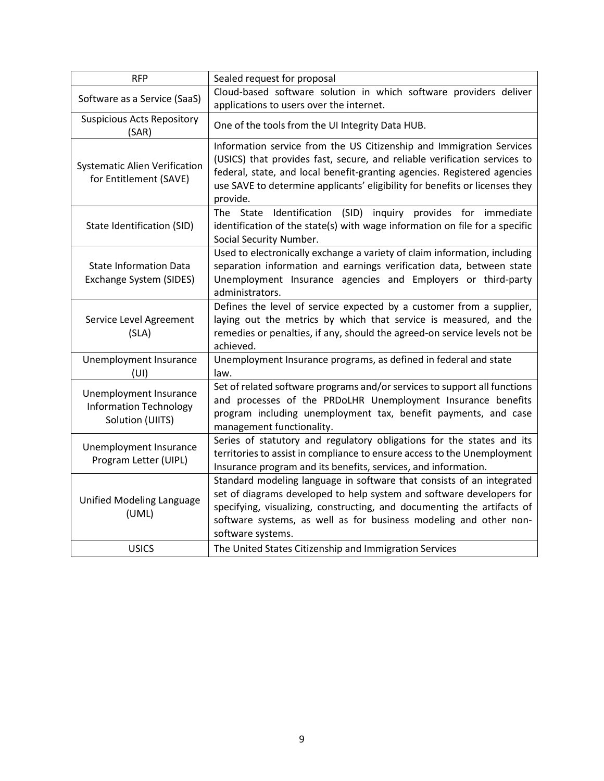| <b>RFP</b>                                                                  | Sealed request for proposal                                                                                                                                                                                                                                                                                              |
|-----------------------------------------------------------------------------|--------------------------------------------------------------------------------------------------------------------------------------------------------------------------------------------------------------------------------------------------------------------------------------------------------------------------|
| Software as a Service (SaaS)                                                | Cloud-based software solution in which software providers deliver<br>applications to users over the internet.                                                                                                                                                                                                            |
| <b>Suspicious Acts Repository</b><br>(SAR)                                  | One of the tools from the UI Integrity Data HUB.                                                                                                                                                                                                                                                                         |
| <b>Systematic Alien Verification</b><br>for Entitlement (SAVE)              | Information service from the US Citizenship and Immigration Services<br>(USICS) that provides fast, secure, and reliable verification services to<br>federal, state, and local benefit-granting agencies. Registered agencies<br>use SAVE to determine applicants' eligibility for benefits or licenses they<br>provide. |
| State Identification (SID)                                                  | Identification (SID) inquiry provides for immediate<br>The State<br>identification of the state(s) with wage information on file for a specific<br>Social Security Number.                                                                                                                                               |
| <b>State Information Data</b><br>Exchange System (SIDES)                    | Used to electronically exchange a variety of claim information, including<br>separation information and earnings verification data, between state<br>Unemployment Insurance agencies and Employers or third-party<br>administrators.                                                                                     |
| Service Level Agreement<br>(SLA)                                            | Defines the level of service expected by a customer from a supplier,<br>laying out the metrics by which that service is measured, and the<br>remedies or penalties, if any, should the agreed-on service levels not be<br>achieved.                                                                                      |
| Unemployment Insurance<br>(UI)                                              | Unemployment Insurance programs, as defined in federal and state<br>law.                                                                                                                                                                                                                                                 |
| Unemployment Insurance<br><b>Information Technology</b><br>Solution (UIITS) | Set of related software programs and/or services to support all functions<br>and processes of the PRDoLHR Unemployment Insurance benefits<br>program including unemployment tax, benefit payments, and case<br>management functionality.                                                                                 |
| Unemployment Insurance<br>Program Letter (UIPL)                             | Series of statutory and regulatory obligations for the states and its<br>territories to assist in compliance to ensure access to the Unemployment<br>Insurance program and its benefits, services, and information.                                                                                                      |
| <b>Unified Modeling Language</b><br>(UML)                                   | Standard modeling language in software that consists of an integrated<br>set of diagrams developed to help system and software developers for<br>specifying, visualizing, constructing, and documenting the artifacts of<br>software systems, as well as for business modeling and other non-<br>software systems.       |
| <b>USICS</b>                                                                | The United States Citizenship and Immigration Services                                                                                                                                                                                                                                                                   |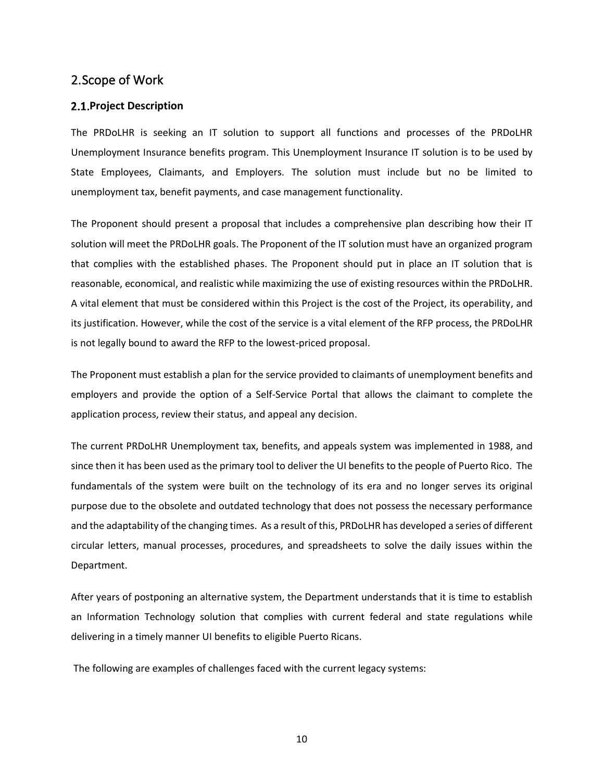## <span id="page-9-0"></span>2.Scope of Work

#### <span id="page-9-1"></span>**Project Description**

The PRDoLHR is seeking an IT solution to support all functions and processes of the PRDoLHR Unemployment Insurance benefits program. This Unemployment Insurance IT solution is to be used by State Employees, Claimants, and Employers. The solution must include but no be limited to unemployment tax, benefit payments, and case management functionality.

The Proponent should present a proposal that includes a comprehensive plan describing how their IT solution will meet the PRDoLHR goals. The Proponent of the IT solution must have an organized program that complies with the established phases. The Proponent should put in place an IT solution that is reasonable, economical, and realistic while maximizing the use of existing resources within the PRDoLHR. A vital element that must be considered within this Project is the cost of the Project, its operability, and its justification. However, while the cost of the service is a vital element of the RFP process, the PRDoLHR is not legally bound to award the RFP to the lowest-priced proposal.

The Proponent must establish a plan for the service provided to claimants of unemployment benefits and employers and provide the option of a Self-Service Portal that allows the claimant to complete the application process, review their status, and appeal any decision.

The current PRDoLHR Unemployment tax, benefits, and appeals system was implemented in 1988, and since then it has been used as the primary tool to deliver the UI benefits to the people of Puerto Rico. The fundamentals of the system were built on the technology of its era and no longer serves its original purpose due to the obsolete and outdated technology that does not possess the necessary performance and the adaptability of the changing times. As a result of this, PRDoLHR has developed a series of different circular letters, manual processes, procedures, and spreadsheets to solve the daily issues within the Department.

After years of postponing an alternative system, the Department understands that it is time to establish an Information Technology solution that complies with current federal and state regulations while delivering in a timely manner UI benefits to eligible Puerto Ricans.

The following are examples of challenges faced with the current legacy systems: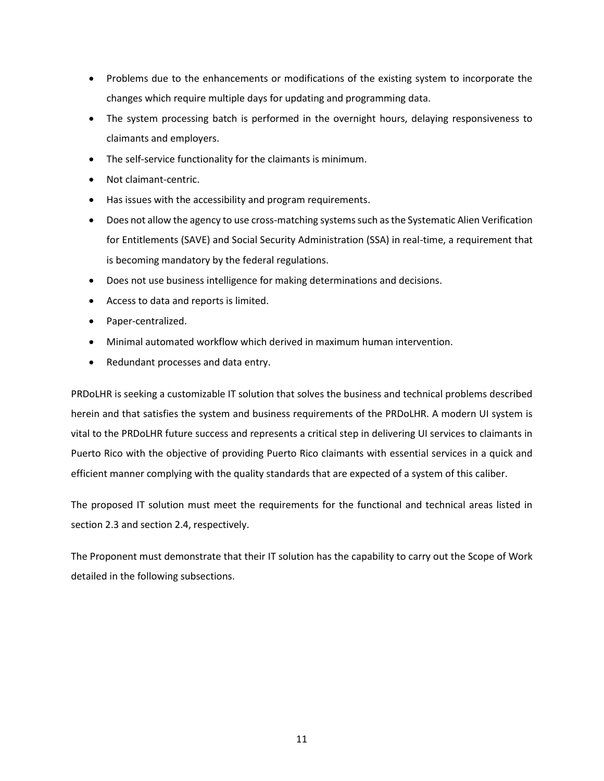- Problems due to the enhancements or modifications of the existing system to incorporate the changes which require multiple days for updating and programming data.
- The system processing batch is performed in the overnight hours, delaying responsiveness to claimants and employers.
- The self-service functionality for the claimants is minimum.
- Not claimant-centric.
- Has issues with the accessibility and program requirements.
- Does not allow the agency to use cross-matching systems such as the Systematic Alien Verification for Entitlements (SAVE) and Social Security Administration (SSA) in real-time, a requirement that is becoming mandatory by the federal regulations.
- Does not use business intelligence for making determinations and decisions.
- Access to data and reports is limited.
- Paper-centralized.
- Minimal automated workflow which derived in maximum human intervention.
- Redundant processes and data entry.

PRDoLHR is seeking a customizable IT solution that solves the business and technical problems described herein and that satisfies the system and business requirements of the PRDoLHR. A modern UI system is vital to the PRDoLHR future success and represents a critical step in delivering UI services to claimants in Puerto Rico with the objective of providing Puerto Rico claimants with essential services in a quick and efficient manner complying with the quality standards that are expected of a system of this caliber.

The proposed IT solution must meet the requirements for the functional and technical areas listed in section 2.3 and section 2.4, respectively.

The Proponent must demonstrate that their IT solution has the capability to carry out the Scope of Work detailed in the following subsections.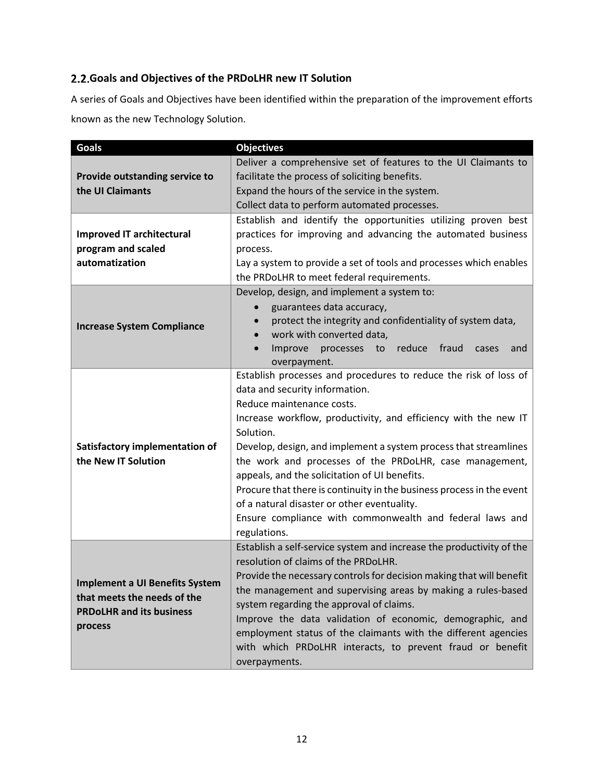# <span id="page-11-0"></span>**Goals and Objectives of the PRDoLHR new IT Solution**

A series of Goals and Objectives have been identified within the preparation of the improvement efforts known as the new Technology Solution.

| <b>Goals</b>                                                                                                       | <b>Objectives</b>                                                                                                                                                                                                                                                                                                                                                                                                                                                                                                                                                                                   |  |
|--------------------------------------------------------------------------------------------------------------------|-----------------------------------------------------------------------------------------------------------------------------------------------------------------------------------------------------------------------------------------------------------------------------------------------------------------------------------------------------------------------------------------------------------------------------------------------------------------------------------------------------------------------------------------------------------------------------------------------------|--|
| Provide outstanding service to                                                                                     | Deliver a comprehensive set of features to the UI Claimants to<br>facilitate the process of soliciting benefits.                                                                                                                                                                                                                                                                                                                                                                                                                                                                                    |  |
| the UI Claimants                                                                                                   | Expand the hours of the service in the system.                                                                                                                                                                                                                                                                                                                                                                                                                                                                                                                                                      |  |
|                                                                                                                    | Collect data to perform automated processes.                                                                                                                                                                                                                                                                                                                                                                                                                                                                                                                                                        |  |
| <b>Improved IT architectural</b><br>program and scaled<br>automatization                                           | Establish and identify the opportunities utilizing proven best<br>practices for improving and advancing the automated business<br>process.<br>Lay a system to provide a set of tools and processes which enables<br>the PRDoLHR to meet federal requirements.                                                                                                                                                                                                                                                                                                                                       |  |
| <b>Increase System Compliance</b>                                                                                  | Develop, design, and implement a system to:<br>guarantees data accuracy,<br>$\bullet$<br>protect the integrity and confidentiality of system data,<br>work with converted data,<br>$\bullet$<br>reduce<br>Improve<br>processes<br>fraud<br>to<br>cases<br>and<br>$\bullet$<br>overpayment.                                                                                                                                                                                                                                                                                                          |  |
| Satisfactory implementation of<br>the New IT Solution                                                              | Establish processes and procedures to reduce the risk of loss of<br>data and security information.<br>Reduce maintenance costs.<br>Increase workflow, productivity, and efficiency with the new IT<br>Solution.<br>Develop, design, and implement a system process that streamlines<br>the work and processes of the PRDoLHR, case management,<br>appeals, and the solicitation of UI benefits.<br>Procure that there is continuity in the business process in the event<br>of a natural disaster or other eventuality.<br>Ensure compliance with commonwealth and federal laws and<br>regulations. |  |
| <b>Implement a UI Benefits System</b><br>that meets the needs of the<br><b>PRDoLHR and its business</b><br>process | Establish a self-service system and increase the productivity of the<br>resolution of claims of the PRDoLHR.<br>Provide the necessary controls for decision making that will benefit<br>the management and supervising areas by making a rules-based<br>system regarding the approval of claims.<br>Improve the data validation of economic, demographic, and<br>employment status of the claimants with the different agencies<br>with which PRDoLHR interacts, to prevent fraud or benefit<br>overpayments.                                                                                       |  |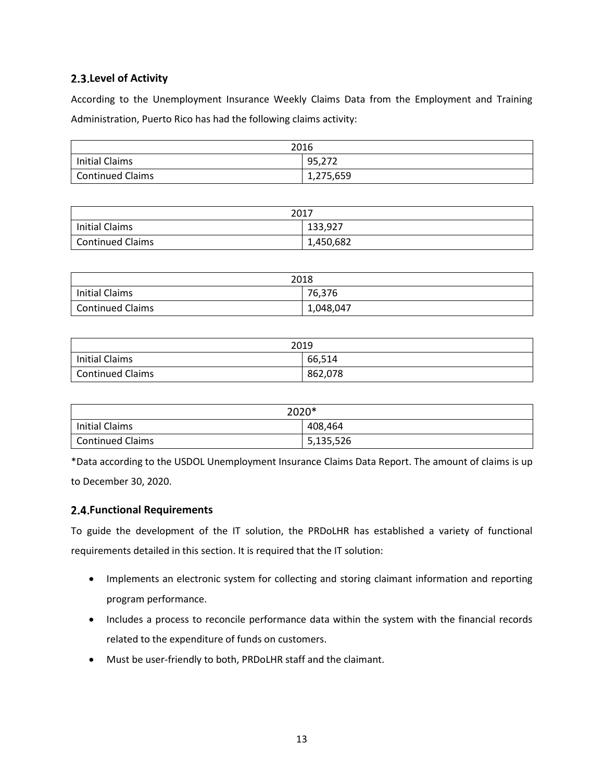## <span id="page-12-0"></span>**Level of Activity**

According to the Unemployment Insurance Weekly Claims Data from the Employment and Training Administration, Puerto Rico has had the following claims activity:

| 2016             |           |
|------------------|-----------|
| Initial Claims   | 95,272    |
| Continued Claims | 1,275,659 |

| 2017                    |           |
|-------------------------|-----------|
| Initial Claims          | 133,927   |
| <b>Continued Claims</b> | 1,450,682 |

| 2018                    |           |
|-------------------------|-----------|
| Initial Claims          | 76,376    |
| <b>Continued Claims</b> | 1,048,047 |

| 2019                    |         |
|-------------------------|---------|
| Initial Claims          | 66,514  |
| <b>Continued Claims</b> | 862,078 |

| 2020*                 |           |  |  |
|-----------------------|-----------|--|--|
| <b>Initial Claims</b> | 408,464   |  |  |
| Continued Claims      | 5,135,526 |  |  |

\*Data according to the USDOL Unemployment Insurance Claims Data Report. The amount of claims is up to December 30, 2020.

## <span id="page-12-1"></span>**Functional Requirements**

To guide the development of the IT solution, the PRDoLHR has established a variety of functional requirements detailed in this section. It is required that the IT solution:

- Implements an electronic system for collecting and storing claimant information and reporting program performance.
- Includes a process to reconcile performance data within the system with the financial records related to the expenditure of funds on customers.
- Must be user-friendly to both, PRDoLHR staff and the claimant.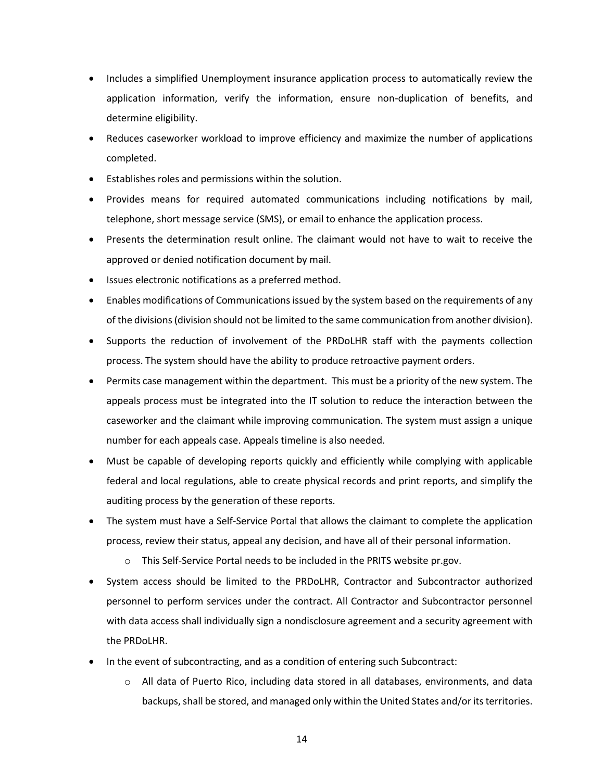- Includes a simplified Unemployment insurance application process to automatically review the application information, verify the information, ensure non-duplication of benefits, and determine eligibility.
- Reduces caseworker workload to improve efficiency and maximize the number of applications completed.
- Establishes roles and permissions within the solution.
- Provides means for required automated communications including notifications by mail, telephone, short message service (SMS), or email to enhance the application process.
- Presents the determination result online. The claimant would not have to wait to receive the approved or denied notification document by mail.
- Issues electronic notifications as a preferred method.
- Enables modifications of Communications issued by the system based on the requirements of any of the divisions(division should not be limited to the same communication from another division).
- Supports the reduction of involvement of the PRDoLHR staff with the payments collection process. The system should have the ability to produce retroactive payment orders.
- Permits case management within the department. This must be a priority of the new system. The appeals process must be integrated into the IT solution to reduce the interaction between the caseworker and the claimant while improving communication. The system must assign a unique number for each appeals case. Appeals timeline is also needed.
- Must be capable of developing reports quickly and efficiently while complying with applicable federal and local regulations, able to create physical records and print reports, and simplify the auditing process by the generation of these reports.
- The system must have a Self-Service Portal that allows the claimant to complete the application process, review their status, appeal any decision, and have all of their personal information.
	- o This Self-Service Portal needs to be included in the PRITS website pr.gov.
- System access should be limited to the PRDoLHR, Contractor and Subcontractor authorized personnel to perform services under the contract. All Contractor and Subcontractor personnel with data access shall individually sign a nondisclosure agreement and a security agreement with the PRDoLHR.
- In the event of subcontracting, and as a condition of entering such Subcontract:
	- o All data of Puerto Rico, including data stored in all databases, environments, and data backups, shall be stored, and managed only within the United States and/or its territories.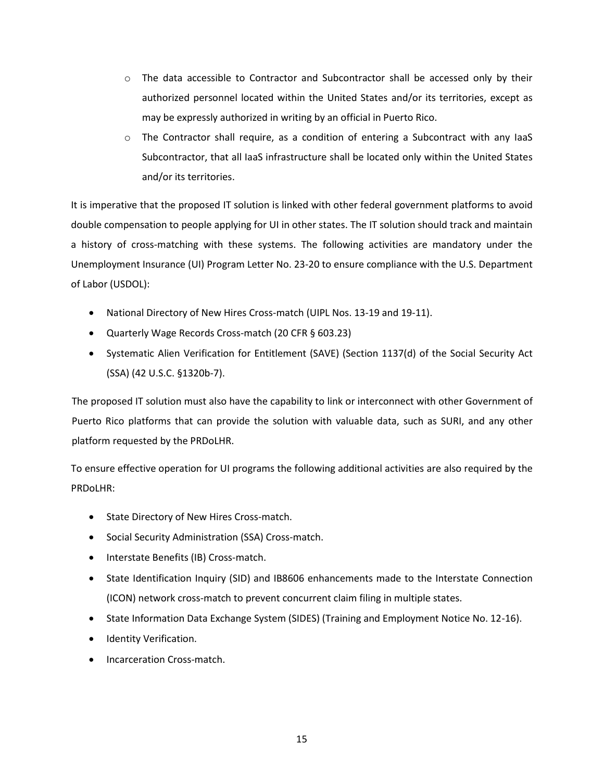- $\circ$  The data accessible to Contractor and Subcontractor shall be accessed only by their authorized personnel located within the United States and/or its territories, except as may be expressly authorized in writing by an official in Puerto Rico.
- $\circ$  The Contractor shall require, as a condition of entering a Subcontract with any IaaS Subcontractor, that all IaaS infrastructure shall be located only within the United States and/or its territories.

It is imperative that the proposed IT solution is linked with other federal government platforms to avoid double compensation to people applying for UI in other states. The IT solution should track and maintain a history of cross-matching with these systems. The following activities are mandatory under the Unemployment Insurance (UI) Program Letter No. 23-20 to ensure compliance with the U.S. Department of Labor (USDOL):

- National Directory of New Hires Cross-match (UIPL Nos. 13-19 and 19-11).
- Quarterly Wage Records Cross-match (20 CFR § 603.23)
- Systematic Alien Verification for Entitlement (SAVE) (Section 1137(d) of the Social Security Act (SSA) (42 U.S.C. §1320b-7).

The proposed IT solution must also have the capability to link or interconnect with other Government of Puerto Rico platforms that can provide the solution with valuable data, such as SURI, and any other platform requested by the PRDoLHR.

To ensure effective operation for UI programs the following additional activities are also required by the PRDoLHR:

- State Directory of New Hires Cross-match.
- Social Security Administration (SSA) Cross-match.
- Interstate Benefits (IB) Cross-match.
- State Identification Inquiry (SID) and IB8606 enhancements made to the Interstate Connection (ICON) network cross-match to prevent concurrent claim filing in multiple states.
- State Information Data Exchange System (SIDES) (Training and Employment Notice No. 12-16).
- Identity Verification.
- Incarceration Cross-match.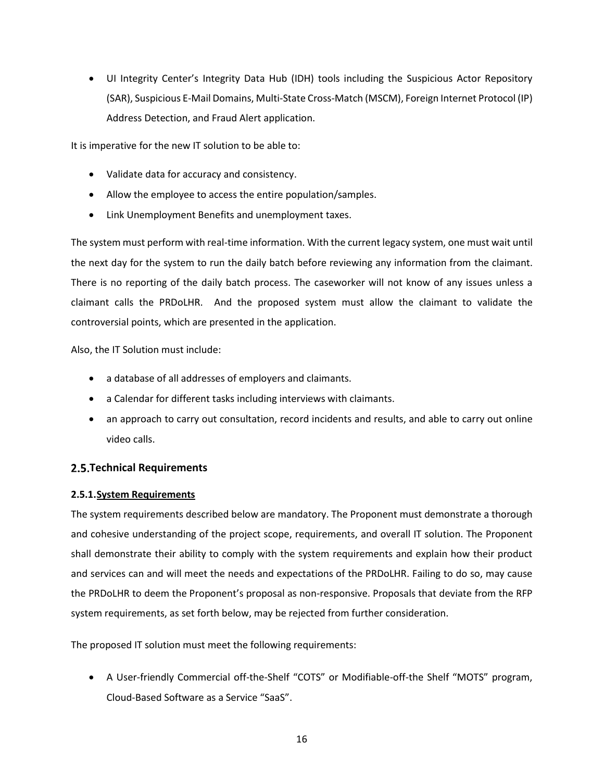• UI Integrity Center's Integrity Data Hub (IDH) tools including the Suspicious Actor Repository (SAR), Suspicious E-Mail Domains, Multi-State Cross-Match (MSCM), Foreign Internet Protocol (IP) Address Detection, and Fraud Alert application.

It is imperative for the new IT solution to be able to:

- Validate data for accuracy and consistency.
- Allow the employee to access the entire population/samples.
- Link Unemployment Benefits and unemployment taxes.

The system must perform with real-time information. With the current legacy system, one must wait until the next day for the system to run the daily batch before reviewing any information from the claimant. There is no reporting of the daily batch process. The caseworker will not know of any issues unless a claimant calls the PRDoLHR. And the proposed system must allow the claimant to validate the controversial points, which are presented in the application.

Also, the IT Solution must include:

- a database of all addresses of employers and claimants.
- a Calendar for different tasks including interviews with claimants.
- an approach to carry out consultation, record incidents and results, and able to carry out online video calls.

## <span id="page-15-0"></span>**Technical Requirements**

## <span id="page-15-1"></span>**2.5.1.System Requirements**

The system requirements described below are mandatory. The Proponent must demonstrate a thorough and cohesive understanding of the project scope, requirements, and overall IT solution. The Proponent shall demonstrate their ability to comply with the system requirements and explain how their product and services can and will meet the needs and expectations of the PRDoLHR. Failing to do so, may cause the PRDoLHR to deem the Proponent's proposal as non-responsive. Proposals that deviate from the RFP system requirements, as set forth below, may be rejected from further consideration.

The proposed IT solution must meet the following requirements:

• A User-friendly Commercial off-the-Shelf "COTS" or Modifiable-off-the Shelf "MOTS" program, Cloud-Based Software as a Service "SaaS".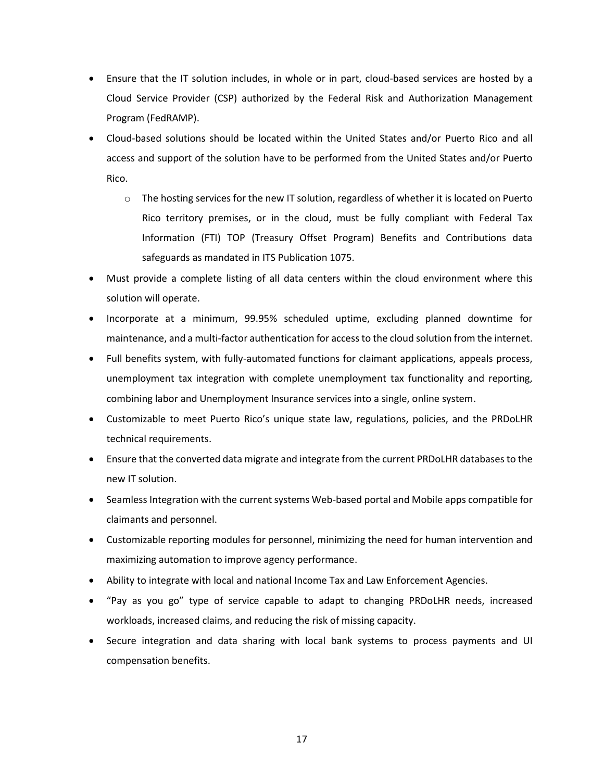- Ensure that the IT solution includes, in whole or in part, cloud-based services are hosted by a Cloud Service Provider (CSP) authorized by the Federal Risk and Authorization Management Program (FedRAMP).
- Cloud-based solutions should be located within the United States and/or Puerto Rico and all access and support of the solution have to be performed from the United States and/or Puerto Rico.
	- $\circ$  The hosting services for the new IT solution, regardless of whether it is located on Puerto Rico territory premises, or in the cloud, must be fully compliant with Federal Tax Information (FTI) TOP (Treasury Offset Program) Benefits and Contributions data safeguards as mandated in ITS Publication 1075.
- Must provide a complete listing of all data centers within the cloud environment where this solution will operate.
- Incorporate at a minimum, 99.95% scheduled uptime, excluding planned downtime for maintenance, and a multi-factor authentication for access to the cloud solution from the internet.
- Full benefits system, with fully-automated functions for claimant applications, appeals process, unemployment tax integration with complete unemployment tax functionality and reporting, combining labor and Unemployment Insurance services into a single, online system.
- Customizable to meet Puerto Rico's unique state law, regulations, policies, and the PRDoLHR technical requirements.
- Ensure that the converted data migrate and integrate from the current PRDoLHR databases to the new IT solution.
- Seamless Integration with the current systems Web-based portal and Mobile apps compatible for claimants and personnel.
- Customizable reporting modules for personnel, minimizing the need for human intervention and maximizing automation to improve agency performance.
- Ability to integrate with local and national Income Tax and Law Enforcement Agencies.
- "Pay as you go" type of service capable to adapt to changing PRDoLHR needs, increased workloads, increased claims, and reducing the risk of missing capacity.
- Secure integration and data sharing with local bank systems to process payments and UI compensation benefits.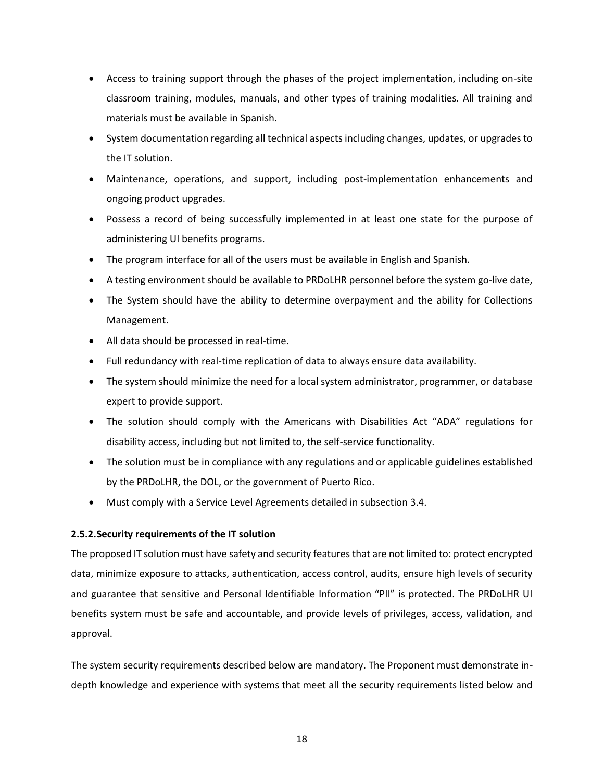- Access to training support through the phases of the project implementation, including on-site classroom training, modules, manuals, and other types of training modalities. All training and materials must be available in Spanish.
- System documentation regarding all technical aspects including changes, updates, or upgrades to the IT solution.
- Maintenance, operations, and support, including post-implementation enhancements and ongoing product upgrades.
- Possess a record of being successfully implemented in at least one state for the purpose of administering UI benefits programs.
- The program interface for all of the users must be available in English and Spanish.
- A testing environment should be available to PRDoLHR personnel before the system go-live date,
- The System should have the ability to determine overpayment and the ability for Collections Management.
- All data should be processed in real-time.
- Full redundancy with real-time replication of data to always ensure data availability.
- The system should minimize the need for a local system administrator, programmer, or database expert to provide support.
- The solution should comply with the Americans with Disabilities Act "ADA" regulations for disability access, including but not limited to, the self-service functionality.
- The solution must be in compliance with any regulations and or applicable guidelines established by the PRDoLHR, the DOL, or the government of Puerto Rico.
- Must comply with a Service Level Agreements detailed in subsection 3.4.

## <span id="page-17-0"></span>**2.5.2.Security requirements of the IT solution**

The proposed IT solution must have safety and security featuresthat are not limited to: protect encrypted data, minimize exposure to attacks, authentication, access control, audits, ensure high levels of security and guarantee that sensitive and Personal Identifiable Information "PII" is protected. The PRDoLHR UI benefits system must be safe and accountable, and provide levels of privileges, access, validation, and approval.

The system security requirements described below are mandatory. The Proponent must demonstrate indepth knowledge and experience with systems that meet all the security requirements listed below and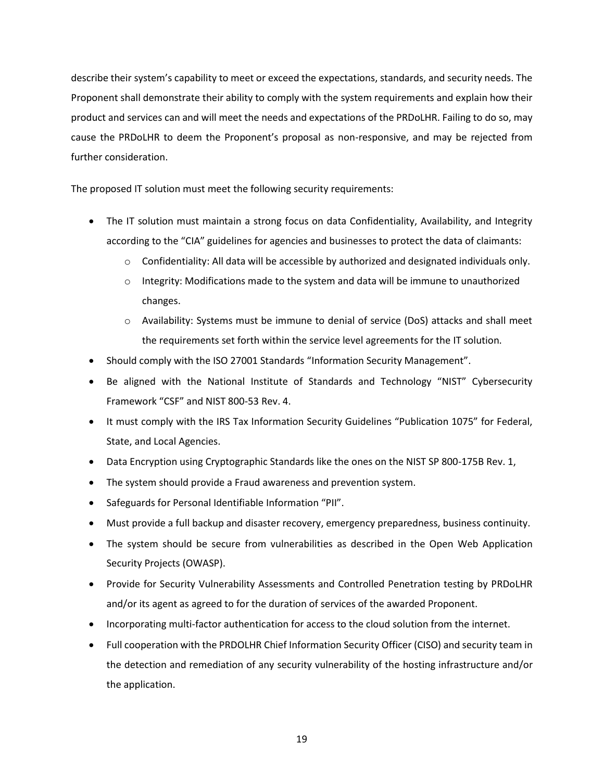describe their system's capability to meet or exceed the expectations, standards, and security needs. The Proponent shall demonstrate their ability to comply with the system requirements and explain how their product and services can and will meet the needs and expectations of the PRDoLHR. Failing to do so, may cause the PRDoLHR to deem the Proponent's proposal as non-responsive, and may be rejected from further consideration.

The proposed IT solution must meet the following security requirements:

- The IT solution must maintain a strong focus on data Confidentiality, Availability, and Integrity according to the "CIA" guidelines for agencies and businesses to protect the data of claimants:
	- $\circ$  Confidentiality: All data will be accessible by authorized and designated individuals only.
	- $\circ$  Integrity: Modifications made to the system and data will be immune to unauthorized changes.
	- o Availability: Systems must be immune to denial of service (DoS) attacks and shall meet the requirements set forth within the service level agreements for the IT solution.
- Should comply with the ISO 27001 Standards "Information Security Management".
- Be aligned with the National Institute of Standards and Technology "NIST" Cybersecurity Framework "CSF" and NIST 800-53 Rev. 4.
- It must comply with the IRS Tax Information Security Guidelines "Publication 1075" for Federal, State, and Local Agencies.
- Data Encryption using Cryptographic Standards like the ones on the NIST SP 800-175B Rev. 1,
- The system should provide a Fraud awareness and prevention system.
- Safeguards for Personal Identifiable Information "PII".
- Must provide a full backup and disaster recovery, emergency preparedness, business continuity.
- The system should be secure from vulnerabilities as described in the Open Web Application Security Projects (OWASP).
- Provide for Security Vulnerability Assessments and Controlled Penetration testing by PRDoLHR and/or its agent as agreed to for the duration of services of the awarded Proponent.
- Incorporating multi-factor authentication for access to the cloud solution from the internet.
- Full cooperation with the PRDOLHR Chief Information Security Officer (CISO) and security team in the detection and remediation of any security vulnerability of the hosting infrastructure and/or the application.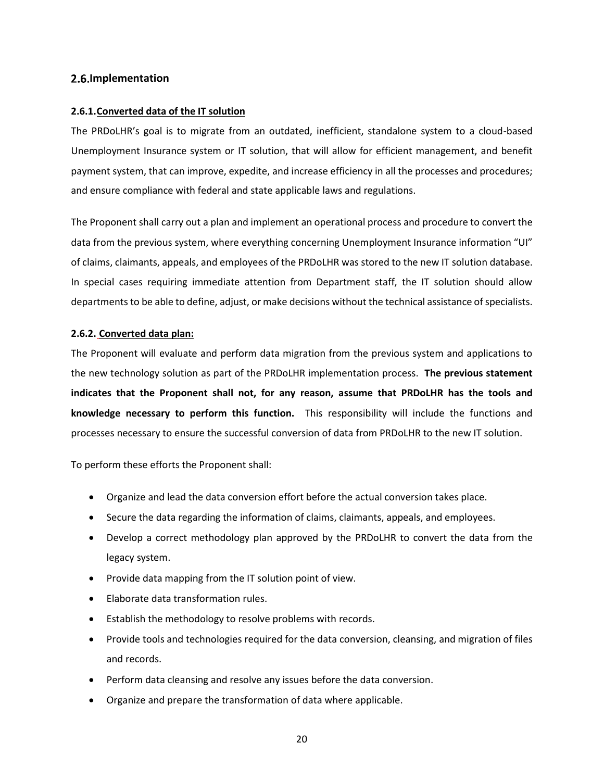## <span id="page-19-0"></span>**2.6.Implementation**

## <span id="page-19-1"></span>**2.6.1.Converted data of the IT solution**

The PRDoLHR's goal is to migrate from an outdated, inefficient, standalone system to a cloud-based Unemployment Insurance system or IT solution, that will allow for efficient management, and benefit payment system, that can improve, expedite, and increase efficiency in all the processes and procedures; and ensure compliance with federal and state applicable laws and regulations.

The Proponent shall carry out a plan and implement an operational process and procedure to convert the data from the previous system, where everything concerning Unemployment Insurance information "UI" of claims, claimants, appeals, and employees of the PRDoLHR was stored to the new IT solution database. In special cases requiring immediate attention from Department staff, the IT solution should allow departments to be able to define, adjust, or make decisions without the technical assistance of specialists.

## <span id="page-19-2"></span>**2.6.2. Converted data plan:**

The Proponent will evaluate and perform data migration from the previous system and applications to the new technology solution as part of the PRDoLHR implementation process. **The previous statement indicates that the Proponent shall not, for any reason, assume that PRDoLHR has the tools and knowledge necessary to perform this function.** This responsibility will include the functions and processes necessary to ensure the successful conversion of data from PRDoLHR to the new IT solution.

To perform these efforts the Proponent shall:

- Organize and lead the data conversion effort before the actual conversion takes place.
- Secure the data regarding the information of claims, claimants, appeals, and employees.
- Develop a correct methodology plan approved by the PRDoLHR to convert the data from the legacy system.
- Provide data mapping from the IT solution point of view.
- Elaborate data transformation rules.
- Establish the methodology to resolve problems with records.
- Provide tools and technologies required for the data conversion, cleansing, and migration of files and records.
- Perform data cleansing and resolve any issues before the data conversion.
- Organize and prepare the transformation of data where applicable.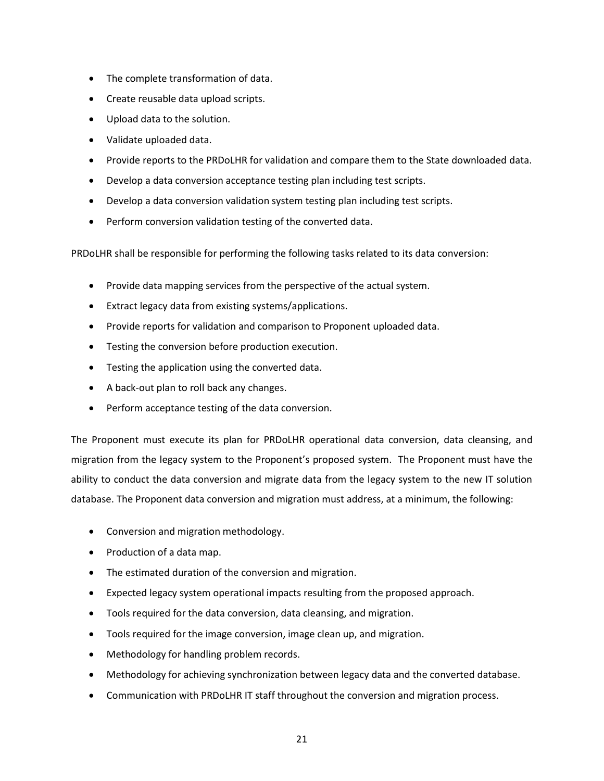- The complete transformation of data.
- Create reusable data upload scripts.
- Upload data to the solution.
- Validate uploaded data.
- Provide reports to the PRDoLHR for validation and compare them to the State downloaded data.
- Develop a data conversion acceptance testing plan including test scripts.
- Develop a data conversion validation system testing plan including test scripts.
- Perform conversion validation testing of the converted data.

PRDoLHR shall be responsible for performing the following tasks related to its data conversion:

- Provide data mapping services from the perspective of the actual system.
- Extract legacy data from existing systems/applications.
- Provide reports for validation and comparison to Proponent uploaded data.
- Testing the conversion before production execution.
- Testing the application using the converted data.
- A back-out plan to roll back any changes.
- Perform acceptance testing of the data conversion.

The Proponent must execute its plan for PRDoLHR operational data conversion, data cleansing, and migration from the legacy system to the Proponent's proposed system. The Proponent must have the ability to conduct the data conversion and migrate data from the legacy system to the new IT solution database. The Proponent data conversion and migration must address, at a minimum, the following:

- Conversion and migration methodology.
- Production of a data map.
- The estimated duration of the conversion and migration.
- Expected legacy system operational impacts resulting from the proposed approach.
- Tools required for the data conversion, data cleansing, and migration.
- Tools required for the image conversion, image clean up, and migration.
- Methodology for handling problem records.
- Methodology for achieving synchronization between legacy data and the converted database.
- Communication with PRDoLHR IT staff throughout the conversion and migration process.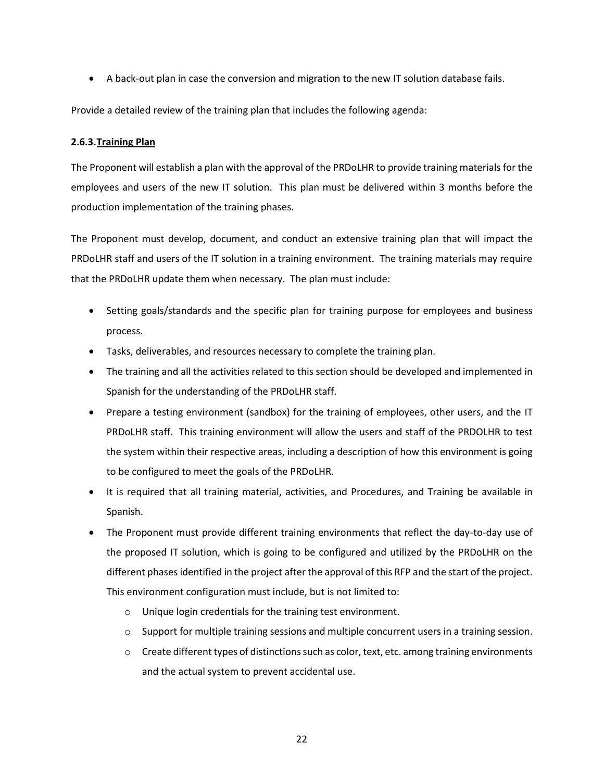• A back-out plan in case the conversion and migration to the new IT solution database fails.

Provide a detailed review of the training plan that includes the following agenda:

#### <span id="page-21-0"></span>**2.6.3.Training Plan**

The Proponent will establish a plan with the approval of the PRDoLHR to provide training materials for the employees and users of the new IT solution. This plan must be delivered within 3 months before the production implementation of the training phases.

The Proponent must develop, document, and conduct an extensive training plan that will impact the PRDoLHR staff and users of the IT solution in a training environment. The training materials may require that the PRDoLHR update them when necessary. The plan must include:

- Setting goals/standards and the specific plan for training purpose for employees and business process.
- Tasks, deliverables, and resources necessary to complete the training plan.
- The training and all the activities related to this section should be developed and implemented in Spanish for the understanding of the PRDoLHR staff.
- Prepare a testing environment (sandbox) for the training of employees, other users, and the IT PRDoLHR staff. This training environment will allow the users and staff of the PRDOLHR to test the system within their respective areas, including a description of how this environment is going to be configured to meet the goals of the PRDoLHR.
- It is required that all training material, activities, and Procedures, and Training be available in Spanish.
- The Proponent must provide different training environments that reflect the day-to-day use of the proposed IT solution, which is going to be configured and utilized by the PRDoLHR on the different phases identified in the project after the approval of this RFP and the start of the project. This environment configuration must include, but is not limited to:
	- o Unique login credentials for the training test environment.
	- $\circ$  Support for multiple training sessions and multiple concurrent users in a training session.
	- $\circ$  Create different types of distinctions such as color, text, etc. among training environments and the actual system to prevent accidental use.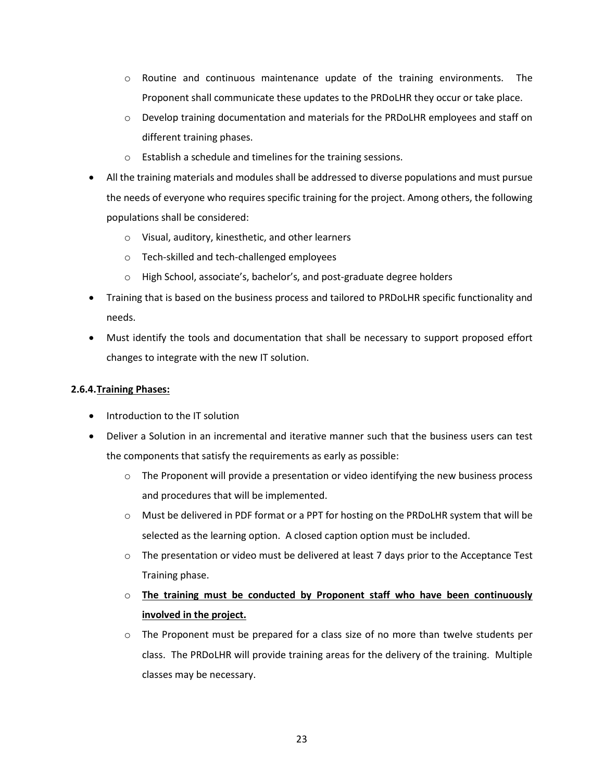- $\circ$  Routine and continuous maintenance update of the training environments. The Proponent shall communicate these updates to the PRDoLHR they occur or take place.
- o Develop training documentation and materials for the PRDoLHR employees and staff on different training phases.
- o Establish a schedule and timelines for the training sessions.
- All the training materials and modules shall be addressed to diverse populations and must pursue the needs of everyone who requires specific training for the project. Among others, the following populations shall be considered:
	- o Visual, auditory, kinesthetic, and other learners
	- o Tech-skilled and tech-challenged employees
	- o High School, associate's, bachelor's, and post-graduate degree holders
- Training that is based on the business process and tailored to PRDoLHR specific functionality and needs.
- Must identify the tools and documentation that shall be necessary to support proposed effort changes to integrate with the new IT solution.

#### <span id="page-22-0"></span>**2.6.4.Training Phases:**

- Introduction to the IT solution
- Deliver a Solution in an incremental and iterative manner such that the business users can test the components that satisfy the requirements as early as possible:
	- $\circ$  The Proponent will provide a presentation or video identifying the new business process and procedures that will be implemented.
	- o Must be delivered in PDF format or a PPT for hosting on the PRDoLHR system that will be selected as the learning option. A closed caption option must be included.
	- $\circ$  The presentation or video must be delivered at least 7 days prior to the Acceptance Test Training phase.
	- o **The training must be conducted by Proponent staff who have been continuously involved in the project.**
	- $\circ$  The Proponent must be prepared for a class size of no more than twelve students per class. The PRDoLHR will provide training areas for the delivery of the training. Multiple classes may be necessary.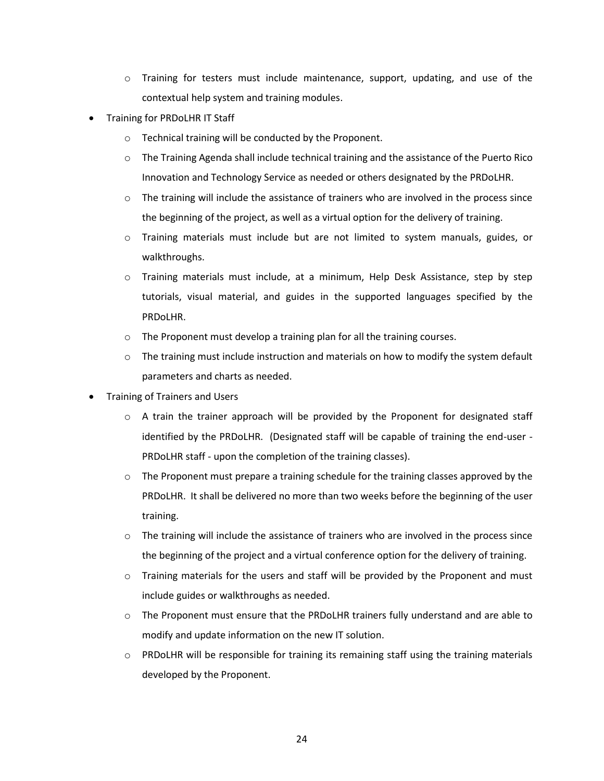- $\circ$  Training for testers must include maintenance, support, updating, and use of the contextual help system and training modules.
- Training for PRDoLHR IT Staff
	- o Technical training will be conducted by the Proponent.
	- o The Training Agenda shall include technical training and the assistance of the Puerto Rico Innovation and Technology Service as needed or others designated by the PRDoLHR.
	- $\circ$  The training will include the assistance of trainers who are involved in the process since the beginning of the project, as well as a virtual option for the delivery of training.
	- o Training materials must include but are not limited to system manuals, guides, or walkthroughs.
	- o Training materials must include, at a minimum, Help Desk Assistance, step by step tutorials, visual material, and guides in the supported languages specified by the PRDoLHR.
	- o The Proponent must develop a training plan for all the training courses.
	- $\circ$  The training must include instruction and materials on how to modify the system default parameters and charts as needed.
- Training of Trainers and Users
	- $\circ$  A train the trainer approach will be provided by the Proponent for designated staff identified by the PRDoLHR. (Designated staff will be capable of training the end-user - PRDoLHR staff - upon the completion of the training classes).
	- $\circ$  The Proponent must prepare a training schedule for the training classes approved by the PRDoLHR. It shall be delivered no more than two weeks before the beginning of the user training.
	- $\circ$  The training will include the assistance of trainers who are involved in the process since the beginning of the project and a virtual conference option for the delivery of training.
	- $\circ$  Training materials for the users and staff will be provided by the Proponent and must include guides or walkthroughs as needed.
	- $\circ$  The Proponent must ensure that the PRDoLHR trainers fully understand and are able to modify and update information on the new IT solution.
	- $\circ$  PRDoLHR will be responsible for training its remaining staff using the training materials developed by the Proponent.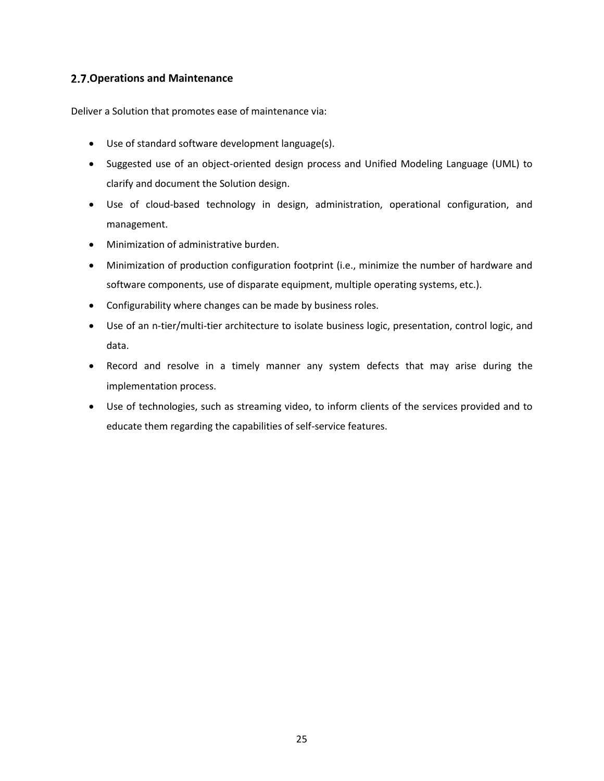## <span id="page-24-0"></span>**Operations and Maintenance**

Deliver a Solution that promotes ease of maintenance via:

- Use of standard software development language(s).
- Suggested use of an object-oriented design process and Unified Modeling Language (UML) to clarify and document the Solution design.
- Use of cloud-based technology in design, administration, operational configuration, and management.
- Minimization of administrative burden.
- Minimization of production configuration footprint (i.e., minimize the number of hardware and software components, use of disparate equipment, multiple operating systems, etc.).
- Configurability where changes can be made by business roles.
- Use of an n-tier/multi-tier architecture to isolate business logic, presentation, control logic, and data.
- Record and resolve in a timely manner any system defects that may arise during the implementation process.
- Use of technologies, such as streaming video, to inform clients of the services provided and to educate them regarding the capabilities of self-service features.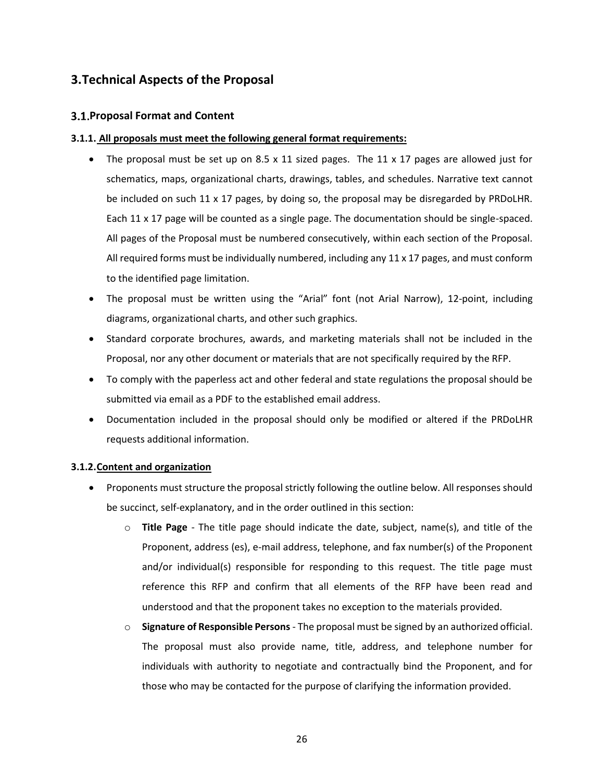# <span id="page-25-0"></span>**3.Technical Aspects of the Proposal**

## <span id="page-25-1"></span>**3.1. Proposal Format and Content**

#### **3.1.1. All proposals must meet the following general format requirements:**

- <span id="page-25-2"></span>The proposal must be set up on 8.5 x 11 sized pages. The 11 x 17 pages are allowed just for schematics, maps, organizational charts, drawings, tables, and schedules. Narrative text cannot be included on such 11 x 17 pages, by doing so, the proposal may be disregarded by PRDoLHR. Each 11 x 17 page will be counted as a single page. The documentation should be single-spaced. All pages of the Proposal must be numbered consecutively, within each section of the Proposal. All required forms must be individually numbered, including any 11 x 17 pages, and must conform to the identified page limitation.
- The proposal must be written using the "Arial" font (not Arial Narrow), 12-point, including diagrams, organizational charts, and other such graphics.
- Standard corporate brochures, awards, and marketing materials shall not be included in the Proposal, nor any other document or materials that are not specifically required by the RFP.
- To comply with the paperless act and other federal and state regulations the proposal should be submitted via email as a PDF to the established email address.
- Documentation included in the proposal should only be modified or altered if the PRDoLHR requests additional information.

## <span id="page-25-3"></span>**3.1.2.Content and organization**

- Proponents must structure the proposal strictly following the outline below. All responses should be succinct, self-explanatory, and in the order outlined in this section:
	- o **Title Page** The title page should indicate the date, subject, name(s), and title of the Proponent, address (es), e-mail address, telephone, and fax number(s) of the Proponent and/or individual(s) responsible for responding to this request. The title page must reference this RFP and confirm that all elements of the RFP have been read and understood and that the proponent takes no exception to the materials provided.
	- o **Signature of Responsible Persons** The proposal must be signed by an authorized official. The proposal must also provide name, title, address, and telephone number for individuals with authority to negotiate and contractually bind the Proponent, and for those who may be contacted for the purpose of clarifying the information provided.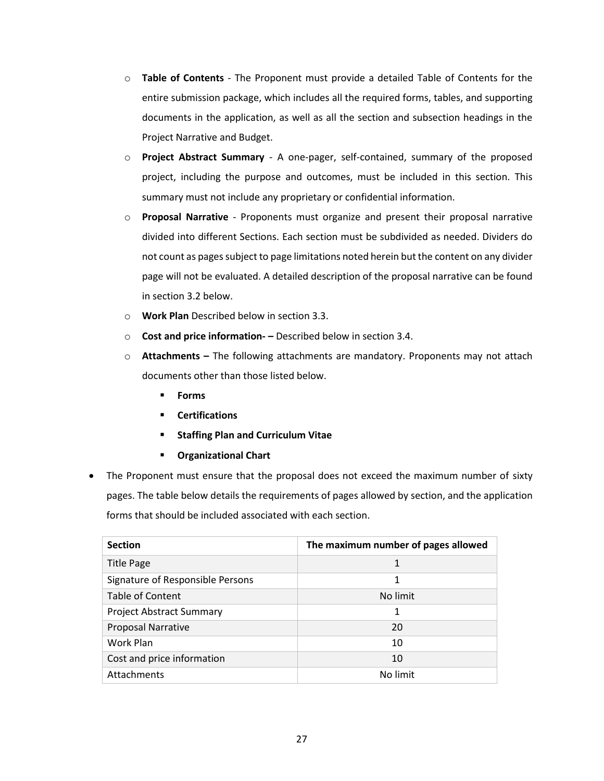- o **Table of Contents** The Proponent must provide a detailed Table of Contents for the entire submission package, which includes all the required forms, tables, and supporting documents in the application, as well as all the section and subsection headings in the Project Narrative and Budget.
- o **Project Abstract Summary** A one-pager, self-contained, summary of the proposed project, including the purpose and outcomes, must be included in this section. This summary must not include any proprietary or confidential information.
- o **Proposal Narrative** Proponents must organize and present their proposal narrative divided into different Sections. Each section must be subdivided as needed. Dividers do not count as pages subject to page limitations noted herein but the content on any divider page will not be evaluated. A detailed description of the proposal narrative can be found in section 3.2 below.
- o **Work Plan** Described below in section 3.3.
- o **Cost and price information- –** Described below in section 3.4.
- o **Attachments –** The following attachments are mandatory. Proponents may not attach documents other than those listed below.
	- **Forms**
	- **Certifications**
	- **Staffing Plan and Curriculum Vitae**
	- **Organizational Chart**
- The Proponent must ensure that the proposal does not exceed the maximum number of sixty pages. The table below details the requirements of pages allowed by section, and the application forms that should be included associated with each section.

| <b>Section</b>                   | The maximum number of pages allowed |
|----------------------------------|-------------------------------------|
| <b>Title Page</b>                | 1                                   |
| Signature of Responsible Persons | 1                                   |
| <b>Table of Content</b>          | No limit                            |
| <b>Project Abstract Summary</b>  | 1                                   |
| <b>Proposal Narrative</b>        | 20                                  |
| Work Plan                        | 10                                  |
| Cost and price information       | 10                                  |
| Attachments                      | No limit                            |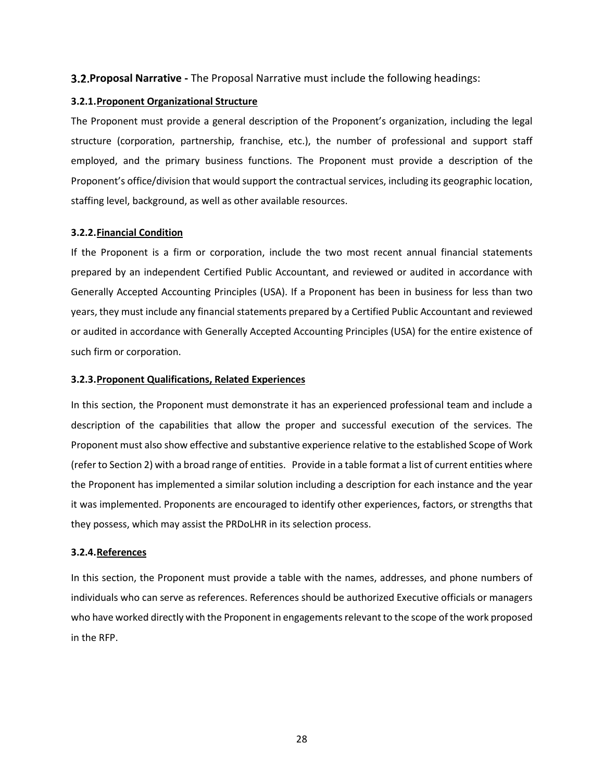## <span id="page-27-0"></span>**Proposal Narrative -** The Proposal Narrative must include the following headings:

#### <span id="page-27-1"></span>**3.2.1.Proponent Organizational Structure**

The Proponent must provide a general description of the Proponent's organization, including the legal structure (corporation, partnership, franchise, etc.), the number of professional and support staff employed, and the primary business functions. The Proponent must provide a description of the Proponent's office/division that would support the contractual services, including its geographic location, staffing level, background, as well as other available resources.

#### <span id="page-27-2"></span>**3.2.2.Financial Condition**

If the Proponent is a firm or corporation, include the two most recent annual financial statements prepared by an independent Certified Public Accountant, and reviewed or audited in accordance with Generally Accepted Accounting Principles (USA). If a Proponent has been in business for less than two years, they must include any financial statements prepared by a Certified Public Accountant and reviewed or audited in accordance with Generally Accepted Accounting Principles (USA) for the entire existence of such firm or corporation.

#### <span id="page-27-3"></span>**3.2.3.Proponent Qualifications, Related Experiences**

In this section, the Proponent must demonstrate it has an experienced professional team and include a description of the capabilities that allow the proper and successful execution of the services. The Proponent must also show effective and substantive experience relative to the established Scope of Work (refer to Section 2) with a broad range of entities. Provide in a table format a list of current entities where the Proponent has implemented a similar solution including a description for each instance and the year it was implemented. Proponents are encouraged to identify other experiences, factors, or strengths that they possess, which may assist the PRDoLHR in its selection process.

#### <span id="page-27-4"></span>**3.2.4.References**

In this section, the Proponent must provide a table with the names, addresses, and phone numbers of individuals who can serve as references. References should be authorized Executive officials or managers who have worked directly with the Proponent in engagements relevant to the scope of the work proposed in the RFP.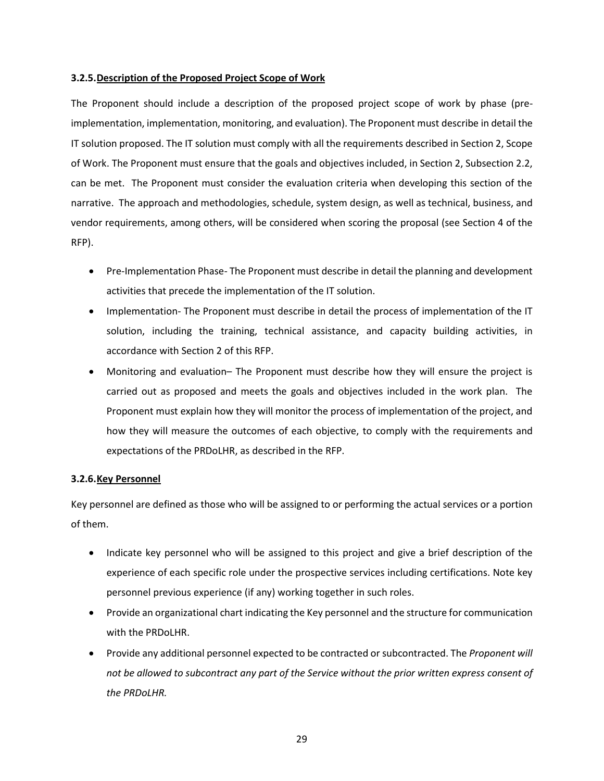#### <span id="page-28-0"></span>**3.2.5.Description of the Proposed Project Scope of Work**

The Proponent should include a description of the proposed project scope of work by phase (preimplementation, implementation, monitoring, and evaluation). The Proponent must describe in detail the IT solution proposed. The IT solution must comply with all the requirements described in Section 2, Scope of Work. The Proponent must ensure that the goals and objectives included, in Section 2, Subsection 2.2, can be met. The Proponent must consider the evaluation criteria when developing this section of the narrative. The approach and methodologies, schedule, system design, as well as technical, business, and vendor requirements, among others, will be considered when scoring the proposal (see Section 4 of the RFP).

- Pre-Implementation Phase- The Proponent must describe in detail the planning and development activities that precede the implementation of the IT solution.
- Implementation- The Proponent must describe in detail the process of implementation of the IT solution, including the training, technical assistance, and capacity building activities, in accordance with Section 2 of this RFP.
- Monitoring and evaluation– The Proponent must describe how they will ensure the project is carried out as proposed and meets the goals and objectives included in the work plan. The Proponent must explain how they will monitor the process of implementation of the project, and how they will measure the outcomes of each objective, to comply with the requirements and expectations of the PRDoLHR, as described in the RFP.

## <span id="page-28-1"></span>**3.2.6.Key Personnel**

Key personnel are defined as those who will be assigned to or performing the actual services or a portion of them.

- Indicate key personnel who will be assigned to this project and give a brief description of the experience of each specific role under the prospective services including certifications. Note key personnel previous experience (if any) working together in such roles.
- Provide an organizational chart indicating the Key personnel and the structure for communication with the PRDoLHR.
- Provide any additional personnel expected to be contracted or subcontracted. The *Proponent will not be allowed to subcontract any part of the Service without the prior written express consent of the PRDoLHR.*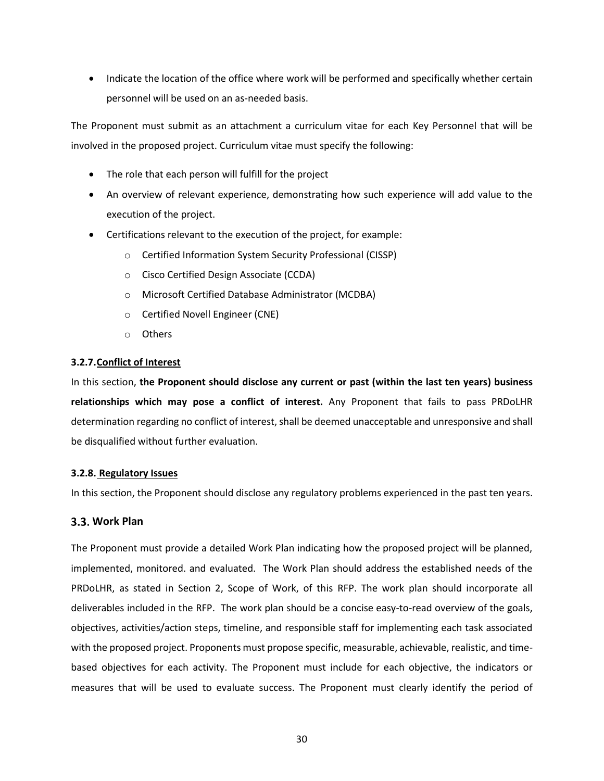• Indicate the location of the office where work will be performed and specifically whether certain personnel will be used on an as-needed basis.

The Proponent must submit as an attachment a curriculum vitae for each Key Personnel that will be involved in the proposed project. Curriculum vitae must specify the following:

- The role that each person will fulfill for the project
- An overview of relevant experience, demonstrating how such experience will add value to the execution of the project.
- Certifications relevant to the execution of the project, for example:
	- o Certified Information System Security Professional (CISSP)
	- o Cisco Certified Design Associate (CCDA)
	- o Microsoft Certified Database Administrator (MCDBA)
	- o Certified Novell Engineer (CNE)
	- o Others

## <span id="page-29-0"></span>**3.2.7.Conflict of Interest**

In this section, **the Proponent should disclose any current or past (within the last ten years) business relationships which may pose a conflict of interest.** Any Proponent that fails to pass PRDoLHR determination regarding no conflict of interest, shall be deemed unacceptable and unresponsive and shall be disqualified without further evaluation.

## <span id="page-29-1"></span>**3.2.8. Regulatory Issues**

In this section, the Proponent should disclose any regulatory problems experienced in the past ten years.

## <span id="page-29-2"></span>**Work Plan**

The Proponent must provide a detailed Work Plan indicating how the proposed project will be planned, implemented, monitored. and evaluated. The Work Plan should address the established needs of the PRDoLHR, as stated in Section 2, Scope of Work, of this RFP. The work plan should incorporate all deliverables included in the RFP. The work plan should be a concise easy-to-read overview of the goals, objectives, activities/action steps, timeline, and responsible staff for implementing each task associated with the proposed project. Proponents must propose specific, measurable, achievable, realistic, and timebased objectives for each activity. The Proponent must include for each objective, the indicators or measures that will be used to evaluate success. The Proponent must clearly identify the period of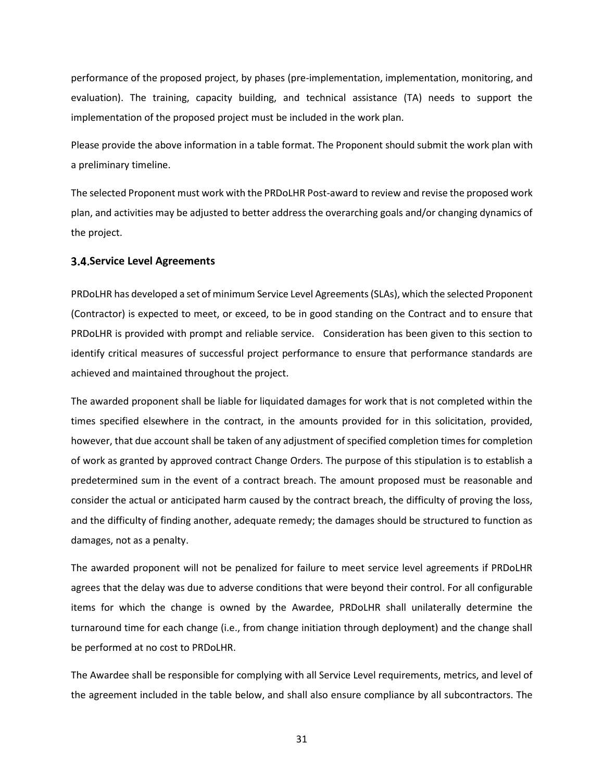performance of the proposed project, by phases (pre-implementation, implementation, monitoring, and evaluation). The training, capacity building, and technical assistance (TA) needs to support the implementation of the proposed project must be included in the work plan.

Please provide the above information in a table format. The Proponent should submit the work plan with a preliminary timeline.

The selected Proponent must work with the PRDoLHR Post-award to review and revise the proposed work plan, and activities may be adjusted to better address the overarching goals and/or changing dynamics of the project.

#### <span id="page-30-0"></span>**3.4. Service Level Agreements**

PRDoLHR has developed a set of minimum Service Level Agreements (SLAs), which the selected Proponent (Contractor) is expected to meet, or exceed, to be in good standing on the Contract and to ensure that PRDoLHR is provided with prompt and reliable service. Consideration has been given to this section to identify critical measures of successful project performance to ensure that performance standards are achieved and maintained throughout the project.

The awarded proponent shall be liable for liquidated damages for work that is not completed within the times specified elsewhere in the contract, in the amounts provided for in this solicitation, provided, however, that due account shall be taken of any adjustment of specified completion times for completion of work as granted by approved contract Change Orders. The purpose of this stipulation is to establish a predetermined sum in the event of a contract breach. The amount proposed must be reasonable and consider the actual or anticipated harm caused by the contract breach, the difficulty of proving the loss, and the difficulty of finding another, adequate remedy; the damages should be structured to function as damages, not as a penalty.

The awarded proponent will not be penalized for failure to meet service level agreements if PRDoLHR agrees that the delay was due to adverse conditions that were beyond their control. For all configurable items for which the change is owned by the Awardee, PRDoLHR shall unilaterally determine the turnaround time for each change (i.e., from change initiation through deployment) and the change shall be performed at no cost to PRDoLHR.

The Awardee shall be responsible for complying with all Service Level requirements, metrics, and level of the agreement included in the table below, and shall also ensure compliance by all subcontractors. The

31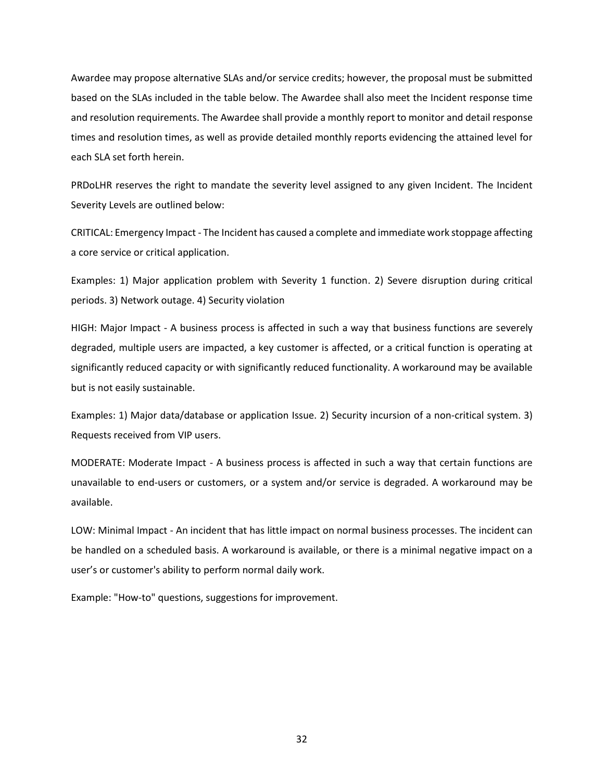Awardee may propose alternative SLAs and/or service credits; however, the proposal must be submitted based on the SLAs included in the table below. The Awardee shall also meet the Incident response time and resolution requirements. The Awardee shall provide a monthly report to monitor and detail response times and resolution times, as well as provide detailed monthly reports evidencing the attained level for each SLA set forth herein.

PRDoLHR reserves the right to mandate the severity level assigned to any given Incident. The Incident Severity Levels are outlined below:

CRITICAL: Emergency Impact - The Incident has caused a complete and immediate work stoppage affecting a core service or critical application.

Examples: 1) Major application problem with Severity 1 function. 2) Severe disruption during critical periods. 3) Network outage. 4) Security violation

HIGH: Major Impact - A business process is affected in such a way that business functions are severely degraded, multiple users are impacted, a key customer is affected, or a critical function is operating at significantly reduced capacity or with significantly reduced functionality. A workaround may be available but is not easily sustainable.

Examples: 1) Major data/database or application Issue. 2) Security incursion of a non-critical system. 3) Requests received from VIP users.

MODERATE: Moderate Impact - A business process is affected in such a way that certain functions are unavailable to end-users or customers, or a system and/or service is degraded. A workaround may be available.

LOW: Minimal Impact - An incident that has little impact on normal business processes. The incident can be handled on a scheduled basis. A workaround is available, or there is a minimal negative impact on a user's or customer's ability to perform normal daily work.

Example: "How-to" questions, suggestions for improvement.

32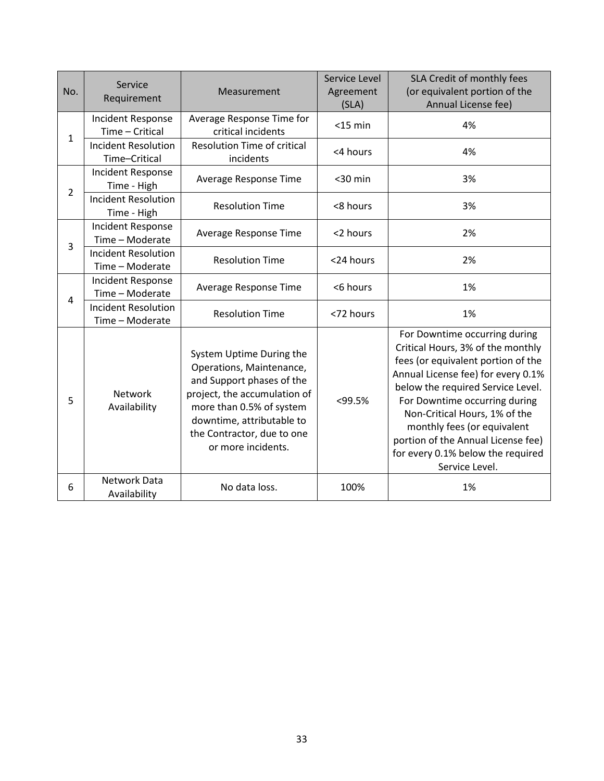| No.            | Service<br>Requirement                        | Measurement                                                                                                                                                                                                                    | Service Level<br>Agreement<br>(SLA) | SLA Credit of monthly fees<br>(or equivalent portion of the<br>Annual License fee)                                                                                                                                                                                                                                                                                                |  |  |
|----------------|-----------------------------------------------|--------------------------------------------------------------------------------------------------------------------------------------------------------------------------------------------------------------------------------|-------------------------------------|-----------------------------------------------------------------------------------------------------------------------------------------------------------------------------------------------------------------------------------------------------------------------------------------------------------------------------------------------------------------------------------|--|--|
| $\mathbf{1}$   | <b>Incident Response</b><br>Time - Critical   | Average Response Time for<br>critical incidents                                                                                                                                                                                | $<$ 15 min                          | 4%                                                                                                                                                                                                                                                                                                                                                                                |  |  |
|                | <b>Incident Resolution</b><br>Time-Critical   | <b>Resolution Time of critical</b><br>incidents                                                                                                                                                                                | <4 hours                            | 4%                                                                                                                                                                                                                                                                                                                                                                                |  |  |
| $\overline{2}$ | <b>Incident Response</b><br>Time - High       | Average Response Time                                                                                                                                                                                                          | $30$ min                            | 3%                                                                                                                                                                                                                                                                                                                                                                                |  |  |
|                | <b>Incident Resolution</b><br>Time - High     | <b>Resolution Time</b>                                                                                                                                                                                                         | <8 hours                            | 3%                                                                                                                                                                                                                                                                                                                                                                                |  |  |
| 3              | <b>Incident Response</b><br>Time - Moderate   | Average Response Time                                                                                                                                                                                                          | <2 hours                            | 2%                                                                                                                                                                                                                                                                                                                                                                                |  |  |
|                | <b>Incident Resolution</b><br>Time - Moderate | <b>Resolution Time</b>                                                                                                                                                                                                         | <24 hours                           | 2%                                                                                                                                                                                                                                                                                                                                                                                |  |  |
| 4              | <b>Incident Response</b><br>Time - Moderate   | Average Response Time                                                                                                                                                                                                          | <6 hours                            | 1%                                                                                                                                                                                                                                                                                                                                                                                |  |  |
|                | <b>Incident Resolution</b><br>Time - Moderate | <b>Resolution Time</b>                                                                                                                                                                                                         | <72 hours                           | 1%                                                                                                                                                                                                                                                                                                                                                                                |  |  |
| 5              | Network<br>Availability                       | System Uptime During the<br>Operations, Maintenance,<br>and Support phases of the<br>project, the accumulation of<br>more than 0.5% of system<br>downtime, attributable to<br>the Contractor, due to one<br>or more incidents. | <99.5%                              | For Downtime occurring during<br>Critical Hours, 3% of the monthly<br>fees (or equivalent portion of the<br>Annual License fee) for every 0.1%<br>below the required Service Level.<br>For Downtime occurring during<br>Non-Critical Hours, 1% of the<br>monthly fees (or equivalent<br>portion of the Annual License fee)<br>for every 0.1% below the required<br>Service Level. |  |  |
| 6              | Network Data<br>Availability                  | No data loss.                                                                                                                                                                                                                  | 100%                                | 1%                                                                                                                                                                                                                                                                                                                                                                                |  |  |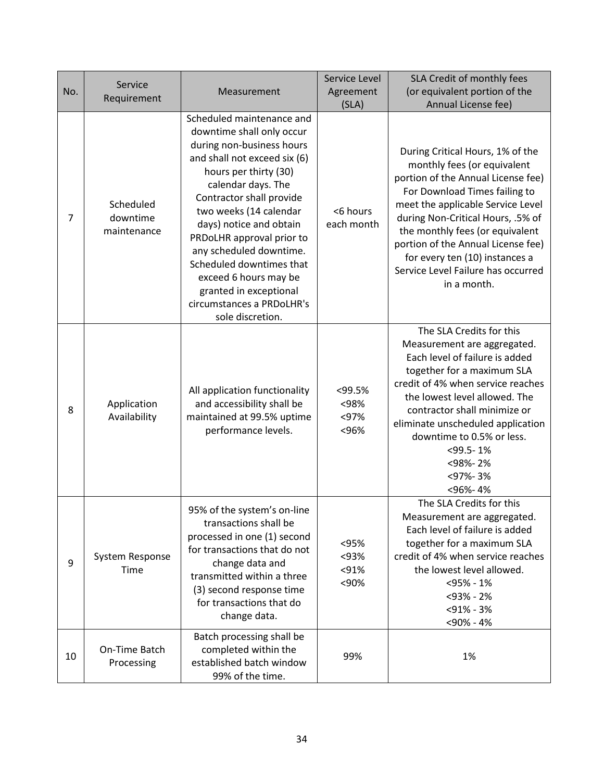| No.            | Service<br>Requirement               | Measurement                                                                                                                                                                                                                                                                                                                                                                                                                                 | Service Level<br>Agreement<br>(SLA) | SLA Credit of monthly fees<br>(or equivalent portion of the<br>Annual License fee)                                                                                                                                                                                                                                                                                               |
|----------------|--------------------------------------|---------------------------------------------------------------------------------------------------------------------------------------------------------------------------------------------------------------------------------------------------------------------------------------------------------------------------------------------------------------------------------------------------------------------------------------------|-------------------------------------|----------------------------------------------------------------------------------------------------------------------------------------------------------------------------------------------------------------------------------------------------------------------------------------------------------------------------------------------------------------------------------|
| $\overline{7}$ | Scheduled<br>downtime<br>maintenance | Scheduled maintenance and<br>downtime shall only occur<br>during non-business hours<br>and shall not exceed six (6)<br>hours per thirty (30)<br>calendar days. The<br>Contractor shall provide<br>two weeks (14 calendar<br>days) notice and obtain<br>PRDoLHR approval prior to<br>any scheduled downtime.<br>Scheduled downtimes that<br>exceed 6 hours may be<br>granted in exceptional<br>circumstances a PRDoLHR's<br>sole discretion. | <6 hours<br>each month              | During Critical Hours, 1% of the<br>monthly fees (or equivalent<br>portion of the Annual License fee)<br>For Download Times failing to<br>meet the applicable Service Level<br>during Non-Critical Hours, .5% of<br>the monthly fees (or equivalent<br>portion of the Annual License fee)<br>for every ten (10) instances a<br>Service Level Failure has occurred<br>in a month. |
| 8              | Application<br>Availability          | All application functionality<br>and accessibility shall be<br>maintained at 99.5% uptime<br>performance levels.                                                                                                                                                                                                                                                                                                                            | <99.5%<br><98%<br>< 97%<br><96%     | The SLA Credits for this<br>Measurement are aggregated.<br>Each level of failure is added<br>together for a maximum SLA<br>credit of 4% when service reaches<br>the lowest level allowed. The<br>contractor shall minimize or<br>eliminate unscheduled application<br>downtime to 0.5% or less.<br>$<$ 99.5 - 1%<br><98%-2%<br><97%-3%<br><96%-4%                                |
| 9              | System Response<br>Time              | 95% of the system's on-line<br>transactions shall be<br>processed in one (1) second<br>for transactions that do not<br>change data and<br>transmitted within a three<br>(3) second response time<br>for transactions that do<br>change data.                                                                                                                                                                                                | <95%<br>< 93%<br>< 91%<br><90%      | The SLA Credits for this<br>Measurement are aggregated.<br>Each level of failure is added<br>together for a maximum SLA<br>credit of 4% when service reaches<br>the lowest level allowed.<br>$<$ 95% - 1%<br><93% - 2%<br>$<$ 91% - 3%<br><90% - 4%                                                                                                                              |
| 10             | On-Time Batch<br>Processing          | Batch processing shall be<br>completed within the<br>established batch window<br>99% of the time.                                                                                                                                                                                                                                                                                                                                           | 99%                                 | 1%                                                                                                                                                                                                                                                                                                                                                                               |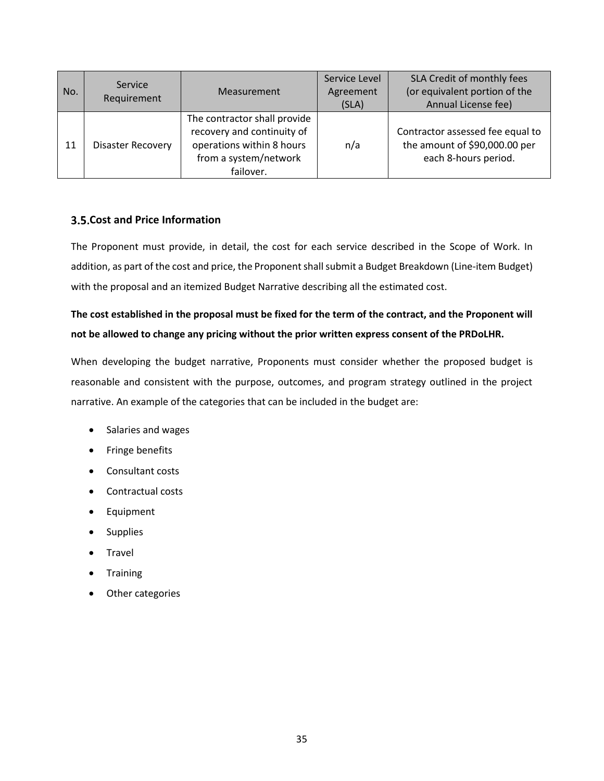| No. | Service<br>Requirement | Measurement                                                                                                                   | Service Level<br>Agreement<br>(SLA) | SLA Credit of monthly fees<br>(or equivalent portion of the<br>Annual License fee)        |  |  |
|-----|------------------------|-------------------------------------------------------------------------------------------------------------------------------|-------------------------------------|-------------------------------------------------------------------------------------------|--|--|
| 11  | Disaster Recovery      | The contractor shall provide<br>recovery and continuity of<br>operations within 8 hours<br>from a system/network<br>failover. | n/a                                 | Contractor assessed fee equal to<br>the amount of \$90,000.00 per<br>each 8-hours period. |  |  |

## <span id="page-34-0"></span>**Cost and Price Information**

The Proponent must provide, in detail, the cost for each service described in the Scope of Work. In addition, as part of the cost and price, the Proponent shall submit a Budget Breakdown (Line-item Budget) with the proposal and an itemized Budget Narrative describing all the estimated cost.

# **The cost established in the proposal must be fixed for the term of the contract, and the Proponent will not be allowed to change any pricing without the prior written express consent of the PRDoLHR.**

When developing the budget narrative, Proponents must consider whether the proposed budget is reasonable and consistent with the purpose, outcomes, and program strategy outlined in the project narrative. An example of the categories that can be included in the budget are:

- Salaries and wages
- Fringe benefits
- Consultant costs
- Contractual costs
- Equipment
- Supplies
- **Travel**
- **Training**
- Other categories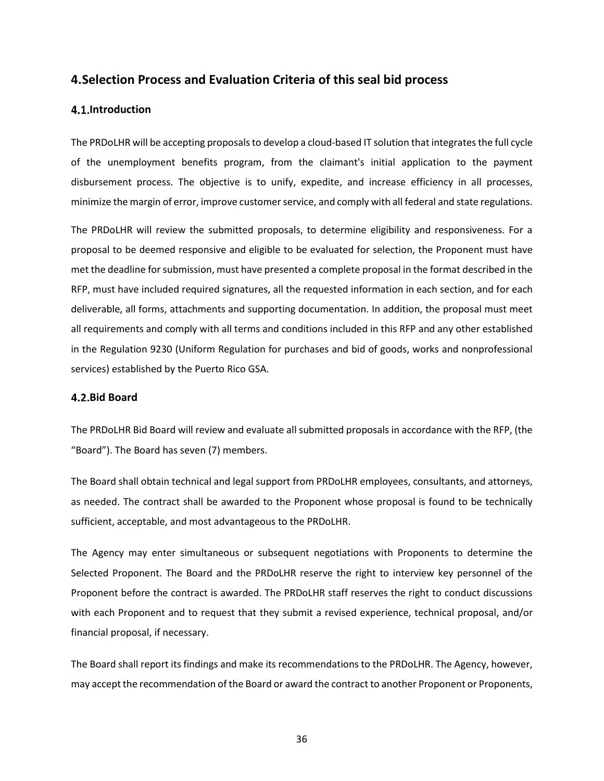## <span id="page-35-0"></span>**4.Selection Process and Evaluation Criteria of this seal bid process**

#### <span id="page-35-1"></span>**4.1.Introduction**

The PRDoLHR will be accepting proposals to develop a cloud-based IT solution that integrates the full cycle of the unemployment benefits program, from the claimant's initial application to the payment disbursement process. The objective is to unify, expedite, and increase efficiency in all processes, minimize the margin of error, improve customer service, and comply with all federal and state regulations.

The PRDoLHR will review the submitted proposals, to determine eligibility and responsiveness. For a proposal to be deemed responsive and eligible to be evaluated for selection, the Proponent must have met the deadline for submission, must have presented a complete proposal in the format described in the RFP, must have included required signatures, all the requested information in each section, and for each deliverable, all forms, attachments and supporting documentation. In addition, the proposal must meet all requirements and comply with all terms and conditions included in this RFP and any other established in the Regulation 9230 (Uniform Regulation for purchases and bid of goods, works and nonprofessional services) established by the Puerto Rico GSA.

#### **Bid Board**

The PRDoLHR Bid Board will review and evaluate all submitted proposals in accordance with the RFP, (the "Board"). The Board has seven (7) members.

The Board shall obtain technical and legal support from PRDoLHR employees, consultants, and attorneys, as needed. The contract shall be awarded to the Proponent whose proposal is found to be technically sufficient, acceptable, and most advantageous to the PRDoLHR.

The Agency may enter simultaneous or subsequent negotiations with Proponents to determine the Selected Proponent. The Board and the PRDoLHR reserve the right to interview key personnel of the Proponent before the contract is awarded. The PRDoLHR staff reserves the right to conduct discussions with each Proponent and to request that they submit a revised experience, technical proposal, and/or financial proposal, if necessary.

The Board shall report its findings and make its recommendations to the PRDoLHR. The Agency, however, may accept the recommendation of the Board or award the contract to another Proponent or Proponents,

36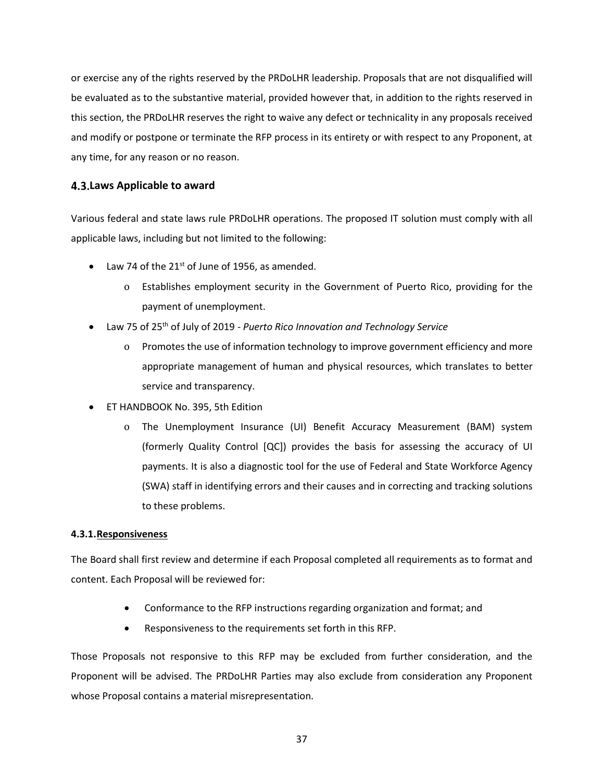or exercise any of the rights reserved by the PRDoLHR leadership. Proposals that are not disqualified will be evaluated as to the substantive material, provided however that, in addition to the rights reserved in this section, the PRDoLHR reserves the right to waive any defect or technicality in any proposals received and modify or postpone or terminate the RFP process in its entirety or with respect to any Proponent, at any time, for any reason or no reason.

## <span id="page-36-0"></span>**Laws Applicable to award**

Various federal and state laws rule PRDoLHR operations. The proposed IT solution must comply with all applicable laws, including but not limited to the following:

- Law 74 of the  $21^{st}$  of June of 1956, as amended.
	- o Establishes employment security in the Government of Puerto Rico, providing for the payment of unemployment.
- Law 75 of 25th of July of 2019 *Puerto Rico Innovation and Technology Service*
	- o Promotes the use of information technology to improve government efficiency and more appropriate management of human and physical resources, which translates to better service and transparency.
- ET HANDBOOK No. 395, 5th Edition
	- o The Unemployment Insurance (UI) Benefit Accuracy Measurement (BAM) system (formerly Quality Control [QC]) provides the basis for assessing the accuracy of UI payments. It is also a diagnostic tool for the use of Federal and State Workforce Agency (SWA) staff in identifying errors and their causes and in correcting and tracking solutions to these problems.

## <span id="page-36-1"></span>**4.3.1.Responsiveness**

The Board shall first review and determine if each Proposal completed all requirements as to format and content. Each Proposal will be reviewed for:

- Conformance to the RFP instructions regarding organization and format; and
- Responsiveness to the requirements set forth in this RFP.

Those Proposals not responsive to this RFP may be excluded from further consideration, and the Proponent will be advised. The PRDoLHR Parties may also exclude from consideration any Proponent whose Proposal contains a material misrepresentation.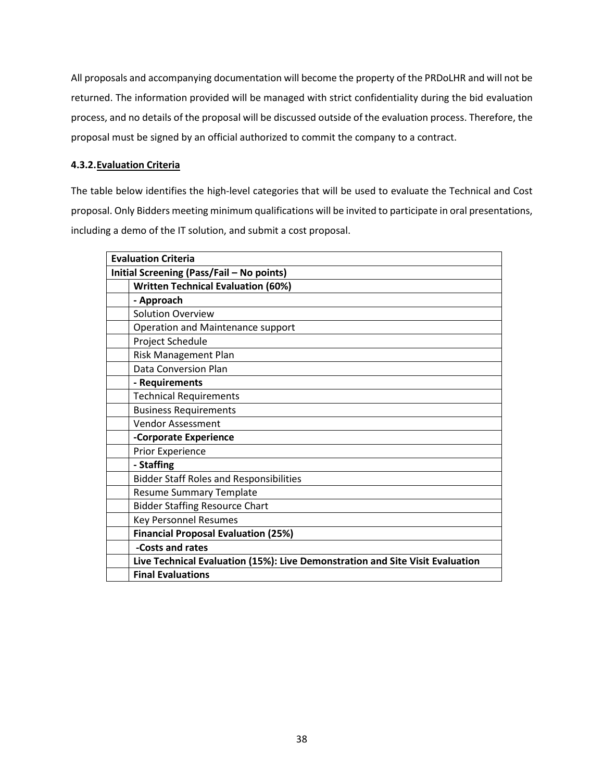All proposals and accompanying documentation will become the property of the PRDoLHR and will not be returned. The information provided will be managed with strict confidentiality during the bid evaluation process, and no details of the proposal will be discussed outside of the evaluation process. Therefore, the proposal must be signed by an official authorized to commit the company to a contract.

## <span id="page-37-0"></span>**4.3.2.Evaluation Criteria**

The table below identifies the high-level categories that will be used to evaluate the Technical and Cost proposal. Only Bidders meeting minimum qualifications will be invited to participate in oral presentations, including a demo of the IT solution, and submit a cost proposal.

| <b>Evaluation Criteria</b>                |                                                                               |  |  |  |
|-------------------------------------------|-------------------------------------------------------------------------------|--|--|--|
| Initial Screening (Pass/Fail - No points) |                                                                               |  |  |  |
|                                           | <b>Written Technical Evaluation (60%)</b>                                     |  |  |  |
|                                           | - Approach                                                                    |  |  |  |
|                                           | <b>Solution Overview</b>                                                      |  |  |  |
|                                           | Operation and Maintenance support                                             |  |  |  |
|                                           | Project Schedule                                                              |  |  |  |
|                                           | Risk Management Plan                                                          |  |  |  |
|                                           | Data Conversion Plan                                                          |  |  |  |
|                                           | - Requirements                                                                |  |  |  |
|                                           | <b>Technical Requirements</b>                                                 |  |  |  |
|                                           | <b>Business Requirements</b>                                                  |  |  |  |
|                                           | <b>Vendor Assessment</b>                                                      |  |  |  |
|                                           | -Corporate Experience                                                         |  |  |  |
|                                           | Prior Experience                                                              |  |  |  |
|                                           | - Staffing                                                                    |  |  |  |
|                                           | <b>Bidder Staff Roles and Responsibilities</b>                                |  |  |  |
|                                           | <b>Resume Summary Template</b>                                                |  |  |  |
|                                           | <b>Bidder Staffing Resource Chart</b>                                         |  |  |  |
|                                           | <b>Key Personnel Resumes</b>                                                  |  |  |  |
|                                           | <b>Financial Proposal Evaluation (25%)</b>                                    |  |  |  |
|                                           | -Costs and rates                                                              |  |  |  |
|                                           | Live Technical Evaluation (15%): Live Demonstration and Site Visit Evaluation |  |  |  |
|                                           | <b>Final Evaluations</b>                                                      |  |  |  |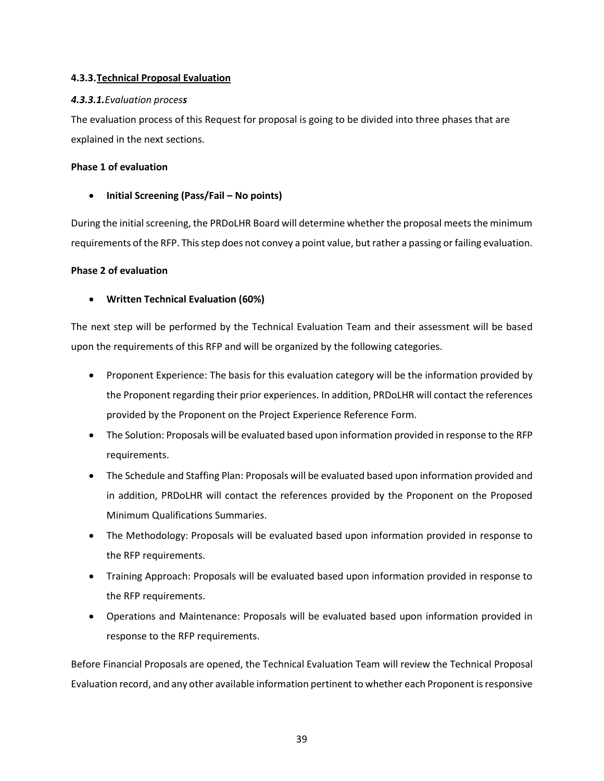## <span id="page-38-0"></span>**4.3.3.Technical Proposal Evaluation**

## *4.3.3.1.Evaluation process*

The evaluation process of this Request for proposal is going to be divided into three phases that are explained in the next sections.

## **Phase 1 of evaluation**

## • **Initial Screening (Pass/Fail – No points)**

During the initial screening, the PRDoLHR Board will determine whether the proposal meets the minimum requirements of the RFP. This step does not convey a point value, but rather a passing or failing evaluation.

## **Phase 2 of evaluation**

## • **Written Technical Evaluation (60%)**

The next step will be performed by the Technical Evaluation Team and their assessment will be based upon the requirements of this RFP and will be organized by the following categories.

- Proponent Experience: The basis for this evaluation category will be the information provided by the Proponent regarding their prior experiences. In addition, PRDoLHR will contact the references provided by the Proponent on the Project Experience Reference Form.
- The Solution: Proposals will be evaluated based upon information provided in response to the RFP requirements.
- The Schedule and Staffing Plan: Proposals will be evaluated based upon information provided and in addition, PRDoLHR will contact the references provided by the Proponent on the Proposed Minimum Qualifications Summaries.
- The Methodology: Proposals will be evaluated based upon information provided in response to the RFP requirements.
- Training Approach: Proposals will be evaluated based upon information provided in response to the RFP requirements.
- Operations and Maintenance: Proposals will be evaluated based upon information provided in response to the RFP requirements.

Before Financial Proposals are opened, the Technical Evaluation Team will review the Technical Proposal Evaluation record, and any other available information pertinent to whether each Proponent is responsive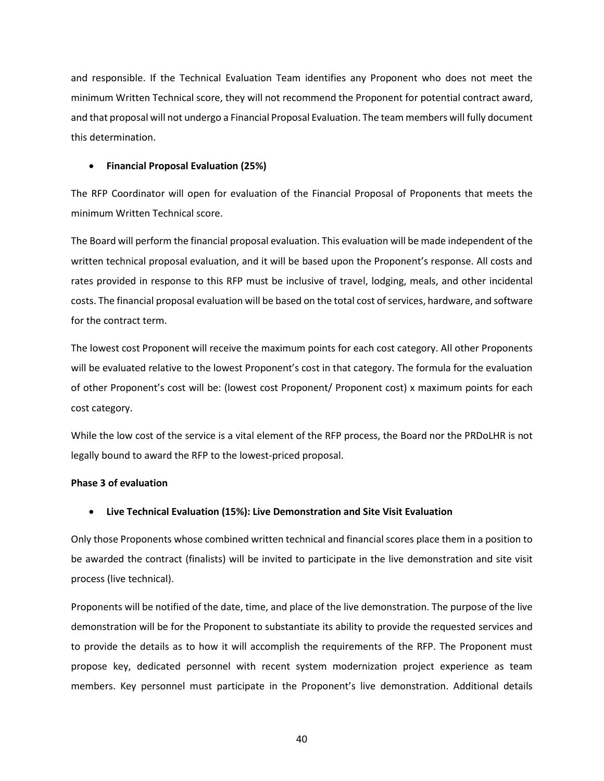and responsible. If the Technical Evaluation Team identifies any Proponent who does not meet the minimum Written Technical score, they will not recommend the Proponent for potential contract award, and that proposal will not undergo a Financial Proposal Evaluation. The team members will fully document this determination.

## • **Financial Proposal Evaluation (25%)**

The RFP Coordinator will open for evaluation of the Financial Proposal of Proponents that meets the minimum Written Technical score.

The Board will perform the financial proposal evaluation. This evaluation will be made independent of the written technical proposal evaluation, and it will be based upon the Proponent's response. All costs and rates provided in response to this RFP must be inclusive of travel, lodging, meals, and other incidental costs. The financial proposal evaluation will be based on the total cost of services, hardware, and software for the contract term.

The lowest cost Proponent will receive the maximum points for each cost category. All other Proponents will be evaluated relative to the lowest Proponent's cost in that category. The formula for the evaluation of other Proponent's cost will be: (lowest cost Proponent/ Proponent cost) x maximum points for each cost category.

While the low cost of the service is a vital element of the RFP process, the Board nor the PRDoLHR is not legally bound to award the RFP to the lowest-priced proposal.

#### **Phase 3 of evaluation**

## • **Live Technical Evaluation (15%): Live Demonstration and Site Visit Evaluation**

Only those Proponents whose combined written technical and financial scores place them in a position to be awarded the contract (finalists) will be invited to participate in the live demonstration and site visit process (live technical).

Proponents will be notified of the date, time, and place of the live demonstration. The purpose of the live demonstration will be for the Proponent to substantiate its ability to provide the requested services and to provide the details as to how it will accomplish the requirements of the RFP. The Proponent must propose key, dedicated personnel with recent system modernization project experience as team members. Key personnel must participate in the Proponent's live demonstration. Additional details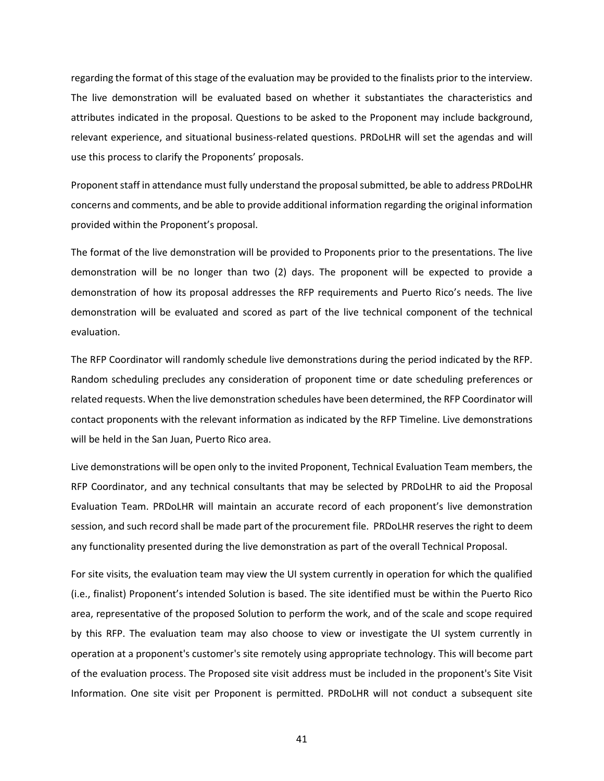regarding the format of this stage of the evaluation may be provided to the finalists prior to the interview. The live demonstration will be evaluated based on whether it substantiates the characteristics and attributes indicated in the proposal. Questions to be asked to the Proponent may include background, relevant experience, and situational business-related questions. PRDoLHR will set the agendas and will use this process to clarify the Proponents' proposals.

Proponent staff in attendance must fully understand the proposal submitted, be able to address PRDoLHR concerns and comments, and be able to provide additional information regarding the original information provided within the Proponent's proposal.

The format of the live demonstration will be provided to Proponents prior to the presentations. The live demonstration will be no longer than two (2) days. The proponent will be expected to provide a demonstration of how its proposal addresses the RFP requirements and Puerto Rico's needs. The live demonstration will be evaluated and scored as part of the live technical component of the technical evaluation.

The RFP Coordinator will randomly schedule live demonstrations during the period indicated by the RFP. Random scheduling precludes any consideration of proponent time or date scheduling preferences or related requests. When the live demonstration schedules have been determined, the RFP Coordinator will contact proponents with the relevant information as indicated by the RFP Timeline. Live demonstrations will be held in the San Juan, Puerto Rico area.

Live demonstrations will be open only to the invited Proponent, Technical Evaluation Team members, the RFP Coordinator, and any technical consultants that may be selected by PRDoLHR to aid the Proposal Evaluation Team. PRDoLHR will maintain an accurate record of each proponent's live demonstration session, and such record shall be made part of the procurement file. PRDoLHR reserves the right to deem any functionality presented during the live demonstration as part of the overall Technical Proposal.

For site visits, the evaluation team may view the UI system currently in operation for which the qualified (i.e., finalist) Proponent's intended Solution is based. The site identified must be within the Puerto Rico area, representative of the proposed Solution to perform the work, and of the scale and scope required by this RFP. The evaluation team may also choose to view or investigate the UI system currently in operation at a proponent's customer's site remotely using appropriate technology. This will become part of the evaluation process. The Proposed site visit address must be included in the proponent's Site Visit Information. One site visit per Proponent is permitted. PRDoLHR will not conduct a subsequent site

41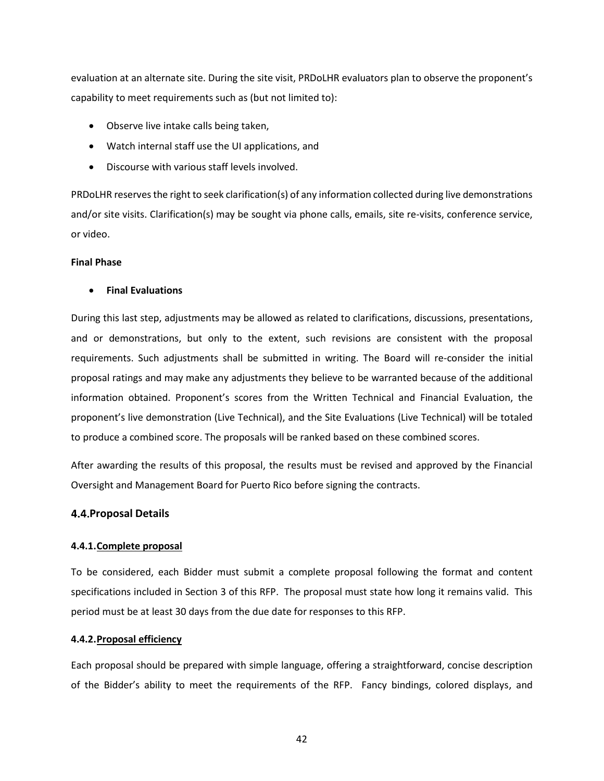evaluation at an alternate site. During the site visit, PRDoLHR evaluators plan to observe the proponent's capability to meet requirements such as (but not limited to):

- Observe live intake calls being taken,
- Watch internal staff use the UI applications, and
- Discourse with various staff levels involved.

PRDoLHR reserves the right to seek clarification(s) of any information collected during live demonstrations and/or site visits. Clarification(s) may be sought via phone calls, emails, site re-visits, conference service, or video.

#### **Final Phase**

#### • **Final Evaluations**

During this last step, adjustments may be allowed as related to clarifications, discussions, presentations, and or demonstrations, but only to the extent, such revisions are consistent with the proposal requirements. Such adjustments shall be submitted in writing. The Board will re-consider the initial proposal ratings and may make any adjustments they believe to be warranted because of the additional information obtained. Proponent's scores from the Written Technical and Financial Evaluation, the proponent's live demonstration (Live Technical), and the Site Evaluations (Live Technical) will be totaled to produce a combined score. The proposals will be ranked based on these combined scores.

After awarding the results of this proposal, the results must be revised and approved by the Financial Oversight and Management Board for Puerto Rico before signing the contracts.

#### <span id="page-41-0"></span>**Proposal Details**

#### <span id="page-41-1"></span>**4.4.1.Complete proposal**

To be considered, each Bidder must submit a complete proposal following the format and content specifications included in Section 3 of this RFP. The proposal must state how long it remains valid. This period must be at least 30 days from the due date for responses to this RFP.

#### <span id="page-41-2"></span>**4.4.2.Proposal efficiency**

Each proposal should be prepared with simple language, offering a straightforward, concise description of the Bidder's ability to meet the requirements of the RFP. Fancy bindings, colored displays, and

42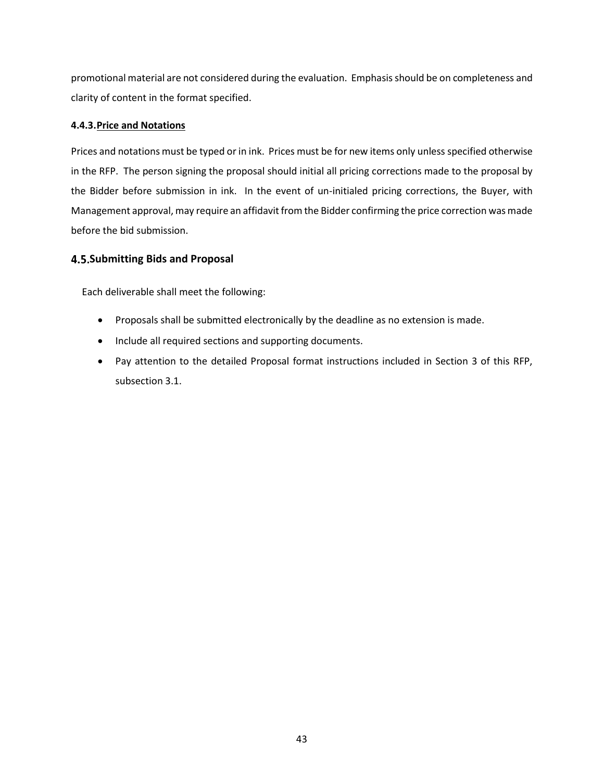promotional material are not considered during the evaluation. Emphasis should be on completeness and clarity of content in the format specified.

## <span id="page-42-0"></span>**4.4.3.Price and Notations**

Prices and notations must be typed or in ink. Prices must be for new items only unless specified otherwise in the RFP. The person signing the proposal should initial all pricing corrections made to the proposal by the Bidder before submission in ink. In the event of un-initialed pricing corrections, the Buyer, with Management approval, may require an affidavit from the Bidder confirming the price correction was made before the bid submission.

## <span id="page-42-1"></span>**Submitting Bids and Proposal**

Each deliverable shall meet the following:

- Proposals shall be submitted electronically by the deadline as no extension is made.
- Include all required sections and supporting documents.
- Pay attention to the detailed Proposal format instructions included in Section 3 of this RFP, subsection 3.1.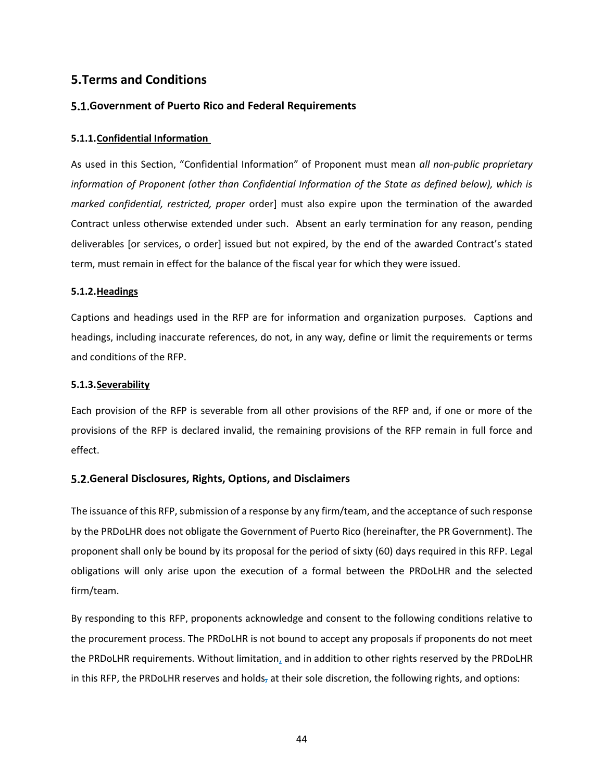# <span id="page-43-0"></span>**5.Terms and Conditions**

## <span id="page-43-1"></span>**Government of Puerto Rico and Federal Requirements**

#### <span id="page-43-2"></span>**5.1.1.Confidential Information**

As used in this Section, "Confidential Information" of Proponent must mean *all non-public proprietary information of Proponent (other than Confidential Information of the State as defined below), which is marked confidential, restricted, proper* order] must also expire upon the termination of the awarded Contract unless otherwise extended under such. Absent an early termination for any reason, pending deliverables [or services, o order] issued but not expired, by the end of the awarded Contract's stated term, must remain in effect for the balance of the fiscal year for which they were issued.

#### <span id="page-43-3"></span>**5.1.2.Headings**

Captions and headings used in the RFP are for information and organization purposes. Captions and headings, including inaccurate references, do not, in any way, define or limit the requirements or terms and conditions of the RFP.

#### <span id="page-43-4"></span>**5.1.3.Severability**

Each provision of the RFP is severable from all other provisions of the RFP and, if one or more of the provisions of the RFP is declared invalid, the remaining provisions of the RFP remain in full force and effect.

## <span id="page-43-5"></span>**General Disclosures, Rights, Options, and Disclaimers**

The issuance of this RFP, submission of a response by any firm/team, and the acceptance of such response by the PRDoLHR does not obligate the Government of Puerto Rico (hereinafter, the PR Government). The proponent shall only be bound by its proposal for the period of sixty (60) days required in this RFP. Legal obligations will only arise upon the execution of a formal between the PRDoLHR and the selected firm/team.

By responding to this RFP, proponents acknowledge and consent to the following conditions relative to the procurement process. The PRDoLHR is not bound to accept any proposals if proponents do not meet the PRDoLHR requirements. Without limitation, and in addition to other rights reserved by the PRDoLHR in this RFP, the PRDoLHR reserves and holds, at their sole discretion, the following rights, and options: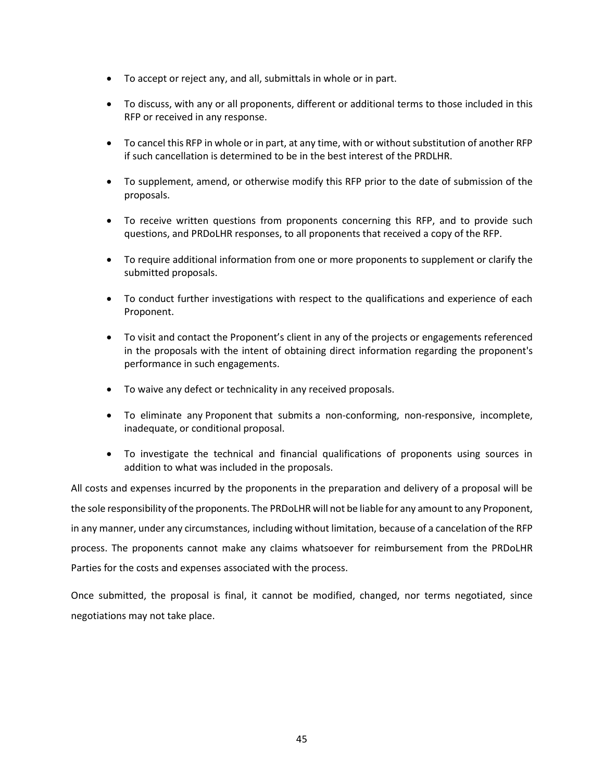- To accept or reject any, and all, submittals in whole or in part.
- To discuss, with any or all proponents, different or additional terms to those included in this RFP or received in any response.
- To cancel this RFP in whole or in part, at any time, with or without substitution of another RFP if such cancellation is determined to be in the best interest of the PRDLHR.
- To supplement, amend, or otherwise modify this RFP prior to the date of submission of the proposals.
- To receive written questions from proponents concerning this RFP, and to provide such questions, and PRDoLHR responses, to all proponents that received a copy of the RFP.
- To require additional information from one or more proponents to supplement or clarify the submitted proposals.
- To conduct further investigations with respect to the qualifications and experience of each Proponent.
- To visit and contact the Proponent's client in any of the projects or engagements referenced in the proposals with the intent of obtaining direct information regarding the proponent's performance in such engagements.
- To waive any defect or technicality in any received proposals.
- To eliminate any Proponent that submits a non-conforming, non-responsive, incomplete, inadequate, or conditional proposal.
- To investigate the technical and financial qualifications of proponents using sources in addition to what was included in the proposals.

All costs and expenses incurred by the proponents in the preparation and delivery of a proposal will be the sole responsibility of the proponents. The PRDoLHR will not be liable for any amount to any Proponent, in any manner, under any circumstances, including without limitation, because of a cancelation of the RFP process. The proponents cannot make any claims whatsoever for reimbursement from the PRDoLHR Parties for the costs and expenses associated with the process.

Once submitted, the proposal is final, it cannot be modified, changed, nor terms negotiated, since negotiations may not take place.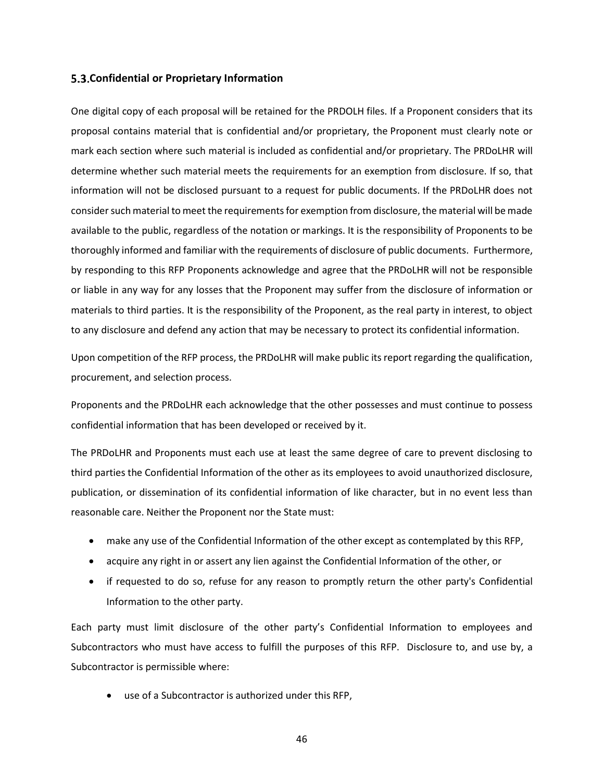#### <span id="page-45-0"></span>**Confidential or Proprietary Information**

One digital copy of each proposal will be retained for the PRDOLH files. If a Proponent considers that its proposal contains material that is confidential and/or proprietary, the Proponent must clearly note or mark each section where such material is included as confidential and/or proprietary. The PRDoLHR will determine whether such material meets the requirements for an exemption from disclosure. If so, that information will not be disclosed pursuant to a request for public documents. If the PRDoLHR does not consider such material to meet the requirements for exemption from disclosure, the material will be made available to the public, regardless of the notation or markings. It is the responsibility of Proponents to be thoroughly informed and familiar with the requirements of disclosure of public documents. Furthermore, by responding to this RFP Proponents acknowledge and agree that the PRDoLHR will not be responsible or liable in any way for any losses that the Proponent may suffer from the disclosure of information or materials to third parties. It is the responsibility of the Proponent, as the real party in interest, to object to any disclosure and defend any action that may be necessary to protect its confidential information.

Upon competition of the RFP process, the PRDoLHR will make public its report regarding the qualification, procurement, and selection process.

Proponents and the PRDoLHR each acknowledge that the other possesses and must continue to possess confidential information that has been developed or received by it.

The PRDoLHR and Proponents must each use at least the same degree of care to prevent disclosing to third parties the Confidential Information of the other as its employees to avoid unauthorized disclosure, publication, or dissemination of its confidential information of like character, but in no event less than reasonable care. Neither the Proponent nor the State must:

- make any use of the Confidential Information of the other except as contemplated by this RFP,
- acquire any right in or assert any lien against the Confidential Information of the other, or
- if requested to do so, refuse for any reason to promptly return the other party's Confidential Information to the other party.

Each party must limit disclosure of the other party's Confidential Information to employees and Subcontractors who must have access to fulfill the purposes of this RFP. Disclosure to, and use by, a Subcontractor is permissible where:

• use of a Subcontractor is authorized under this RFP,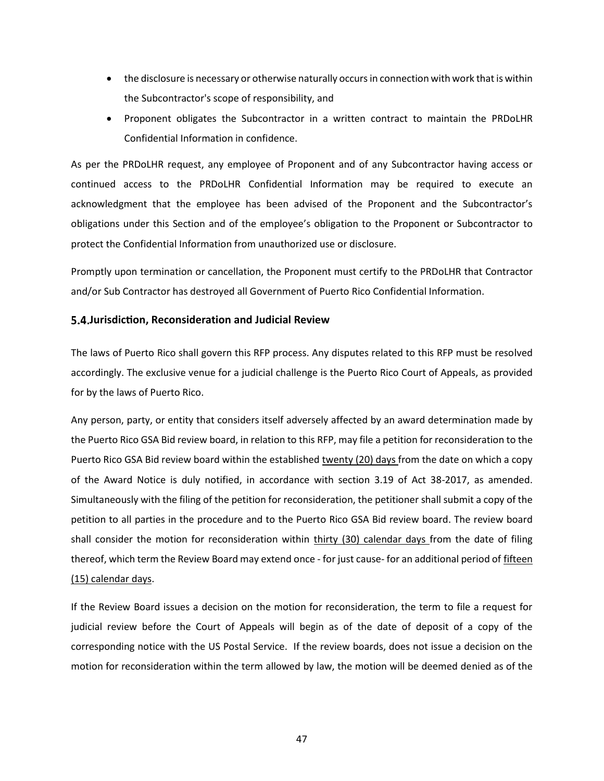- the disclosure is necessary or otherwise naturally occurs in connection with work that is within the Subcontractor's scope of responsibility, and
- Proponent obligates the Subcontractor in a written contract to maintain the PRDoLHR Confidential Information in confidence.

As per the PRDoLHR request, any employee of Proponent and of any Subcontractor having access or continued access to the PRDoLHR Confidential Information may be required to execute an acknowledgment that the employee has been advised of the Proponent and the Subcontractor's obligations under this Section and of the employee's obligation to the Proponent or Subcontractor to protect the Confidential Information from unauthorized use or disclosure.

Promptly upon termination or cancellation, the Proponent must certify to the PRDoLHR that Contractor and/or Sub Contractor has destroyed all Government of Puerto Rico Confidential Information.

## <span id="page-46-0"></span>**Jurisdiction, Reconsideration and Judicial Review**

The laws of Puerto Rico shall govern this RFP process. Any disputes related to this RFP must be resolved accordingly. The exclusive venue for a judicial challenge is the Puerto Rico Court of Appeals, as provided for by the laws of Puerto Rico.

Any person, party, or entity that considers itself adversely affected by an award determination made by the Puerto Rico GSA Bid review board, in relation to this RFP, may file a petition for reconsideration to the Puerto Rico GSA Bid review board within the established twenty (20) days from the date on which a copy of the Award Notice is duly notified, in accordance with section 3.19 of Act 38-2017, as amended. Simultaneously with the filing of the petition for reconsideration, the petitioner shall submit a copy of the petition to all parties in the procedure and to the Puerto Rico GSA Bid review board. The review board shall consider the motion for reconsideration within thirty (30) calendar days from the date of filing thereof, which term the Review Board may extend once - for just cause- for an additional period of fifteen (15) calendar days.

If the Review Board issues a decision on the motion for reconsideration, the term to file a request for judicial review before the Court of Appeals will begin as of the date of deposit of a copy of the corresponding notice with the US Postal Service. If the review boards, does not issue a decision on the motion for reconsideration within the term allowed by law, the motion will be deemed denied as of the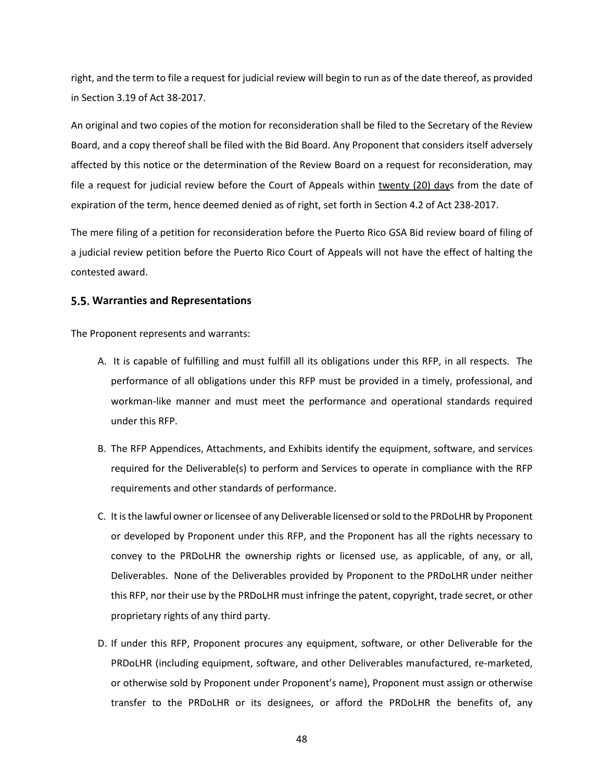right, and the term to file a request for judicial review will begin to run as of the date thereof, as provided in Section 3.19 of Act 38-2017.

An original and two copies of the motion for reconsideration shall be filed to the Secretary of the Review Board, and a copy thereof shall be filed with the Bid Board. Any Proponent that considers itself adversely affected by this notice or the determination of the Review Board on a request for reconsideration, may file a request for judicial review before the Court of Appeals within twenty (20) days from the date of expiration of the term, hence deemed denied as of right, set forth in Section 4.2 of Act 238-2017.

The mere filing of a petition for reconsideration before the Puerto Rico GSA Bid review board of filing of a judicial review petition before the Puerto Rico Court of Appeals will not have the effect of halting the contested award.

#### <span id="page-47-0"></span>**Warranties and Representations**

The Proponent represents and warrants:

- A. It is capable of fulfilling and must fulfill all its obligations under this RFP, in all respects. The performance of all obligations under this RFP must be provided in a timely, professional, and workman-like manner and must meet the performance and operational standards required under this RFP.
- B. The RFP Appendices, Attachments, and Exhibits identify the equipment, software, and services required for the Deliverable(s) to perform and Services to operate in compliance with the RFP requirements and other standards of performance.
- C. It is the lawful owner or licensee of any Deliverable licensed or sold to the PRDoLHR by Proponent or developed by Proponent under this RFP, and the Proponent has all the rights necessary to convey to the PRDoLHR the ownership rights or licensed use, as applicable, of any, or all, Deliverables. None of the Deliverables provided by Proponent to the PRDoLHR under neither this RFP, nor their use by the PRDoLHR must infringe the patent, copyright, trade secret, or other proprietary rights of any third party.
- D. If under this RFP, Proponent procures any equipment, software, or other Deliverable for the PRDoLHR (including equipment, software, and other Deliverables manufactured, re-marketed, or otherwise sold by Proponent under Proponent's name), Proponent must assign or otherwise transfer to the PRDoLHR or its designees, or afford the PRDoLHR the benefits of, any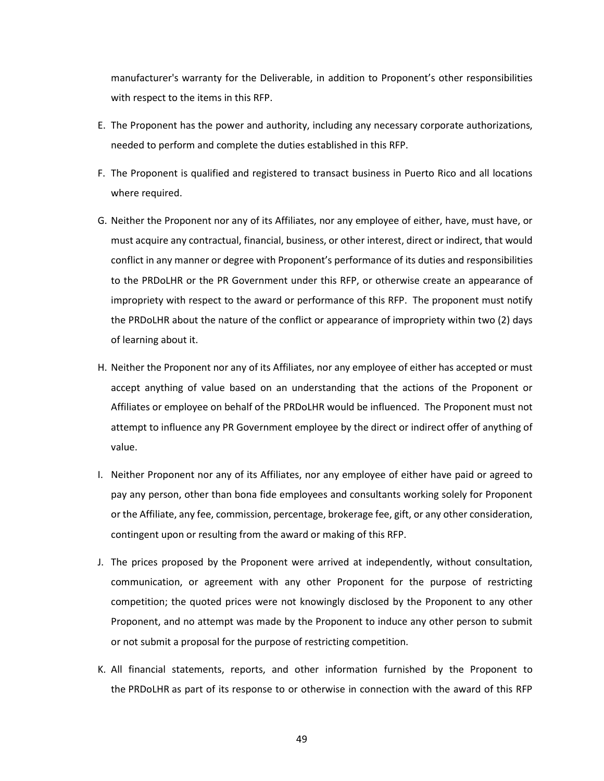manufacturer's warranty for the Deliverable, in addition to Proponent's other responsibilities with respect to the items in this RFP.

- E. The Proponent has the power and authority, including any necessary corporate authorizations, needed to perform and complete the duties established in this RFP.
- F. The Proponent is qualified and registered to transact business in Puerto Rico and all locations where required.
- G. Neither the Proponent nor any of its Affiliates, nor any employee of either, have, must have, or must acquire any contractual, financial, business, or other interest, direct or indirect, that would conflict in any manner or degree with Proponent's performance of its duties and responsibilities to the PRDoLHR or the PR Government under this RFP, or otherwise create an appearance of impropriety with respect to the award or performance of this RFP. The proponent must notify the PRDoLHR about the nature of the conflict or appearance of impropriety within two (2) days of learning about it.
- H. Neither the Proponent nor any of its Affiliates, nor any employee of either has accepted or must accept anything of value based on an understanding that the actions of the Proponent or Affiliates or employee on behalf of the PRDoLHR would be influenced. The Proponent must not attempt to influence any PR Government employee by the direct or indirect offer of anything of value.
- I. Neither Proponent nor any of its Affiliates, nor any employee of either have paid or agreed to pay any person, other than bona fide employees and consultants working solely for Proponent or the Affiliate, any fee, commission, percentage, brokerage fee, gift, or any other consideration, contingent upon or resulting from the award or making of this RFP.
- J. The prices proposed by the Proponent were arrived at independently, without consultation, communication, or agreement with any other Proponent for the purpose of restricting competition; the quoted prices were not knowingly disclosed by the Proponent to any other Proponent, and no attempt was made by the Proponent to induce any other person to submit or not submit a proposal for the purpose of restricting competition.
- K. All financial statements, reports, and other information furnished by the Proponent to the PRDoLHR as part of its response to or otherwise in connection with the award of this RFP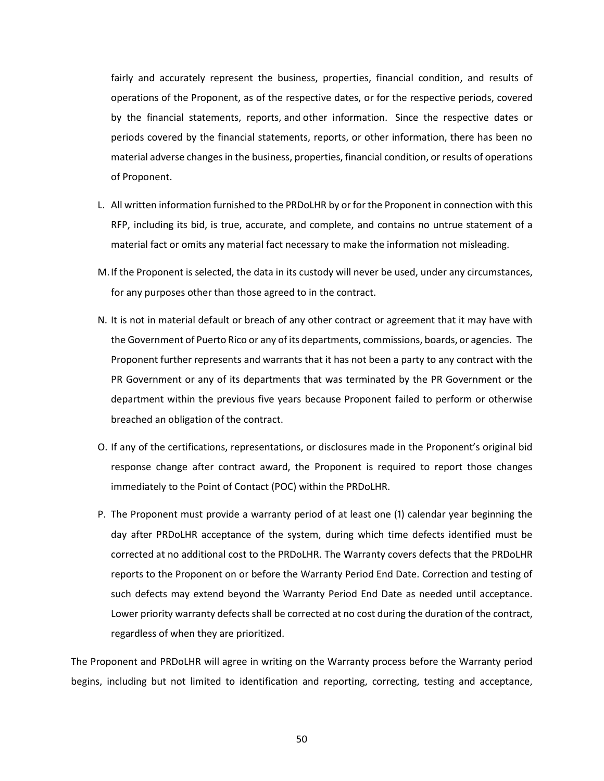fairly and accurately represent the business, properties, financial condition, and results of operations of the Proponent, as of the respective dates, or for the respective periods, covered by the financial statements, reports, and other information. Since the respective dates or periods covered by the financial statements, reports, or other information, there has been no material adverse changes in the business, properties, financial condition, or results of operations of Proponent.

- L. All written information furnished to the PRDoLHR by or for the Proponent in connection with this RFP, including its bid, is true, accurate, and complete, and contains no untrue statement of a material fact or omits any material fact necessary to make the information not misleading.
- M.If the Proponent is selected, the data in its custody will never be used, under any circumstances, for any purposes other than those agreed to in the contract.
- N. It is not in material default or breach of any other contract or agreement that it may have with the Government of Puerto Rico or any of its departments, commissions, boards, or agencies. The Proponent further represents and warrants that it has not been a party to any contract with the PR Government or any of its departments that was terminated by the PR Government or the department within the previous five years because Proponent failed to perform or otherwise breached an obligation of the contract.
- O. If any of the certifications, representations, or disclosures made in the Proponent's original bid response change after contract award, the Proponent is required to report those changes immediately to the Point of Contact (POC) within the PRDoLHR.
- P. The Proponent must provide a warranty period of at least one (1) calendar year beginning the day after PRDoLHR acceptance of the system, during which time defects identified must be corrected at no additional cost to the PRDoLHR. The Warranty covers defects that the PRDoLHR reports to the Proponent on or before the Warranty Period End Date. Correction and testing of such defects may extend beyond the Warranty Period End Date as needed until acceptance. Lower priority warranty defects shall be corrected at no cost during the duration of the contract, regardless of when they are prioritized.

The Proponent and PRDoLHR will agree in writing on the Warranty process before the Warranty period begins, including but not limited to identification and reporting, correcting, testing and acceptance,

50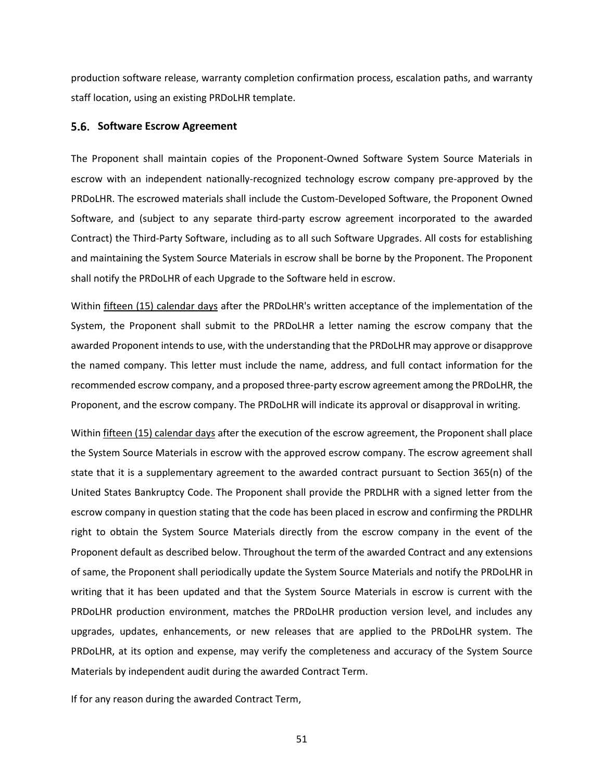production software release, warranty completion confirmation process, escalation paths, and warranty staff location, using an existing PRDoLHR template.

#### <span id="page-50-0"></span>**5.6. Software Escrow Agreement**

The Proponent shall maintain copies of the Proponent-Owned Software System Source Materials in escrow with an independent nationally-recognized technology escrow company pre-approved by the PRDoLHR. The escrowed materials shall include the Custom-Developed Software, the Proponent Owned Software, and (subject to any separate third-party escrow agreement incorporated to the awarded Contract) the Third-Party Software, including as to all such Software Upgrades. All costs for establishing and maintaining the System Source Materials in escrow shall be borne by the Proponent. The Proponent shall notify the PRDoLHR of each Upgrade to the Software held in escrow.

Within fifteen (15) calendar days after the PRDoLHR's written acceptance of the implementation of the System, the Proponent shall submit to the PRDoLHR a letter naming the escrow company that the awarded Proponent intends to use, with the understanding that the PRDoLHR may approve or disapprove the named company. This letter must include the name, address, and full contact information for the recommended escrow company, and a proposed three-party escrow agreement among the PRDoLHR, the Proponent, and the escrow company. The PRDoLHR will indicate its approval or disapproval in writing.

Within fifteen (15) calendar days after the execution of the escrow agreement, the Proponent shall place the System Source Materials in escrow with the approved escrow company. The escrow agreement shall state that it is a supplementary agreement to the awarded contract pursuant to Section 365(n) of the United States Bankruptcy Code. The Proponent shall provide the PRDLHR with a signed letter from the escrow company in question stating that the code has been placed in escrow and confirming the PRDLHR right to obtain the System Source Materials directly from the escrow company in the event of the Proponent default as described below. Throughout the term of the awarded Contract and any extensions of same, the Proponent shall periodically update the System Source Materials and notify the PRDoLHR in writing that it has been updated and that the System Source Materials in escrow is current with the PRDoLHR production environment, matches the PRDoLHR production version level, and includes any upgrades, updates, enhancements, or new releases that are applied to the PRDoLHR system. The PRDoLHR, at its option and expense, may verify the completeness and accuracy of the System Source Materials by independent audit during the awarded Contract Term.

If for any reason during the awarded Contract Term,

51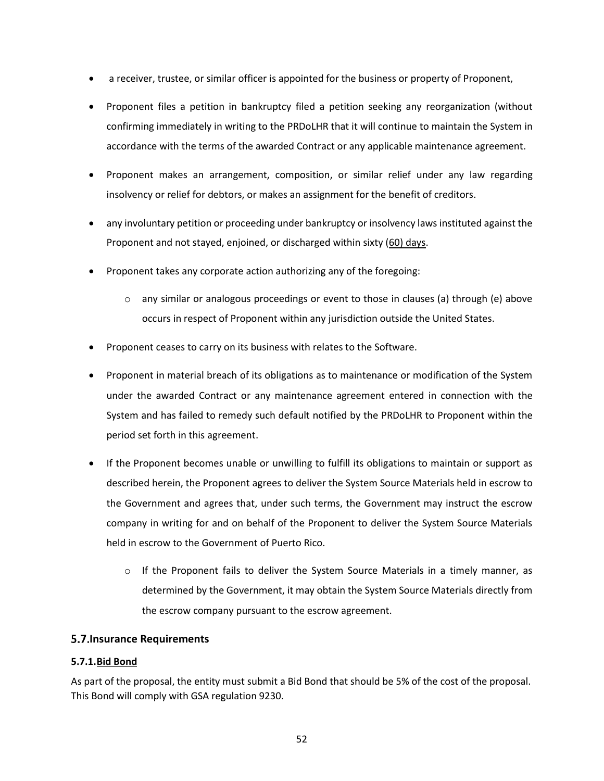- a receiver, trustee, or similar officer is appointed for the business or property of Proponent,
- Proponent files a petition in bankruptcy filed a petition seeking any reorganization (without confirming immediately in writing to the PRDoLHR that it will continue to maintain the System in accordance with the terms of the awarded Contract or any applicable maintenance agreement.
- Proponent makes an arrangement, composition, or similar relief under any law regarding insolvency or relief for debtors, or makes an assignment for the benefit of creditors.
- any involuntary petition or proceeding under bankruptcy or insolvency laws instituted against the Proponent and not stayed, enjoined, or discharged within sixty (60) days.
- Proponent takes any corporate action authorizing any of the foregoing:
	- $\circ$  any similar or analogous proceedings or event to those in clauses (a) through (e) above occurs in respect of Proponent within any jurisdiction outside the United States.
- Proponent ceases to carry on its business with relates to the Software.
- Proponent in material breach of its obligations as to maintenance or modification of the System under the awarded Contract or any maintenance agreement entered in connection with the System and has failed to remedy such default notified by the PRDoLHR to Proponent within the period set forth in this agreement.
- If the Proponent becomes unable or unwilling to fulfill its obligations to maintain or support as described herein, the Proponent agrees to deliver the System Source Materials held in escrow to the Government and agrees that, under such terms, the Government may instruct the escrow company in writing for and on behalf of the Proponent to deliver the System Source Materials held in escrow to the Government of Puerto Rico.
	- $\circ$  If the Proponent fails to deliver the System Source Materials in a timely manner, as determined by the Government, it may obtain the System Source Materials directly from the escrow company pursuant to the escrow agreement.

## <span id="page-51-0"></span>**Insurance Requirements**

## <span id="page-51-1"></span>**5.7.1.Bid Bond**

As part of the proposal, the entity must submit a Bid Bond that should be 5% of the cost of the proposal. This Bond will comply with GSA regulation 9230.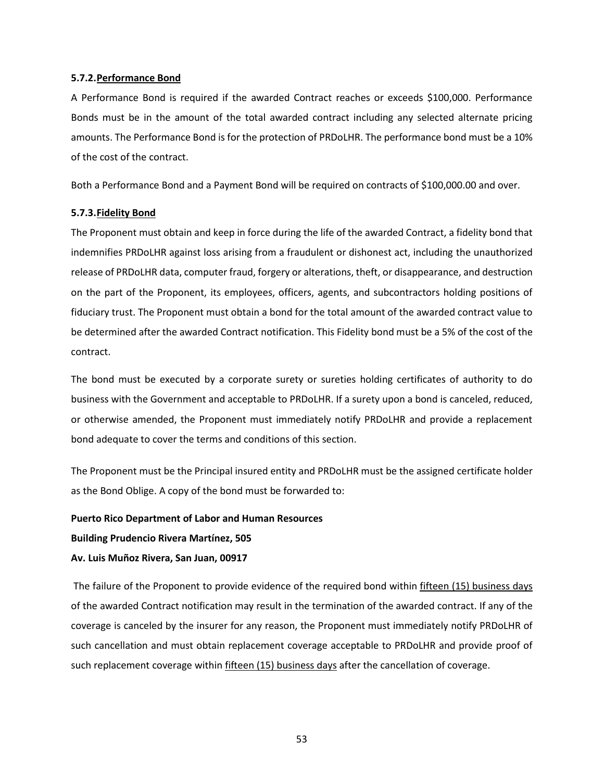#### <span id="page-52-0"></span>**5.7.2.Performance Bond**

A Performance Bond is required if the awarded Contract reaches or exceeds \$100,000. Performance Bonds must be in the amount of the total awarded contract including any selected alternate pricing amounts. The Performance Bond is for the protection of PRDoLHR. The performance bond must be a 10% of the cost of the contract.

Both a Performance Bond and a Payment Bond will be required on contracts of \$100,000.00 and over.

#### <span id="page-52-1"></span>**5.7.3.Fidelity Bond**

The Proponent must obtain and keep in force during the life of the awarded Contract, a fidelity bond that indemnifies PRDoLHR against loss arising from a fraudulent or dishonest act, including the unauthorized release of PRDoLHR data, computer fraud, forgery or alterations, theft, or disappearance, and destruction on the part of the Proponent, its employees, officers, agents, and subcontractors holding positions of fiduciary trust. The Proponent must obtain a bond for the total amount of the awarded contract value to be determined after the awarded Contract notification. This Fidelity bond must be a 5% of the cost of the contract.

The bond must be executed by a corporate surety or sureties holding certificates of authority to do business with the Government and acceptable to PRDoLHR. If a surety upon a bond is canceled, reduced, or otherwise amended, the Proponent must immediately notify PRDoLHR and provide a replacement bond adequate to cover the terms and conditions of this section.

The Proponent must be the Principal insured entity and PRDoLHR must be the assigned certificate holder as the Bond Oblige. A copy of the bond must be forwarded to:

#### **Puerto Rico Department of Labor and Human Resources**

**Building Prudencio Rivera Martínez, 505**

#### **Av. Luis Muñoz Rivera, San Juan, 00917**

The failure of the Proponent to provide evidence of the required bond within fifteen (15) business days of the awarded Contract notification may result in the termination of the awarded contract. If any of the coverage is canceled by the insurer for any reason, the Proponent must immediately notify PRDoLHR of such cancellation and must obtain replacement coverage acceptable to PRDoLHR and provide proof of such replacement coverage within fifteen (15) business days after the cancellation of coverage.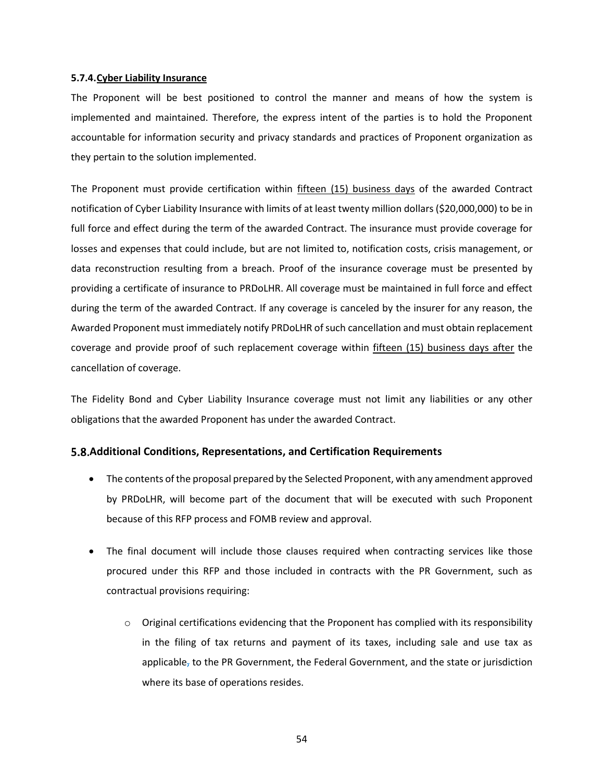#### **5.7.4.Cyber Liability Insurance**

The Proponent will be best positioned to control the manner and means of how the system is implemented and maintained. Therefore, the express intent of the parties is to hold the Proponent accountable for information security and privacy standards and practices of Proponent organization as they pertain to the solution implemented.

The Proponent must provide certification within fifteen (15) business days of the awarded Contract notification of Cyber Liability Insurance with limits of at least twenty million dollars (\$20,000,000) to be in full force and effect during the term of the awarded Contract. The insurance must provide coverage for losses and expenses that could include, but are not limited to, notification costs, crisis management, or data reconstruction resulting from a breach. Proof of the insurance coverage must be presented by providing a certificate of insurance to PRDoLHR. All coverage must be maintained in full force and effect during the term of the awarded Contract. If any coverage is canceled by the insurer for any reason, the Awarded Proponent must immediately notify PRDoLHR of such cancellation and must obtain replacement coverage and provide proof of such replacement coverage within fifteen (15) business days after the cancellation of coverage.

The Fidelity Bond and Cyber Liability Insurance coverage must not limit any liabilities or any other obligations that the awarded Proponent has under the awarded Contract.

## <span id="page-53-0"></span>**Additional Conditions, Representations, and Certification Requirements**

- The contents of the proposal prepared by the Selected Proponent, with any amendment approved by PRDoLHR, will become part of the document that will be executed with such Proponent because of this RFP process and FOMB review and approval.
- The final document will include those clauses required when contracting services like those procured under this RFP and those included in contracts with the PR Government, such as contractual provisions requiring:
	- $\circ$  Original certifications evidencing that the Proponent has complied with its responsibility in the filing of tax returns and payment of its taxes, including sale and use tax as applicable, to the PR Government, the Federal Government, and the state or jurisdiction where its base of operations resides.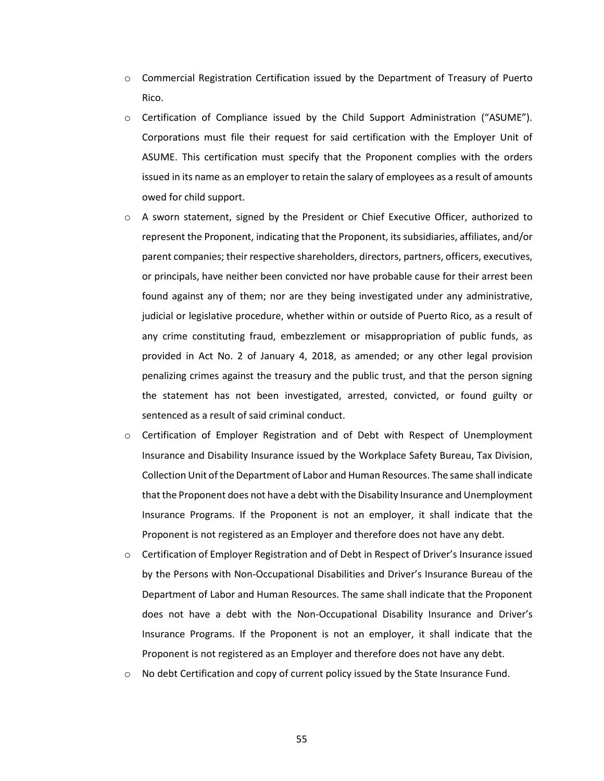- $\circ$  Commercial Registration Certification issued by the Department of Treasury of Puerto Rico.
- $\circ$  Certification of Compliance issued by the Child Support Administration ("ASUME"). Corporations must file their request for said certification with the Employer Unit of ASUME. This certification must specify that the Proponent complies with the orders issued in its name as an employer to retain the salary of employees as a result of amounts owed for child support.
- o A sworn statement, signed by the President or Chief Executive Officer, authorized to represent the Proponent, indicating that the Proponent, its subsidiaries, affiliates, and/or parent companies; their respective shareholders, directors, partners, officers, executives, or principals, have neither been convicted nor have probable cause for their arrest been found against any of them; nor are they being investigated under any administrative, judicial or legislative procedure, whether within or outside of Puerto Rico, as a result of any crime constituting fraud, embezzlement or misappropriation of public funds, as provided in Act No. 2 of January 4, 2018, as amended; or any other legal provision penalizing crimes against the treasury and the public trust, and that the person signing the statement has not been investigated, arrested, convicted, or found guilty or sentenced as a result of said criminal conduct.
- o Certification of Employer Registration and of Debt with Respect of Unemployment Insurance and Disability Insurance issued by the Workplace Safety Bureau, Tax Division, Collection Unit of the Department of Labor and Human Resources. The same shall indicate that the Proponent does not have a debt with the Disability Insurance and Unemployment Insurance Programs. If the Proponent is not an employer, it shall indicate that the Proponent is not registered as an Employer and therefore does not have any debt.
- $\circ$  Certification of Employer Registration and of Debt in Respect of Driver's Insurance issued by the Persons with Non-Occupational Disabilities and Driver's Insurance Bureau of the Department of Labor and Human Resources. The same shall indicate that the Proponent does not have a debt with the Non-Occupational Disability Insurance and Driver's Insurance Programs. If the Proponent is not an employer, it shall indicate that the Proponent is not registered as an Employer and therefore does not have any debt.
- $\circ$  No debt Certification and copy of current policy issued by the State Insurance Fund.

55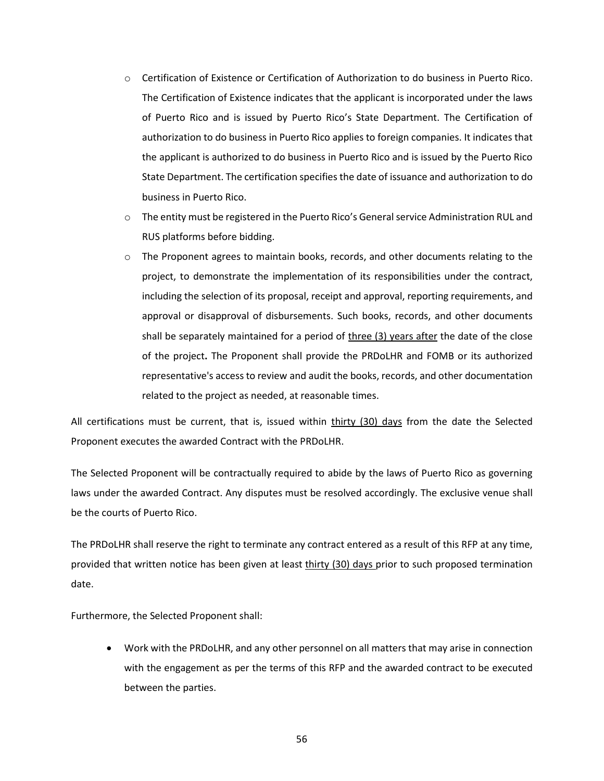- o Certification of Existence or Certification of Authorization to do business in Puerto Rico. The Certification of Existence indicates that the applicant is incorporated under the laws of Puerto Rico and is issued by Puerto Rico's State Department. The Certification of authorization to do business in Puerto Rico applies to foreign companies. It indicates that the applicant is authorized to do business in Puerto Rico and is issued by the Puerto Rico State Department. The certification specifies the date of issuance and authorization to do business in Puerto Rico.
- o The entity must be registered in the Puerto Rico's General service Administration RUL and RUS platforms before bidding.
- $\circ$  The Proponent agrees to maintain books, records, and other documents relating to the project, to demonstrate the implementation of its responsibilities under the contract, including the selection of its proposal, receipt and approval, reporting requirements, and approval or disapproval of disbursements. Such books, records, and other documents shall be separately maintained for a period of three (3) years after the date of the close of the project**.** The Proponent shall provide the PRDoLHR and FOMB or its authorized representative's access to review and audit the books, records, and other documentation related to the project as needed, at reasonable times.

All certifications must be current, that is, issued within thirty (30) days from the date the Selected Proponent executes the awarded Contract with the PRDoLHR.

The Selected Proponent will be contractually required to abide by the laws of Puerto Rico as governing laws under the awarded Contract. Any disputes must be resolved accordingly. The exclusive venue shall be the courts of Puerto Rico.

The PRDoLHR shall reserve the right to terminate any contract entered as a result of this RFP at any time, provided that written notice has been given at least thirty (30) days prior to such proposed termination date.

Furthermore, the Selected Proponent shall:

• Work with the PRDoLHR, and any other personnel on all matters that may arise in connection with the engagement as per the terms of this RFP and the awarded contract to be executed between the parties.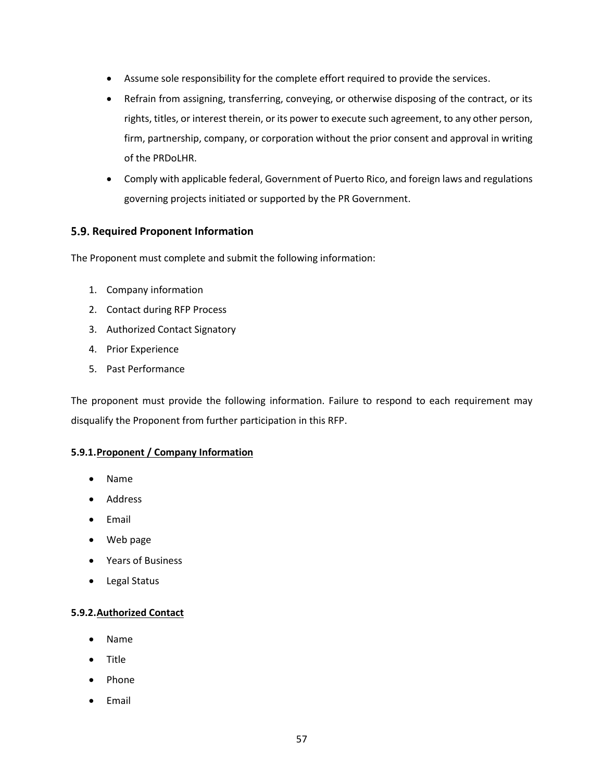- Assume sole responsibility for the complete effort required to provide the services.
- Refrain from assigning, transferring, conveying, or otherwise disposing of the contract, or its rights, titles, or interest therein, or its power to execute such agreement, to any other person, firm, partnership, company, or corporation without the prior consent and approval in writing of the PRDoLHR.
- Comply with applicable federal, Government of Puerto Rico, and foreign laws and regulations governing projects initiated or supported by the PR Government.

## <span id="page-56-0"></span>**5.9. Required Proponent Information**

The Proponent must complete and submit the following information:

- 1. Company information
- 2. Contact during RFP Process
- 3. Authorized Contact Signatory
- 4. Prior Experience
- 5. Past Performance

The proponent must provide the following information. Failure to respond to each requirement may disqualify the Proponent from further participation in this RFP.

## <span id="page-56-1"></span>**5.9.1.Proponent / Company Information**

- Name
- Address
- Email
- Web page
- Years of Business
- Legal Status

## <span id="page-56-2"></span>**5.9.2.Authorized Contact**

- Name
- Title
- Phone
- **Email**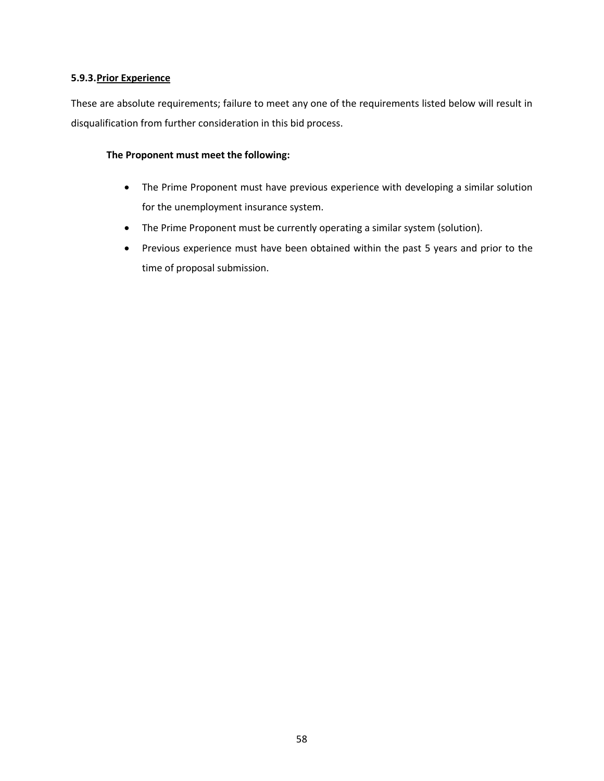## <span id="page-57-0"></span>**5.9.3.Prior Experience**

These are absolute requirements; failure to meet any one of the requirements listed below will result in disqualification from further consideration in this bid process.

#### **The Proponent must meet the following:**

- The Prime Proponent must have previous experience with developing a similar solution for the unemployment insurance system.
- The Prime Proponent must be currently operating a similar system (solution).
- Previous experience must have been obtained within the past 5 years and prior to the time of proposal submission.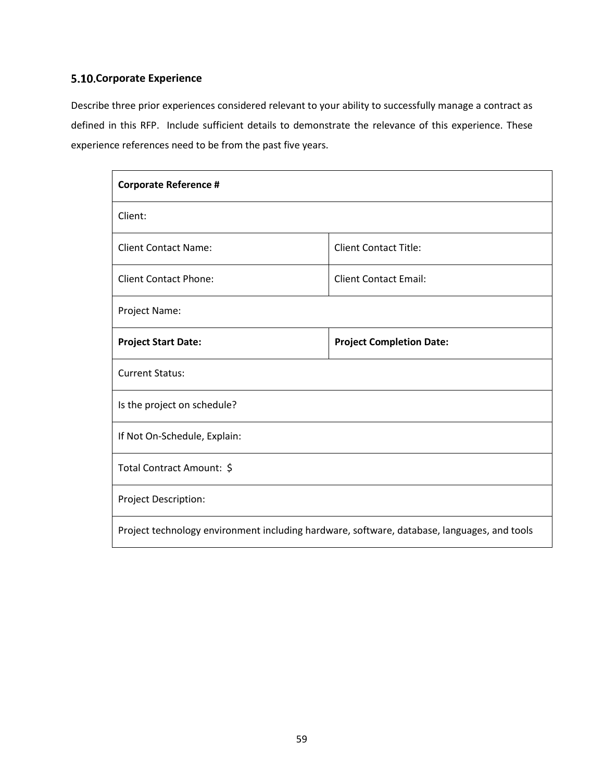# <span id="page-58-0"></span>**5.10. Corporate Experience**

Describe three prior experiences considered relevant to your ability to successfully manage a contract as defined in this RFP. Include sufficient details to demonstrate the relevance of this experience. These experience references need to be from the past five years.

| <b>Corporate Reference #</b>                                                                |                                 |  |  |  |
|---------------------------------------------------------------------------------------------|---------------------------------|--|--|--|
| Client:                                                                                     |                                 |  |  |  |
| <b>Client Contact Name:</b><br><b>Client Contact Title:</b>                                 |                                 |  |  |  |
| <b>Client Contact Phone:</b><br><b>Client Contact Email:</b>                                |                                 |  |  |  |
| Project Name:                                                                               |                                 |  |  |  |
| <b>Project Start Date:</b>                                                                  | <b>Project Completion Date:</b> |  |  |  |
| <b>Current Status:</b>                                                                      |                                 |  |  |  |
| Is the project on schedule?                                                                 |                                 |  |  |  |
| If Not On-Schedule, Explain:                                                                |                                 |  |  |  |
| Total Contract Amount: \$                                                                   |                                 |  |  |  |
| Project Description:                                                                        |                                 |  |  |  |
| Project technology environment including hardware, software, database, languages, and tools |                                 |  |  |  |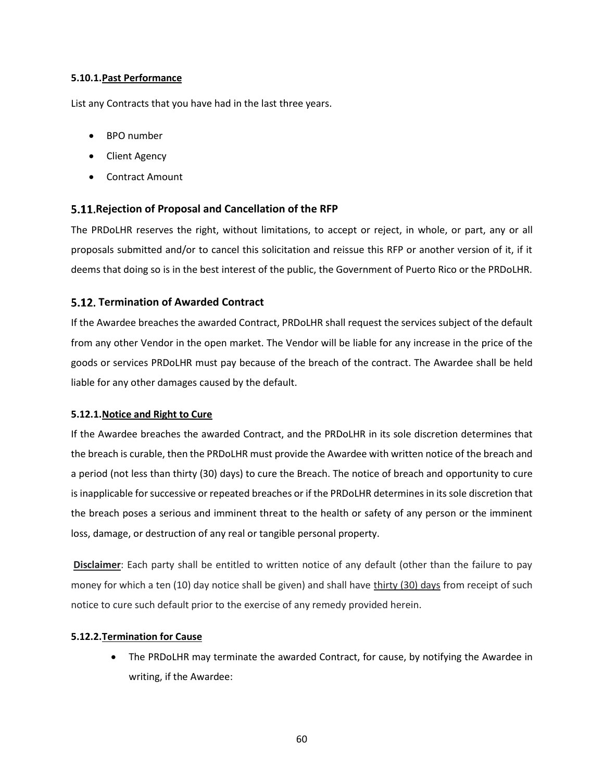#### <span id="page-59-0"></span>**5.10.1.Past Performance**

List any Contracts that you have had in the last three years.

- BPO number
- Client Agency
- Contract Amount

## <span id="page-59-1"></span>**Rejection of Proposal and Cancellation of the RFP**

The PRDoLHR reserves the right, without limitations, to accept or reject, in whole, or part, any or all proposals submitted and/or to cancel this solicitation and reissue this RFP or another version of it, if it deems that doing so is in the best interest of the public, the Government of Puerto Rico or the PRDoLHR.

## <span id="page-59-2"></span>**Termination of Awarded Contract**

If the Awardee breaches the awarded Contract, PRDoLHR shall request the services subject of the default from any other Vendor in the open market. The Vendor will be liable for any increase in the price of the goods or services PRDoLHR must pay because of the breach of the contract. The Awardee shall be held liable for any other damages caused by the default.

## <span id="page-59-3"></span>**5.12.1.Notice and Right to Cure**

If the Awardee breaches the awarded Contract, and the PRDoLHR in its sole discretion determines that the breach is curable, then the PRDoLHR must provide the Awardee with written notice of the breach and a period (not less than thirty (30) days) to cure the Breach. The notice of breach and opportunity to cure is inapplicable for successive or repeated breaches or if the PRDoLHR determines in its sole discretion that the breach poses a serious and imminent threat to the health or safety of any person or the imminent loss, damage, or destruction of any real or tangible personal property.

**Disclaimer**: Each party shall be entitled to written notice of any default (other than the failure to pay money for which a ten (10) day notice shall be given) and shall have thirty (30) days from receipt of such notice to cure such default prior to the exercise of any remedy provided herein.

## <span id="page-59-4"></span>**5.12.2.Termination for Cause**

• The PRDoLHR may terminate the awarded Contract, for cause, by notifying the Awardee in writing, if the Awardee: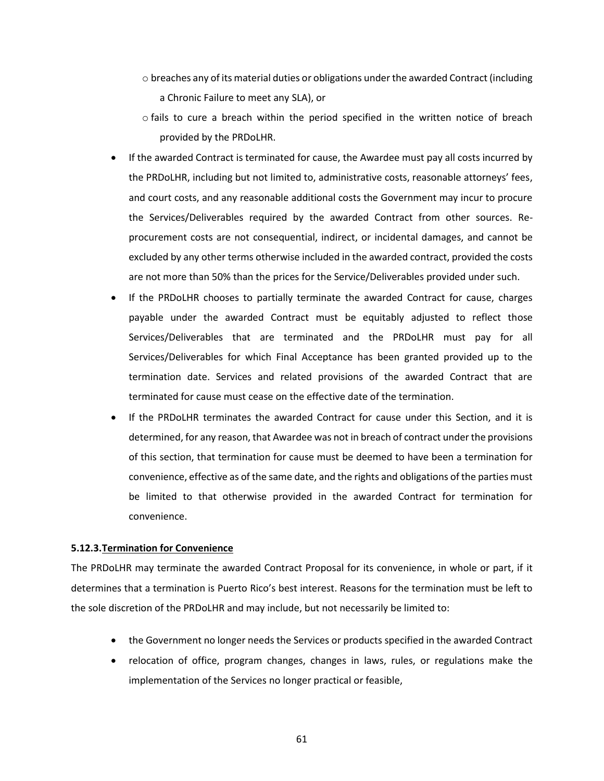- $\circ$  breaches any of its material duties or obligations under the awarded Contract (including a Chronic Failure to meet any SLA), or
- o fails to cure a breach within the period specified in the written notice of breach provided by the PRDoLHR.
- If the awarded Contract is terminated for cause, the Awardee must pay all costs incurred by the PRDoLHR, including but not limited to, administrative costs, reasonable attorneys' fees, and court costs, and any reasonable additional costs the Government may incur to procure the Services/Deliverables required by the awarded Contract from other sources. Reprocurement costs are not consequential, indirect, or incidental damages, and cannot be excluded by any other terms otherwise included in the awarded contract, provided the costs are not more than 50% than the prices for the Service/Deliverables provided under such.
- If the PRDoLHR chooses to partially terminate the awarded Contract for cause, charges payable under the awarded Contract must be equitably adjusted to reflect those Services/Deliverables that are terminated and the PRDoLHR must pay for all Services/Deliverables for which Final Acceptance has been granted provided up to the termination date. Services and related provisions of the awarded Contract that are terminated for cause must cease on the effective date of the termination.
- If the PRDoLHR terminates the awarded Contract for cause under this Section, and it is determined, for any reason, that Awardee was not in breach of contract under the provisions of this section, that termination for cause must be deemed to have been a termination for convenience, effective as of the same date, and the rights and obligations of the parties must be limited to that otherwise provided in the awarded Contract for termination for convenience.

#### <span id="page-60-0"></span>**5.12.3.Termination for Convenience**

The PRDoLHR may terminate the awarded Contract Proposal for its convenience, in whole or part, if it determines that a termination is Puerto Rico's best interest. Reasons for the termination must be left to the sole discretion of the PRDoLHR and may include, but not necessarily be limited to:

- the Government no longer needs the Services or products specified in the awarded Contract
- relocation of office, program changes, changes in laws, rules, or regulations make the implementation of the Services no longer practical or feasible,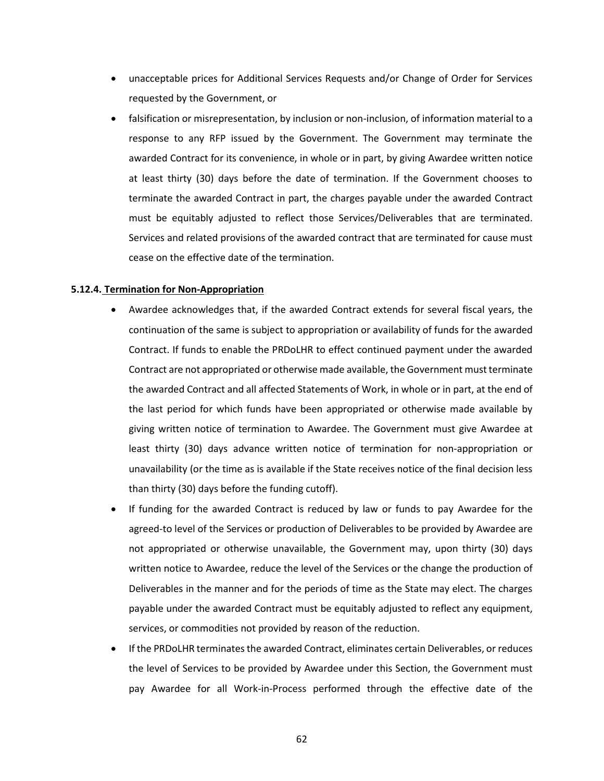- unacceptable prices for Additional Services Requests and/or Change of Order for Services requested by the Government, or
- falsification or misrepresentation, by inclusion or non-inclusion, of information material to a response to any RFP issued by the Government. The Government may terminate the awarded Contract for its convenience, in whole or in part, by giving Awardee written notice at least thirty (30) days before the date of termination. If the Government chooses to terminate the awarded Contract in part, the charges payable under the awarded Contract must be equitably adjusted to reflect those Services/Deliverables that are terminated. Services and related provisions of the awarded contract that are terminated for cause must cease on the effective date of the termination.

#### **5.12.4. Termination for Non-Appropriation**

- <span id="page-61-0"></span>• Awardee acknowledges that, if the awarded Contract extends for several fiscal years, the continuation of the same is subject to appropriation or availability of funds for the awarded Contract. If funds to enable the PRDoLHR to effect continued payment under the awarded Contract are not appropriated or otherwise made available, the Government must terminate the awarded Contract and all affected Statements of Work, in whole or in part, at the end of the last period for which funds have been appropriated or otherwise made available by giving written notice of termination to Awardee. The Government must give Awardee at least thirty (30) days advance written notice of termination for non-appropriation or unavailability (or the time as is available if the State receives notice of the final decision less than thirty (30) days before the funding cutoff).
- If funding for the awarded Contract is reduced by law or funds to pay Awardee for the agreed-to level of the Services or production of Deliverables to be provided by Awardee are not appropriated or otherwise unavailable, the Government may, upon thirty (30) days written notice to Awardee, reduce the level of the Services or the change the production of Deliverables in the manner and for the periods of time as the State may elect. The charges payable under the awarded Contract must be equitably adjusted to reflect any equipment, services, or commodities not provided by reason of the reduction.
- If the PRDoLHR terminates the awarded Contract, eliminates certain Deliverables, or reduces the level of Services to be provided by Awardee under this Section, the Government must pay Awardee for all Work-in-Process performed through the effective date of the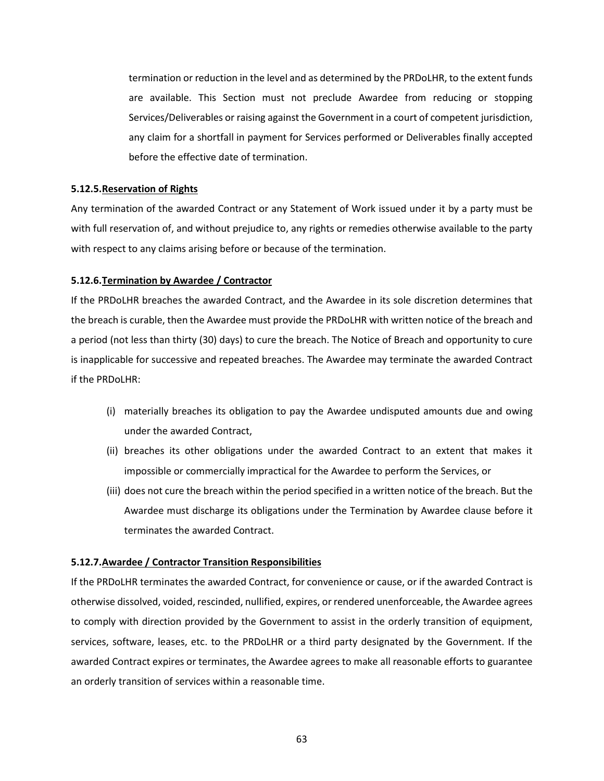termination or reduction in the level and as determined by the PRDoLHR, to the extent funds are available. This Section must not preclude Awardee from reducing or stopping Services/Deliverables or raising against the Government in a court of competent jurisdiction, any claim for a shortfall in payment for Services performed or Deliverables finally accepted before the effective date of termination.

#### <span id="page-62-0"></span>**5.12.5.Reservation of Rights**

Any termination of the awarded Contract or any Statement of Work issued under it by a party must be with full reservation of, and without prejudice to, any rights or remedies otherwise available to the party with respect to any claims arising before or because of the termination.

#### <span id="page-62-1"></span>**5.12.6.Termination by Awardee / Contractor**

If the PRDoLHR breaches the awarded Contract, and the Awardee in its sole discretion determines that the breach is curable, then the Awardee must provide the PRDoLHR with written notice of the breach and a period (not less than thirty (30) days) to cure the breach. The Notice of Breach and opportunity to cure is inapplicable for successive and repeated breaches. The Awardee may terminate the awarded Contract if the PRDoLHR:

- (i) materially breaches its obligation to pay the Awardee undisputed amounts due and owing under the awarded Contract,
- (ii) breaches its other obligations under the awarded Contract to an extent that makes it impossible or commercially impractical for the Awardee to perform the Services, or
- (iii) does not cure the breach within the period specified in a written notice of the breach. But the Awardee must discharge its obligations under the Termination by Awardee clause before it terminates the awarded Contract.

#### <span id="page-62-2"></span>**5.12.7.Awardee / Contractor Transition Responsibilities**

If the PRDoLHR terminates the awarded Contract, for convenience or cause, or if the awarded Contract is otherwise dissolved, voided, rescinded, nullified, expires, or rendered unenforceable, the Awardee agrees to comply with direction provided by the Government to assist in the orderly transition of equipment, services, software, leases, etc. to the PRDoLHR or a third party designated by the Government. If the awarded Contract expires or terminates, the Awardee agrees to make all reasonable efforts to guarantee an orderly transition of services within a reasonable time.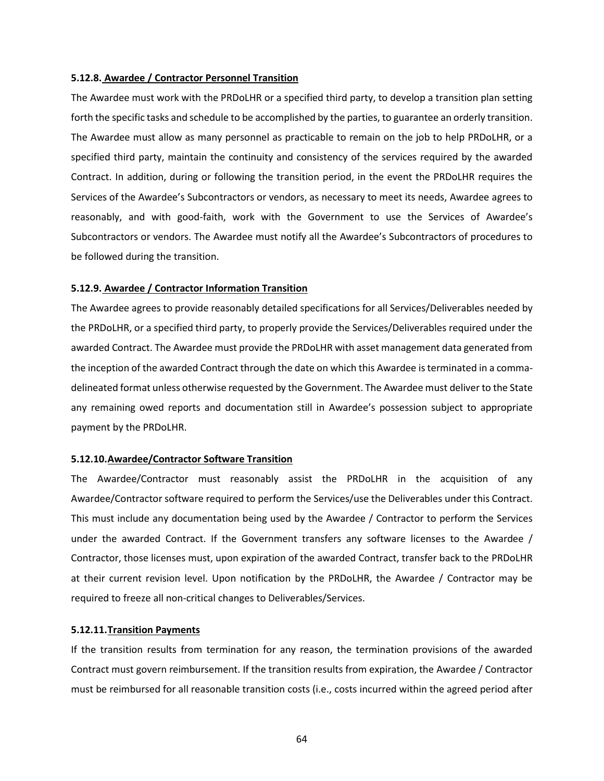#### <span id="page-63-0"></span>**5.12.8. Awardee / Contractor Personnel Transition**

The Awardee must work with the PRDoLHR or a specified third party, to develop a transition plan setting forth the specific tasks and schedule to be accomplished by the parties, to guarantee an orderly transition. The Awardee must allow as many personnel as practicable to remain on the job to help PRDoLHR, or a specified third party, maintain the continuity and consistency of the services required by the awarded Contract. In addition, during or following the transition period, in the event the PRDoLHR requires the Services of the Awardee's Subcontractors or vendors, as necessary to meet its needs, Awardee agrees to reasonably, and with good-faith, work with the Government to use the Services of Awardee's Subcontractors or vendors. The Awardee must notify all the Awardee's Subcontractors of procedures to be followed during the transition.

#### <span id="page-63-1"></span>**5.12.9. Awardee / Contractor Information Transition**

The Awardee agrees to provide reasonably detailed specifications for all Services/Deliverables needed by the PRDoLHR, or a specified third party, to properly provide the Services/Deliverables required under the awarded Contract. The Awardee must provide the PRDoLHR with asset management data generated from the inception of the awarded Contract through the date on which this Awardee is terminated in a commadelineated format unless otherwise requested by the Government. The Awardee must deliver to the State any remaining owed reports and documentation still in Awardee's possession subject to appropriate payment by the PRDoLHR.

#### <span id="page-63-2"></span>**5.12.10.Awardee/Contractor Software Transition**

The Awardee/Contractor must reasonably assist the PRDoLHR in the acquisition of any Awardee/Contractor software required to perform the Services/use the Deliverables under this Contract. This must include any documentation being used by the Awardee / Contractor to perform the Services under the awarded Contract. If the Government transfers any software licenses to the Awardee / Contractor, those licenses must, upon expiration of the awarded Contract, transfer back to the PRDoLHR at their current revision level. Upon notification by the PRDoLHR, the Awardee / Contractor may be required to freeze all non-critical changes to Deliverables/Services.

#### <span id="page-63-3"></span>**5.12.11.Transition Payments**

If the transition results from termination for any reason, the termination provisions of the awarded Contract must govern reimbursement. If the transition results from expiration, the Awardee / Contractor must be reimbursed for all reasonable transition costs (i.e., costs incurred within the agreed period after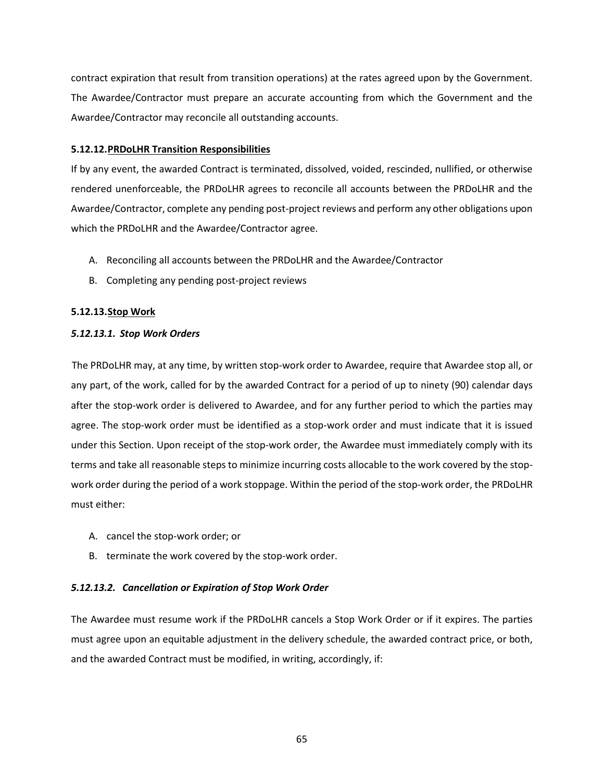contract expiration that result from transition operations) at the rates agreed upon by the Government. The Awardee/Contractor must prepare an accurate accounting from which the Government and the Awardee/Contractor may reconcile all outstanding accounts.

## <span id="page-64-0"></span>**5.12.12.PRDoLHR Transition Responsibilities**

If by any event, the awarded Contract is terminated, dissolved, voided, rescinded, nullified, or otherwise rendered unenforceable, the PRDoLHR agrees to reconcile all accounts between the PRDoLHR and the Awardee/Contractor, complete any pending post-project reviews and perform any other obligations upon which the PRDoLHR and the Awardee/Contractor agree.

- A. Reconciling all accounts between the PRDoLHR and the Awardee/Contractor
- B. Completing any pending post-project reviews

## <span id="page-64-1"></span>**5.12.13.Stop Work**

## *5.12.13.1. Stop Work Orders*

The PRDoLHR may, at any time, by written stop-work order to Awardee, require that Awardee stop all, or any part, of the work, called for by the awarded Contract for a period of up to ninety (90) calendar days after the stop-work order is delivered to Awardee, and for any further period to which the parties may agree. The stop-work order must be identified as a stop-work order and must indicate that it is issued under this Section. Upon receipt of the stop-work order, the Awardee must immediately comply with its terms and take all reasonable steps to minimize incurring costs allocable to the work covered by the stopwork order during the period of a work stoppage. Within the period of the stop-work order, the PRDoLHR must either:

- A. cancel the stop-work order; or
- B. terminate the work covered by the stop-work order.

## *5.12.13.2. Cancellation or Expiration of Stop Work Order*

The Awardee must resume work if the PRDoLHR cancels a Stop Work Order or if it expires. The parties must agree upon an equitable adjustment in the delivery schedule, the awarded contract price, or both, and the awarded Contract must be modified, in writing, accordingly, if: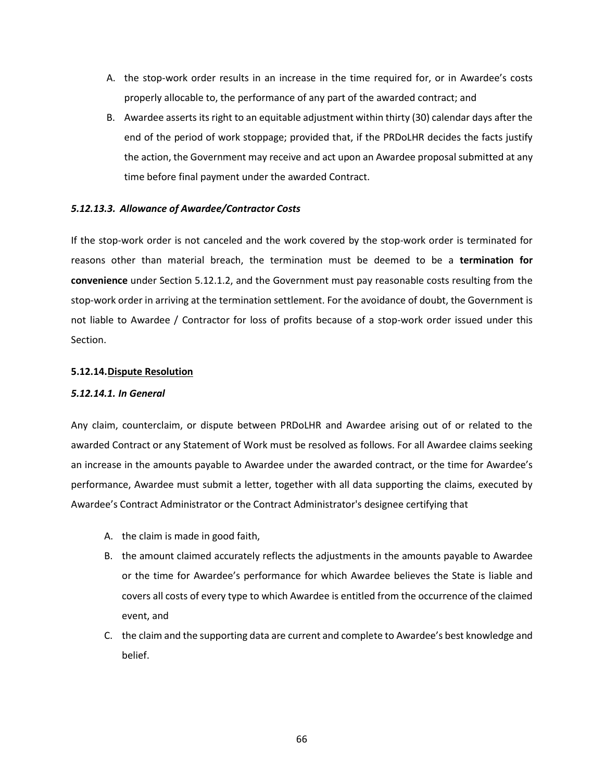- A. the stop-work order results in an increase in the time required for, or in Awardee's costs properly allocable to, the performance of any part of the awarded contract; and
- B. Awardee asserts its right to an equitable adjustment within thirty (30) calendar days after the end of the period of work stoppage; provided that, if the PRDoLHR decides the facts justify the action, the Government may receive and act upon an Awardee proposal submitted at any time before final payment under the awarded Contract.

## *5.12.13.3. Allowance of Awardee/Contractor Costs*

If the stop-work order is not canceled and the work covered by the stop-work order is terminated for reasons other than material breach, the termination must be deemed to be a **termination for convenience** under Section 5.12.1.2, and the Government must pay reasonable costs resulting from the stop-work order in arriving at the termination settlement. For the avoidance of doubt, the Government is not liable to Awardee / Contractor for loss of profits because of a stop-work order issued under this Section.

#### <span id="page-65-0"></span>**5.12.14.Dispute Resolution**

#### *5.12.14.1. In General*

Any claim, counterclaim, or dispute between PRDoLHR and Awardee arising out of or related to the awarded Contract or any Statement of Work must be resolved as follows. For all Awardee claims seeking an increase in the amounts payable to Awardee under the awarded contract, or the time for Awardee's performance, Awardee must submit a letter, together with all data supporting the claims, executed by Awardee's Contract Administrator or the Contract Administrator's designee certifying that

- A. the claim is made in good faith,
- B. the amount claimed accurately reflects the adjustments in the amounts payable to Awardee or the time for Awardee's performance for which Awardee believes the State is liable and covers all costs of every type to which Awardee is entitled from the occurrence of the claimed event, and
- C. the claim and the supporting data are current and complete to Awardee's best knowledge and belief.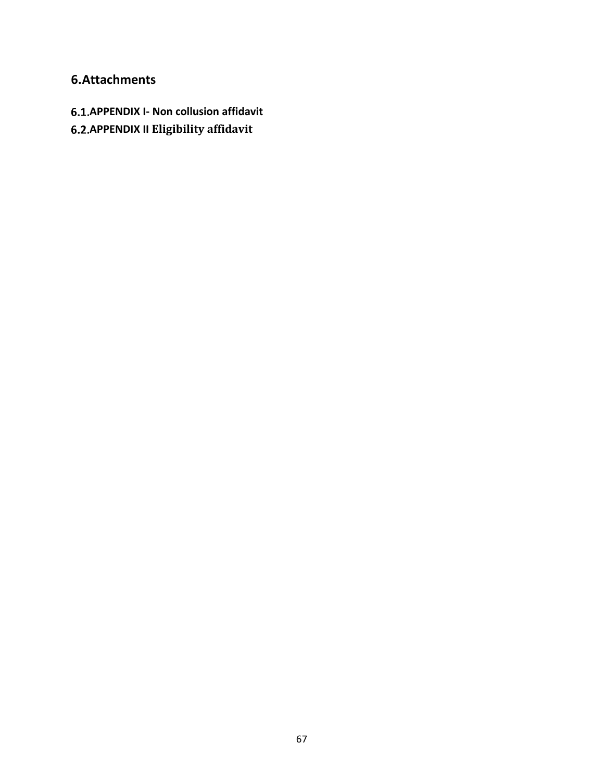# <span id="page-66-0"></span>**6.Attachments**

- <span id="page-66-1"></span>**APPENDIX I- Non collusion affidavit**
- <span id="page-66-2"></span>**APPENDIX II Eligibility affidavit**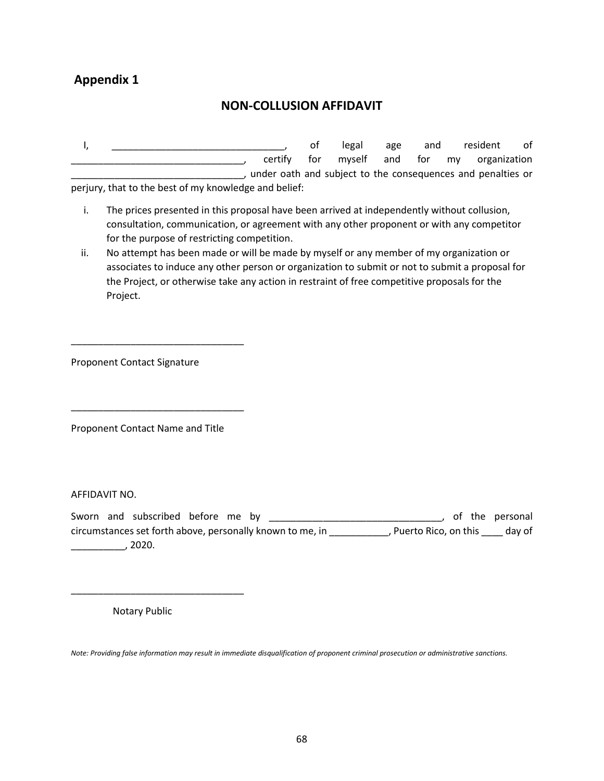# **Appendix 1**

# **NON-COLLUSION AFFIDAVIT**

I, \_\_\_\_\_\_\_\_\_\_\_\_\_\_\_\_\_\_\_\_\_\_\_\_\_\_\_\_\_\_\_\_\_, of legal age and resident of certify for myself and for my organization \_\_\_\_\_\_\_\_\_\_\_\_\_\_\_\_\_\_\_\_\_\_\_\_\_\_\_\_\_\_\_\_, under oath and subject to the consequences and penalties or perjury, that to the best of my knowledge and belief:

- i. The prices presented in this proposal have been arrived at independently without collusion, consultation, communication, or agreement with any other proponent or with any competitor for the purpose of restricting competition.
- ii. No attempt has been made or will be made by myself or any member of my organization or associates to induce any other person or organization to submit or not to submit a proposal for the Project, or otherwise take any action in restraint of free competitive proposals for the Project.

Proponent Contact Signature

\_\_\_\_\_\_\_\_\_\_\_\_\_\_\_\_\_\_\_\_\_\_\_\_\_\_\_\_\_\_\_\_

\_\_\_\_\_\_\_\_\_\_\_\_\_\_\_\_\_\_\_\_\_\_\_\_\_\_\_\_\_\_\_\_

Proponent Contact Name and Title

AFFIDAVIT NO.

Sworn and subscribed before me by \_\_\_\_\_\_\_\_\_\_\_\_\_\_\_\_\_\_\_\_\_\_\_\_\_\_\_\_\_\_\_\_\_, of the personal circumstances set forth above, personally known to me, in \_\_\_\_\_\_\_\_\_\_\_, Puerto Rico, on this \_\_\_\_ day of \_\_\_\_\_\_\_\_\_\_, 2020.

Notary Public

\_\_\_\_\_\_\_\_\_\_\_\_\_\_\_\_\_\_\_\_\_\_\_\_\_\_\_\_\_\_\_\_

*Note: Providing false information may result in immediate disqualification of proponent criminal prosecution or administrative sanctions.*